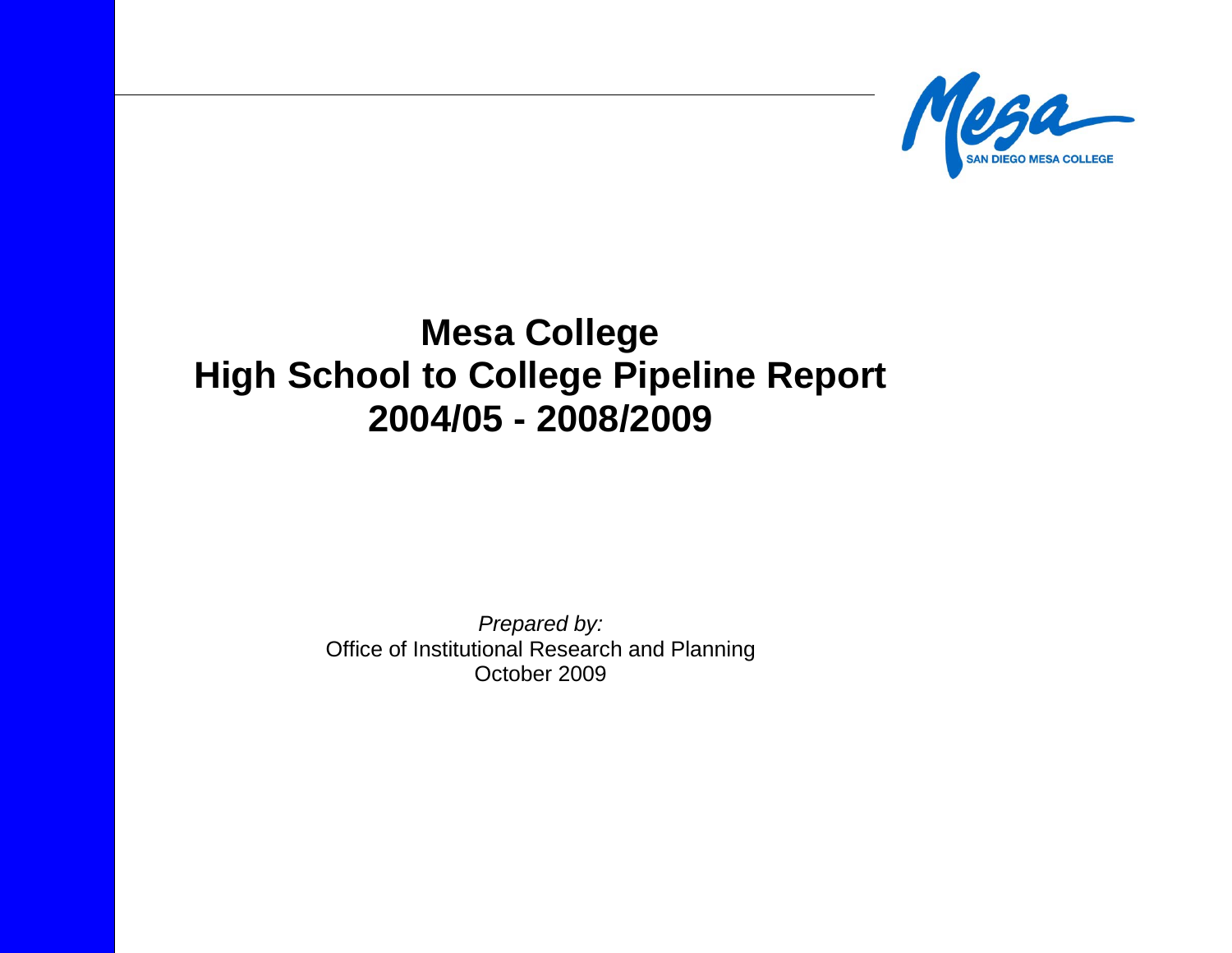

# **Mesa College High School to College Pipeline Report 2004/05 - 2008/2009**

*Prepared by:* Office of Institutional Research and Planning October 2009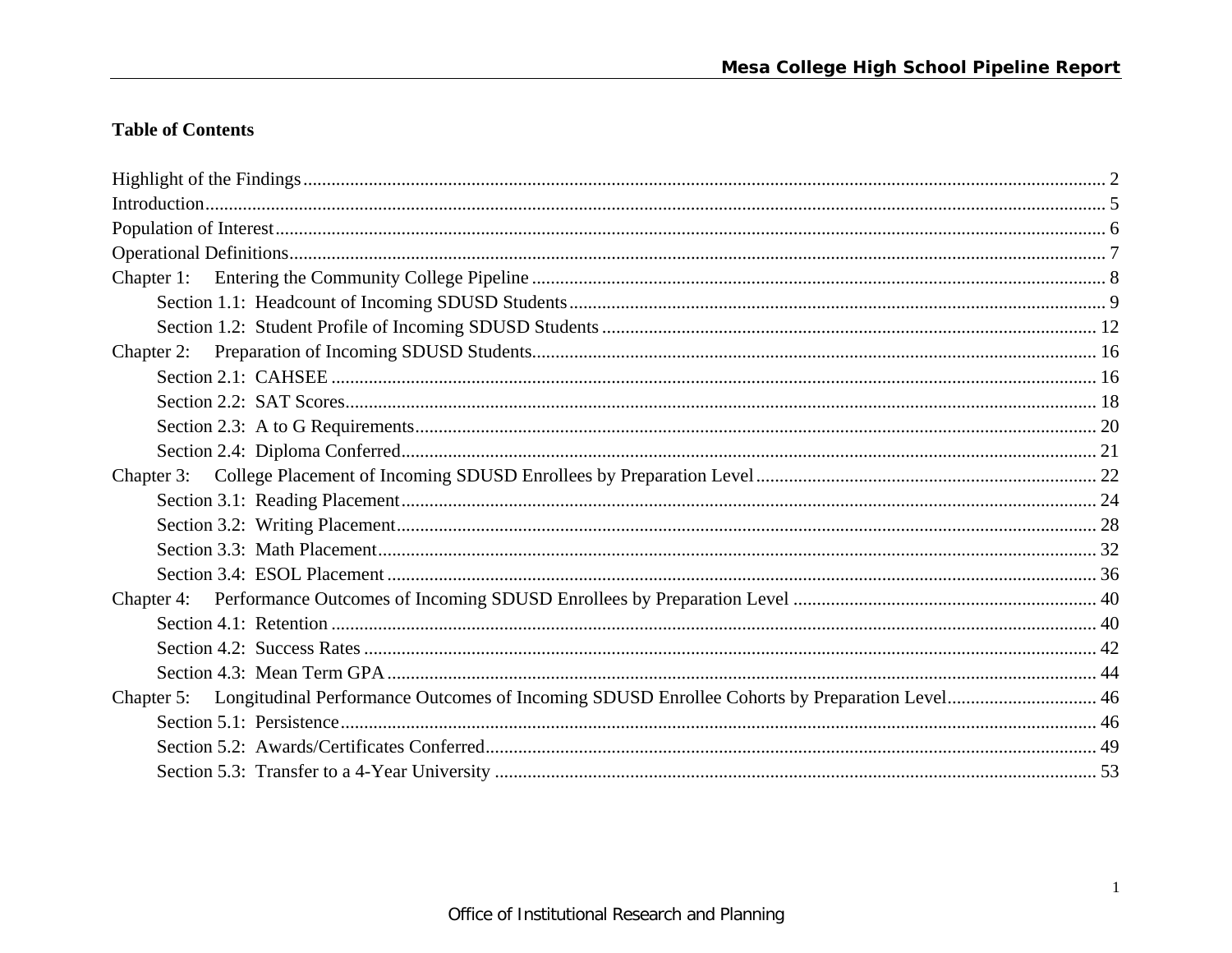# **Table of Contents**

| Chapter 5: Longitudinal Performance Outcomes of Incoming SDUSD Enrollee Cohorts by Preparation Level 46 |  |
|---------------------------------------------------------------------------------------------------------|--|
|                                                                                                         |  |
|                                                                                                         |  |
|                                                                                                         |  |
|                                                                                                         |  |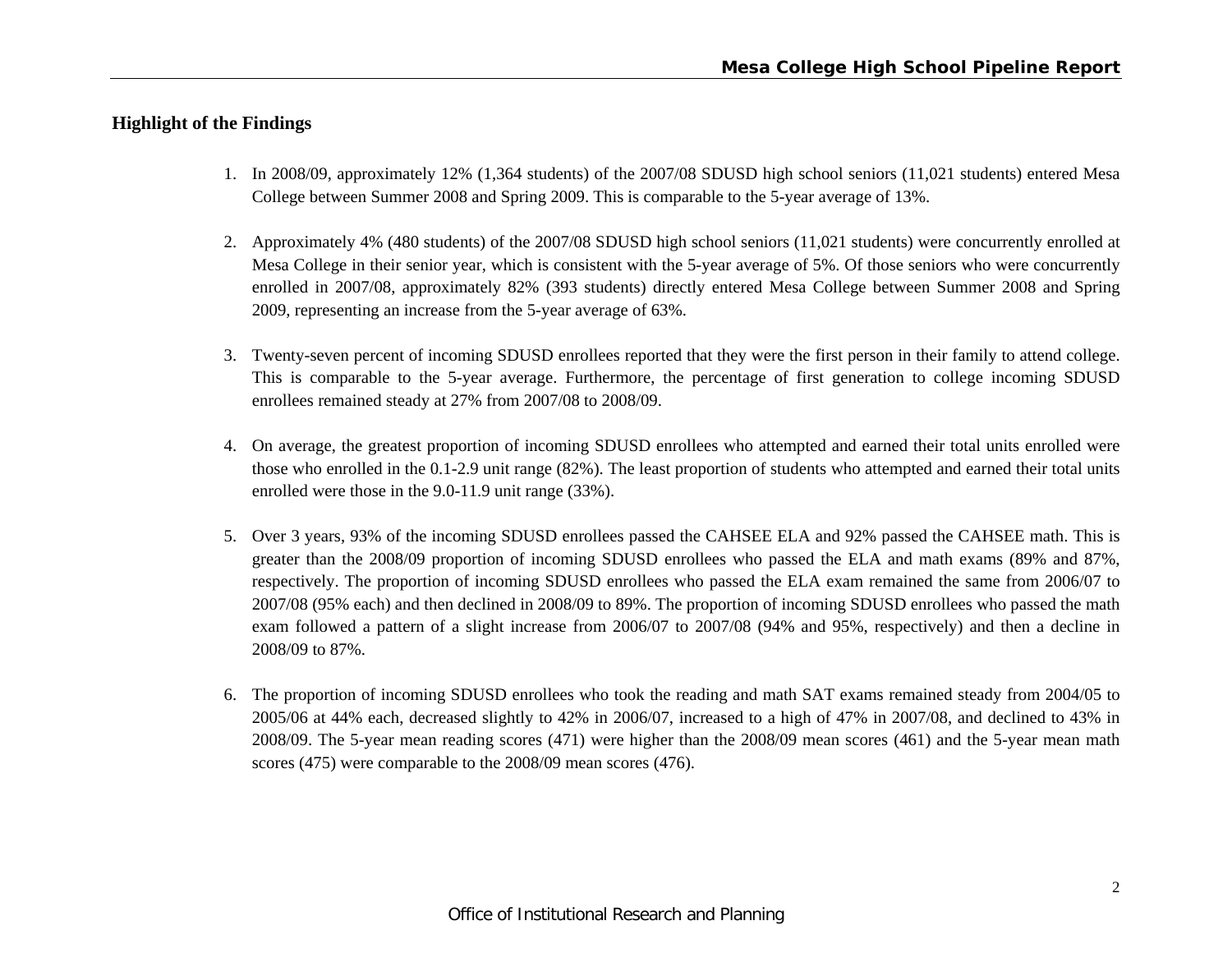# **Highlight of the Findings**

- 1. In 2008/09, approximately 12% (1,364 students) of the 2007/08 SDUSD high school seniors (11,021 students) entered Mesa College between Summer 2008 and Spring 2009. This is comparable to the 5-year average of 13%.
- 2. Approximately 4% (480 students) of the 2007/08 SDUSD high school seniors (11,021 students) were concurrently enrolled at Mesa College in their senior year, which is consistent with the 5-year average of 5%. Of those seniors who were concurrently enrolled in 2007/08, approximately 82% (393 students) directly entered Mesa College between Summer 2008 and Spring 2009, representing an increase from the 5-year average of 63%.
- 3. Twenty-seven percent of incoming SDUSD enrollees reported that they were the first person in their family to attend college. This is comparable to the 5-year average. Furthermore, the percentage of first generation to college incoming SDUSD enrollees remained steady at 27% from 2007/08 to 2008/09.
- 4. On average, the greatest proportion of incoming SDUSD enrollees who attempted and earned their total units enrolled were those who enrolled in the 0.1-2.9 unit range (82%). The least proportion of students who attempted and earned their total units enrolled were those in the 9.0-11.9 unit range (33%).
- 5. Over 3 years, 93% of the incoming SDUSD enrollees passed the CAHSEE ELA and 92% passed the CAHSEE math. This is greater than the 2008/09 proportion of incoming SDUSD enrollees who passed the ELA and math exams (89% and 87%, respectively. The proportion of incoming SDUSD enrollees who passed the ELA exam remained the same from 2006/07 to 2007/08 (95% each) and then declined in 2008/09 to 89%. The proportion of incoming SDUSD enrollees who passed the math exam followed a pattern of a slight increase from 2006/07 to 2007/08 (94% and 95%, respectively) and then a decline in 2008/09 to 87%.
- 6. The proportion of incoming SDUSD enrollees who took the reading and math SAT exams remained steady from 2004/05 to 2005/06 at 44% each, decreased slightly to 42% in 2006/07, increased to a high of 47% in 2007/08, and declined to 43% in 2008/09. The 5-year mean reading scores (471) were higher than the 2008/09 mean scores (461) and the 5-year mean math scores (475) were comparable to the 2008/09 mean scores (476).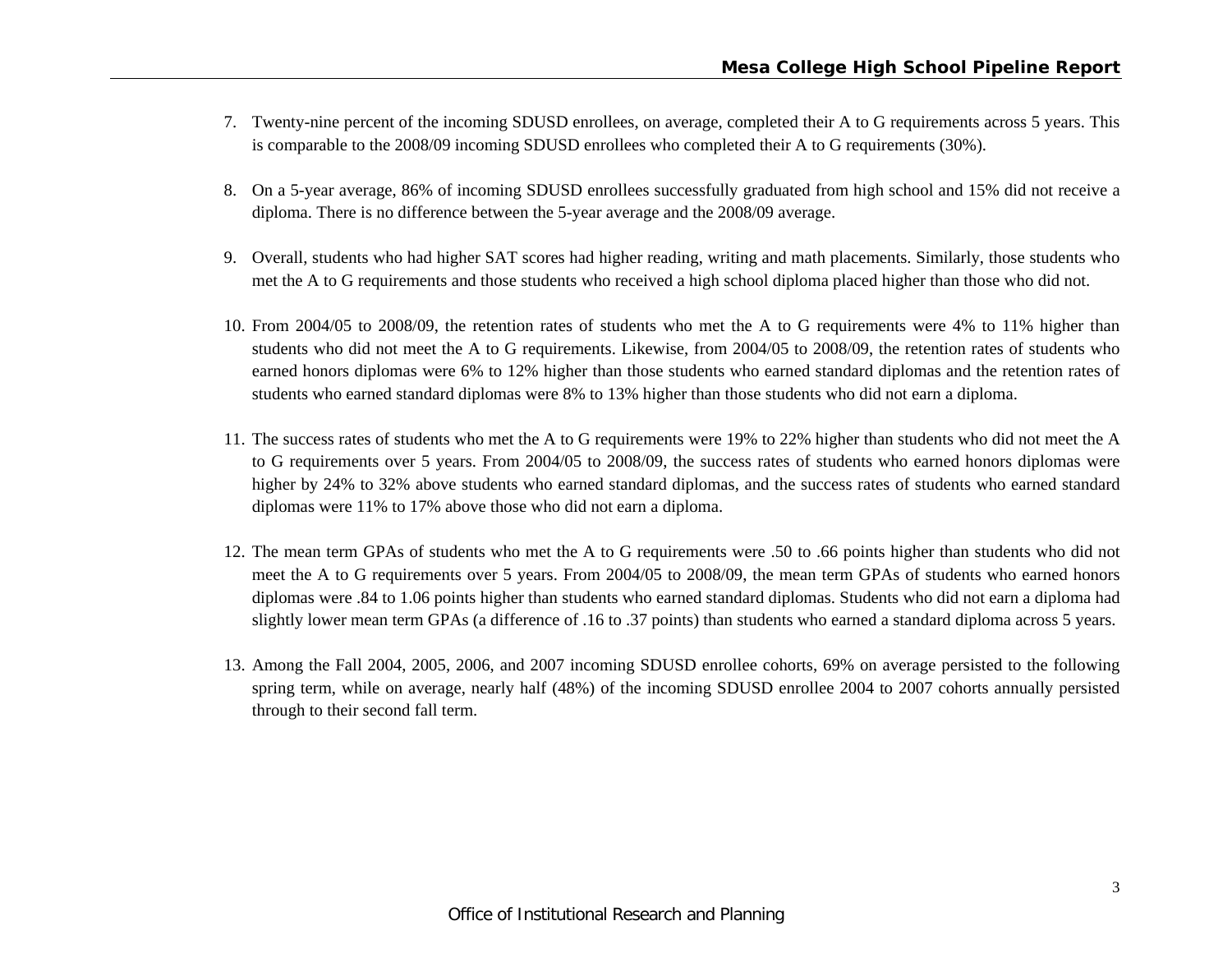- 7. Twenty-nine percent of the incoming SDUSD enrollees, on average, completed their A to G requirements across 5 years. This is comparable to the 2008/09 incoming SDUSD enrollees who completed their A to G requirements (30%).
- 8. On a 5-year average, 86% of incoming SDUSD enrollees successfully graduated from high school and 15% did not receive a diploma. There is no difference between the 5-year average and the 2008/09 average.
- 9. Overall, students who had higher SAT scores had higher reading, writing and math placements. Similarly, those students who met the A to G requirements and those students who received a high school diploma placed higher than those who did not.
- 10. From 2004/05 to 2008/09, the retention rates of students who met the A to G requirements were 4% to 11% higher than students who did not meet the A to G requirements. Likewise, from 2004/05 to 2008/09, the retention rates of students who earned honors diplomas were 6% to 12% higher than those students who earned standard diplomas and the retention rates of students who earned standard diplomas were 8% to 13% higher than those students who did not earn a diploma.
- 11. The success rates of students who met the A to G requirements were 19% to 22% higher than students who did not meet the A to G requirements over 5 years. From 2004/05 to 2008/09, the success rates of students who earned honors diplomas were higher by 24% to 32% above students who earned standard diplomas, and the success rates of students who earned standard diplomas were 11% to 17% above those who did not earn a diploma.
- 12. The mean term GPAs of students who met the A to G requirements were .50 to .66 points higher than students who did not meet the A to G requirements over 5 years. From 2004/05 to 2008/09, the mean term GPAs of students who earned honors diplomas were .84 to 1.06 points higher than students who earned standard diplomas. Students who did not earn a diploma had slightly lower mean term GPAs (a difference of .16 to .37 points) than students who earned a standard diploma across 5 years.
- 13. Among the Fall 2004, 2005, 2006, and 2007 incoming SDUSD enrollee cohorts, 69% on average persisted to the following spring term, while on average, nearly half (48%) of the incoming SDUSD enrollee 2004 to 2007 cohorts annually persisted through to their second fall term.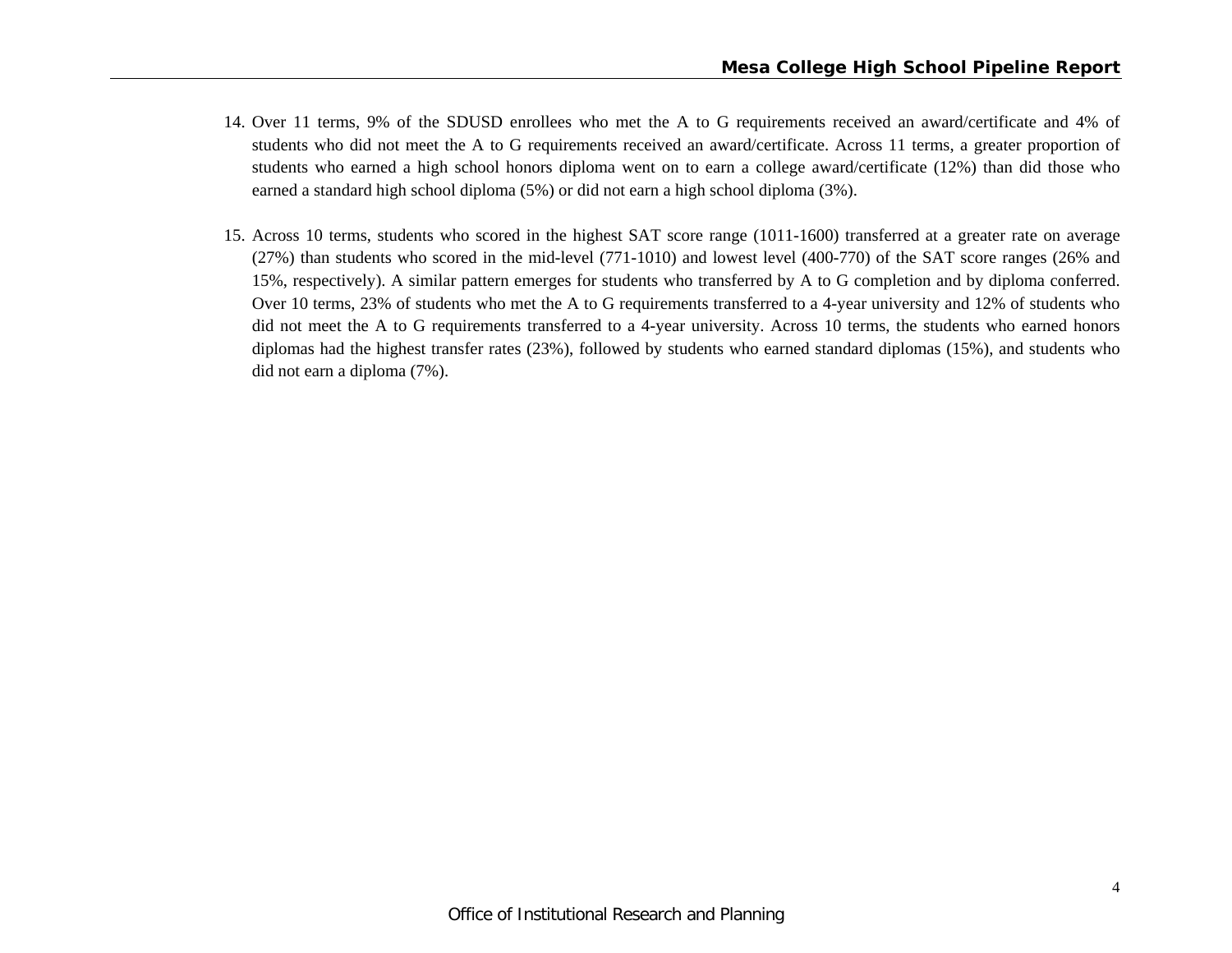- 14. Over 11 terms, 9% of the SDUSD enrollees who met the A to G requirements received an award/certificate and 4% of students who did not meet the A to G requirements received an award/certificate. Across 11 terms, a greater proportion of students who earned a high school honors diploma went on to earn a college award/certificate (12%) than did those who earned a standard high school diploma (5%) or did not earn a high school diploma (3%).
- 15. Across 10 terms, students who scored in the highest SAT score range (1011-1600) transferred at a greater rate on average (27%) than students who scored in the mid-level (771-1010) and lowest level (400-770) of the SAT score ranges (26% and 15%, respectively). A similar pattern emerges for students who transferred by A to G completion and by diploma conferred. Over 10 terms, 23% of students who met the A to G requirements transferred to a 4-year university and 12% of students who did not meet the A to G requirements transferred to a 4-year university. Across 10 terms, the students who earned honors diplomas had the highest transfer rates (23%), followed by students who earned standard diplomas (15%), and students who did not earn a diploma (7%).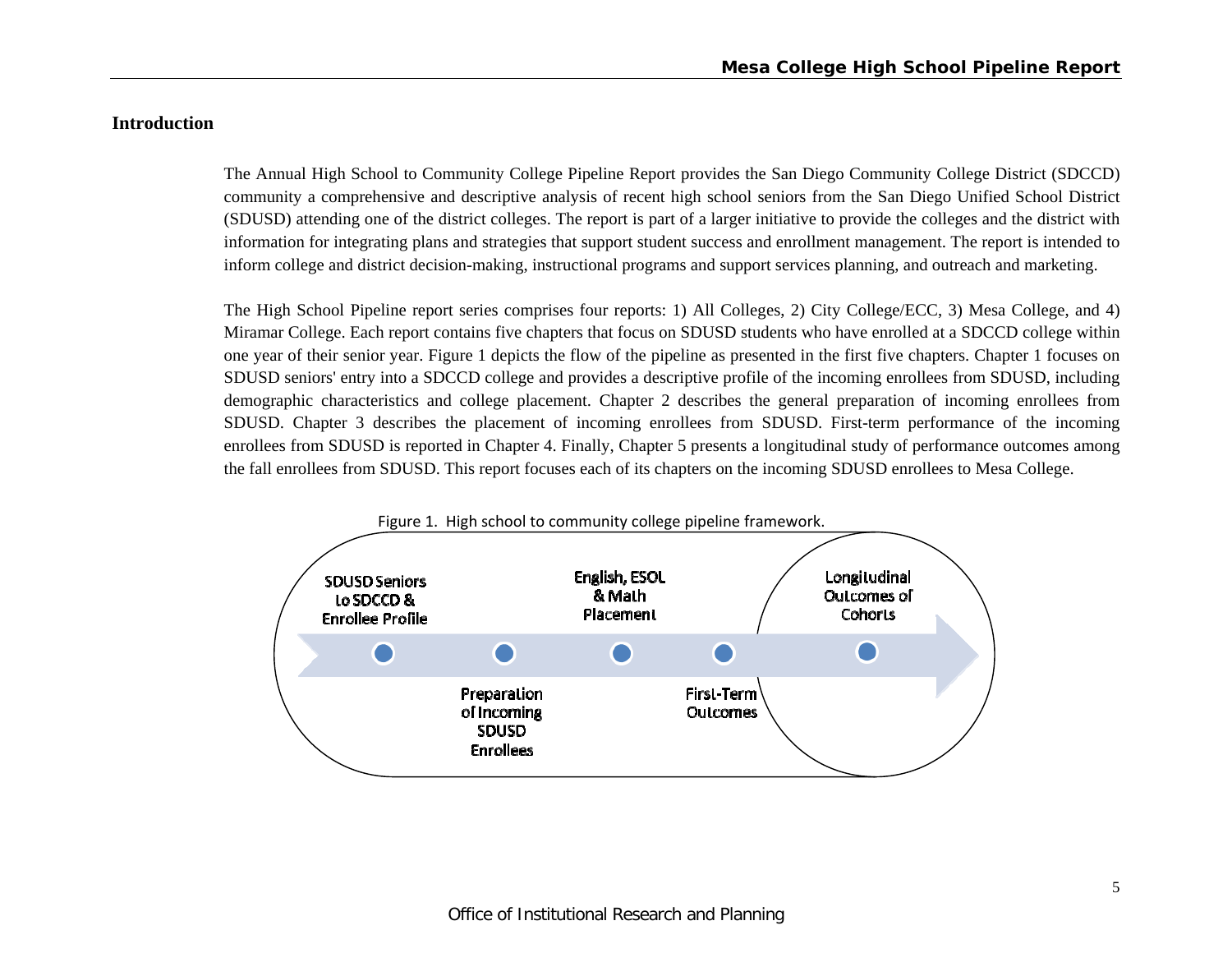#### **Introduction**

The Annual High School to Community College Pipeline Report provides the San Diego Community College District (SDCCD) community a comprehensive and descriptive analysis of recent high school seniors from the San Diego Unified School District (SDUSD) attending one of the district colleges. The report is part of a larger initiative to provide the colleges and the district with information for integrating plans and strategies that support student success and enrollment management. The report is intended to inform college and district decision-making, instructional programs and support services planning, and outreach and marketing.

The High School Pipeline report series comprises four reports: 1) All Colleges, 2) City College/ECC, 3) Mesa College, and 4) Miramar College. Each report contains five chapters that focus on SDUSD students who have enrolled at a SDCCD college within one year of their senior year. Figure 1 depicts the flow of the pipeline as presented in the first five chapters. Chapter 1 focuses on SDUSD seniors' entry into a SDCCD college and provides a descriptive profile of the incoming enrollees from SDUSD, including demographic characteristics and college placement. Chapter 2 describes the general preparation of incoming enrollees from SDUSD. Chapter 3 describes the placement of incoming enrollees from SDUSD. First-term performance of the incoming enrollees from SDUSD is reported in Chapter 4. Finally, Chapter 5 presents a longitudinal study of performance outcomes among the fall enrollees from SDUSD. This report focuses each of its chapters on the incoming SDUSD enrollees to Mesa College.

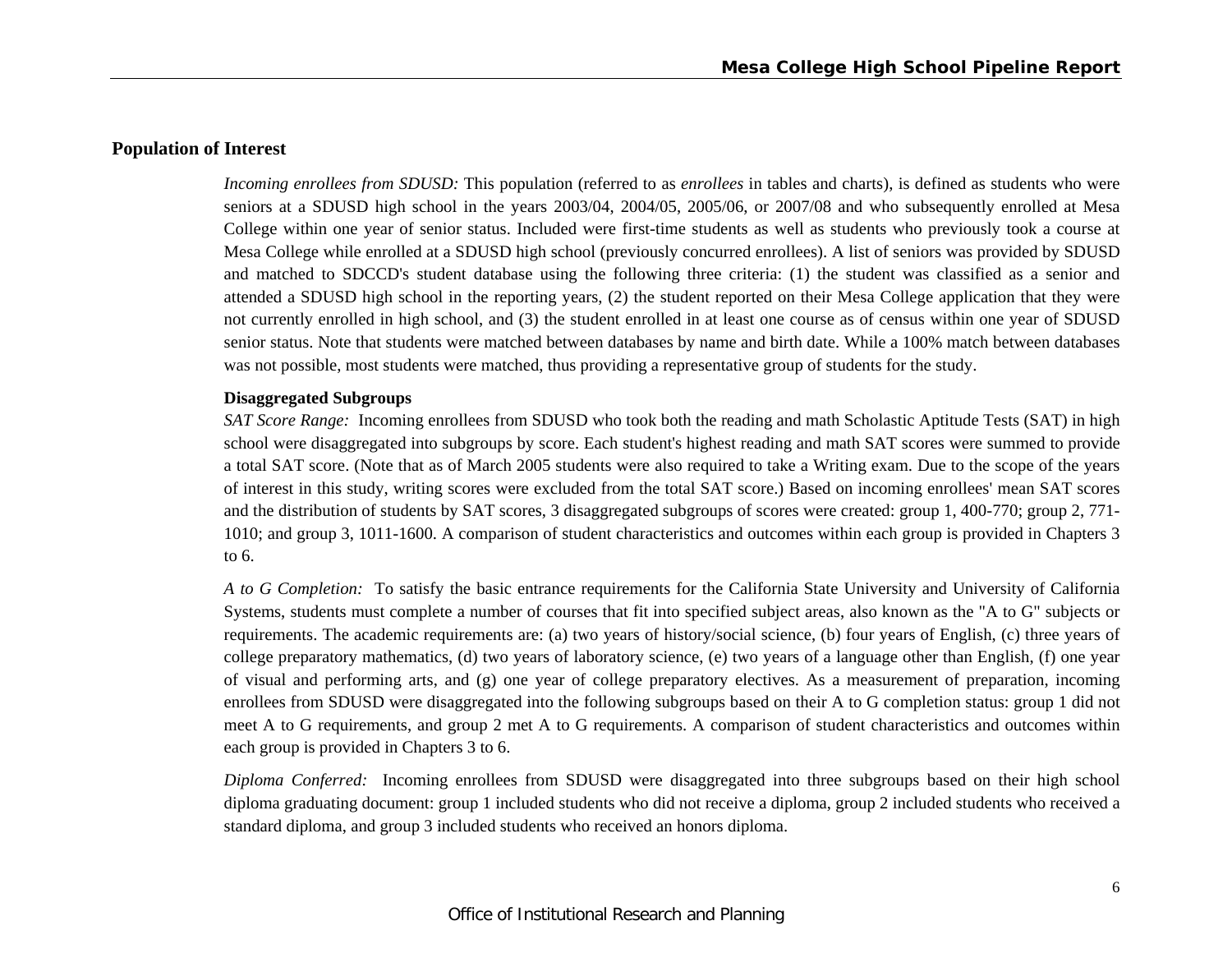#### **Population of Interest**

*Incoming enrollees from SDUSD:* This population (referred to as *enrollees* in tables and charts), is defined as students who were seniors at a SDUSD high school in the years 2003/04, 2004/05, 2005/06, or 2007/08 and who subsequently enrolled at Mesa College within one year of senior status. Included were first-time students as well as students who previously took a course at Mesa College while enrolled at a SDUSD high school (previously concurred enrollees). A list of seniors was provided by SDUSD and matched to SDCCD's student database using the following three criteria: (1) the student was classified as a senior and attended a SDUSD high school in the reporting years, (2) the student reported on their Mesa College application that they were not currently enrolled in high school, and (3) the student enrolled in at least one course as of census within one year of SDUSD senior status. Note that students were matched between databases by name and birth date. While a 100% match between databases was not possible, most students were matched, thus providing a representative group of students for the study.

#### **Disaggregated Subgroups**

*SAT Score Range:* Incoming enrollees from SDUSD who took both the reading and math Scholastic Aptitude Tests (SAT) in high school were disaggregated into subgroups by score. Each student's highest reading and math SAT scores were summed to provide a total SAT score. (Note that as of March 2005 students were also required to take a Writing exam. Due to the scope of the years of interest in this study, writing scores were excluded from the total SAT score.) Based on incoming enrollees' mean SAT scores and the distribution of students by SAT scores, 3 disaggregated subgroups of scores were created: group 1, 400-770; group 2, 771- 1010; and group 3, 1011-1600. A comparison of student characteristics and outcomes within each group is provided in Chapters 3 to 6.

*A to G Completion:* To satisfy the basic entrance requirements for the California State University and University of California Systems, students must complete a number of courses that fit into specified subject areas, also known as the "A to G" subjects or requirements. The academic requirements are: (a) two years of history/social science, (b) four years of English, (c) three years of college preparatory mathematics, (d) two years of laboratory science, (e) two years of a language other than English, (f) one year of visual and performing arts, and (g) one year of college preparatory electives. As a measurement of preparation, incoming enrollees from SDUSD were disaggregated into the following subgroups based on their A to G completion status: group 1 did not meet A to G requirements, and group 2 met A to G requirements. A comparison of student characteristics and outcomes within each group is provided in Chapters 3 to 6.

*Diploma Conferred:* Incoming enrollees from SDUSD were disaggregated into three subgroups based on their high school diploma graduating document: group 1 included students who did not receive a diploma, group 2 included students who received a standard diploma, and group 3 included students who received an honors diploma.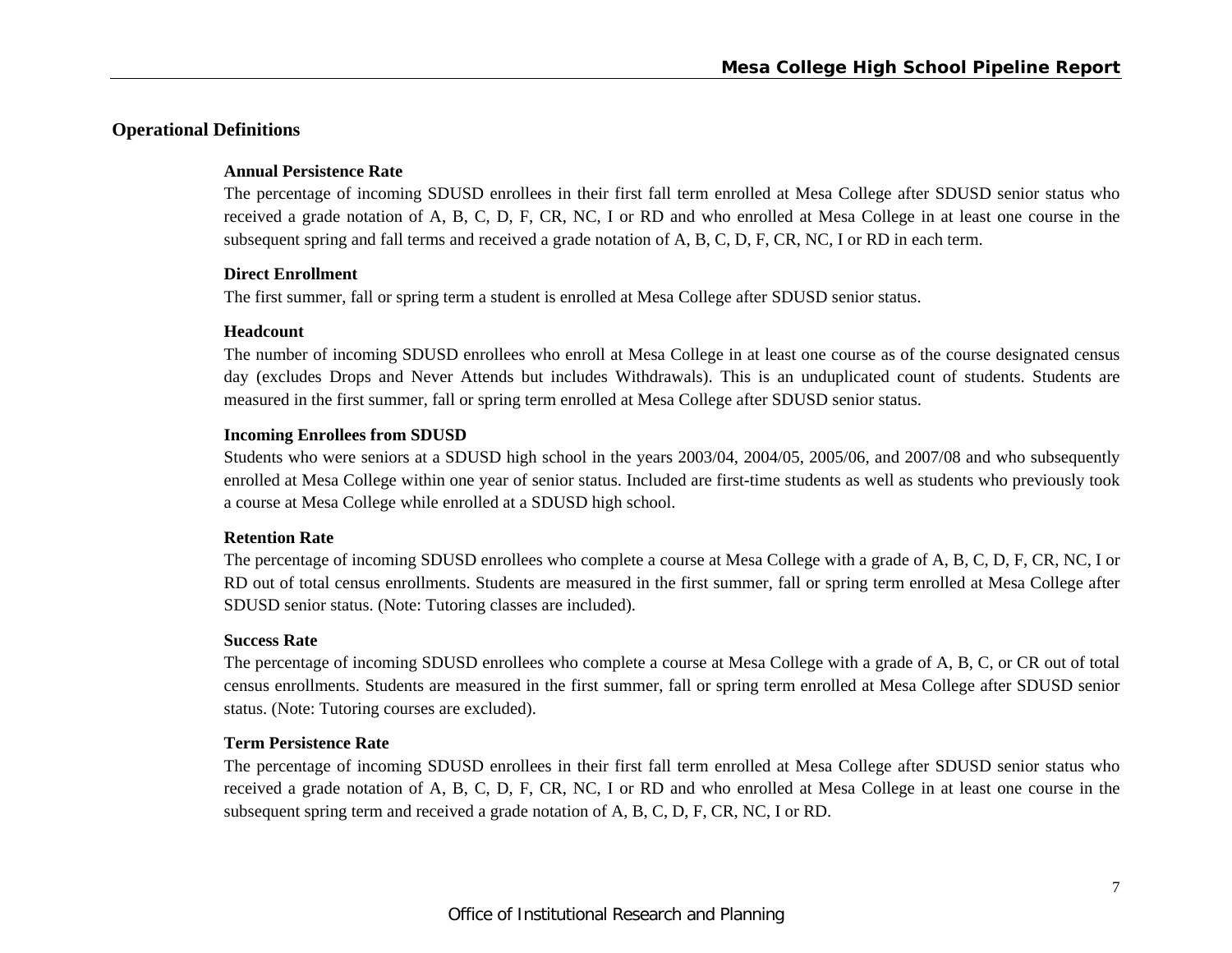# **Operational Definitions**

#### **Annual Persistence Rate**

The percentage of incoming SDUSD enrollees in their first fall term enrolled at Mesa College after SDUSD senior status who received a grade notation of A, B, C, D, F, CR, NC, I or RD and who enrolled at Mesa College in at least one course in the subsequent spring and fall terms and received a grade notation of A, B, C, D, F, CR, NC, I or RD in each term.

#### **Direct Enrollment**

The first summer, fall or spring term a student is enrolled at Mesa College after SDUSD senior status.

#### **Headcount**

The number of incoming SDUSD enrollees who enroll at Mesa College in at least one course as of the course designated census day (excludes Drops and Never Attends but includes Withdrawals). This is an unduplicated count of students. Students are measured in the first summer, fall or spring term enrolled at Mesa College after SDUSD senior status.

#### **Incoming Enrollees from SDUSD**

Students who were seniors at a SDUSD high school in the years 2003/04, 2004/05, 2005/06, and 2007/08 and who subsequently enrolled at Mesa College within one year of senior status. Included are first-time students as well as students who previously took a course at Mesa College while enrolled at a SDUSD high school.

#### **Retention Rate**

The percentage of incoming SDUSD enrollees who complete a course at Mesa College with a grade of A, B, C, D, F, CR, NC, I or RD out of total census enrollments. Students are measured in the first summer, fall or spring term enrolled at Mesa College after SDUSD senior status. (Note: Tutoring classes are included).

#### **Success Rate**

The percentage of incoming SDUSD enrollees who complete a course at Mesa College with a grade of A, B, C, or CR out of total census enrollments. Students are measured in the first summer, fall or spring term enrolled at Mesa College after SDUSD senior status. (Note: Tutoring courses are excluded).

#### **Term Persistence Rate**

The percentage of incoming SDUSD enrollees in their first fall term enrolled at Mesa College after SDUSD senior status who received a grade notation of A, B, C, D, F, CR, NC, I or RD and who enrolled at Mesa College in at least one course in the subsequent spring term and received a grade notation of A, B, C, D, F, CR, NC, I or RD.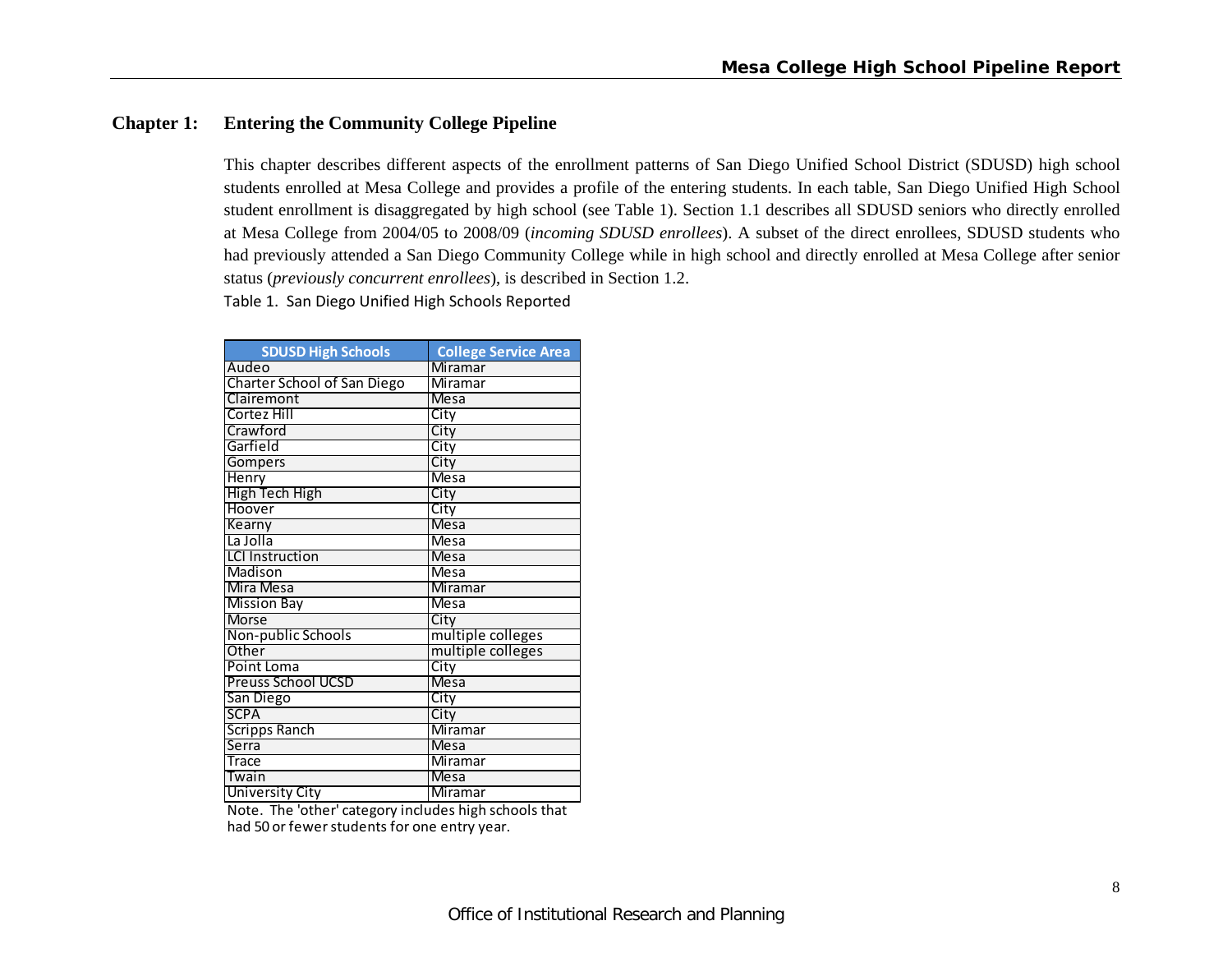# **Chapter 1: Entering the Community College Pipeline**

This chapter describes different aspects of the enrollment patterns of San Diego Unified School District (SDUSD) high school students enrolled at Mesa College and provides a profile of the entering students. In each table, San Diego Unified High School student enrollment is disaggregated by high school (see Table 1). Section 1.1 describes all SDUSD seniors who directly enrolled at Mesa College from 2004/05 to 2008/09 (*incoming SDUSD enrollees*). A subset of the direct enrollees, SDUSD students who had previously attended a San Diego Community College while in high school and directly enrolled at Mesa College after senior status (*previously concurrent enrollees*), is described in Section 1.2.

Table 1. San Diego Unified High Schools Reported

| <b>SDUSD High Schools</b>          | <b>College Service Area</b> |
|------------------------------------|-----------------------------|
| Audeo                              | Miramar                     |
| <b>Charter School of San Diego</b> | Miramar                     |
| Clairemont                         | <b>Mesa</b>                 |
| Cortez Hill                        | City                        |
| Crawford                           | City                        |
| Garfield                           | City                        |
| Gompers                            | City                        |
| Henry                              | <b>Mesa</b>                 |
| <b>High Tech High</b>              | City                        |
| Hoover                             | City                        |
| Kearny                             | <b>Mesa</b>                 |
| La Jolla                           | <b>Mesa</b>                 |
| <b>LCI Instruction</b>             | <b>Mesa</b>                 |
| Madison                            | <b>Mesa</b>                 |
| Mira Mesa                          | Miramar                     |
| <b>Mission Bay</b>                 | <b>Mesa</b>                 |
| <b>Morse</b>                       | City                        |
| Non-public Schools                 | multiple colleges           |
| Other                              | multiple colleges           |
| Point Loma                         | City                        |
| <b>Preuss School UCSD</b>          | Mesa                        |
| San Diego                          | City                        |
| <b>SCPA</b>                        | City                        |
| <b>Scripps Ranch</b>               | Miramar                     |
| Serra                              | <b>Mesa</b>                 |
| <b>Trace</b>                       | <b>Miramar</b>              |
| Twain                              | Mesa                        |
| <b>University City</b>             | <b>Miramar</b>              |

had 50 or fewer students for one entry year. Note. The 'other' category includes high schools that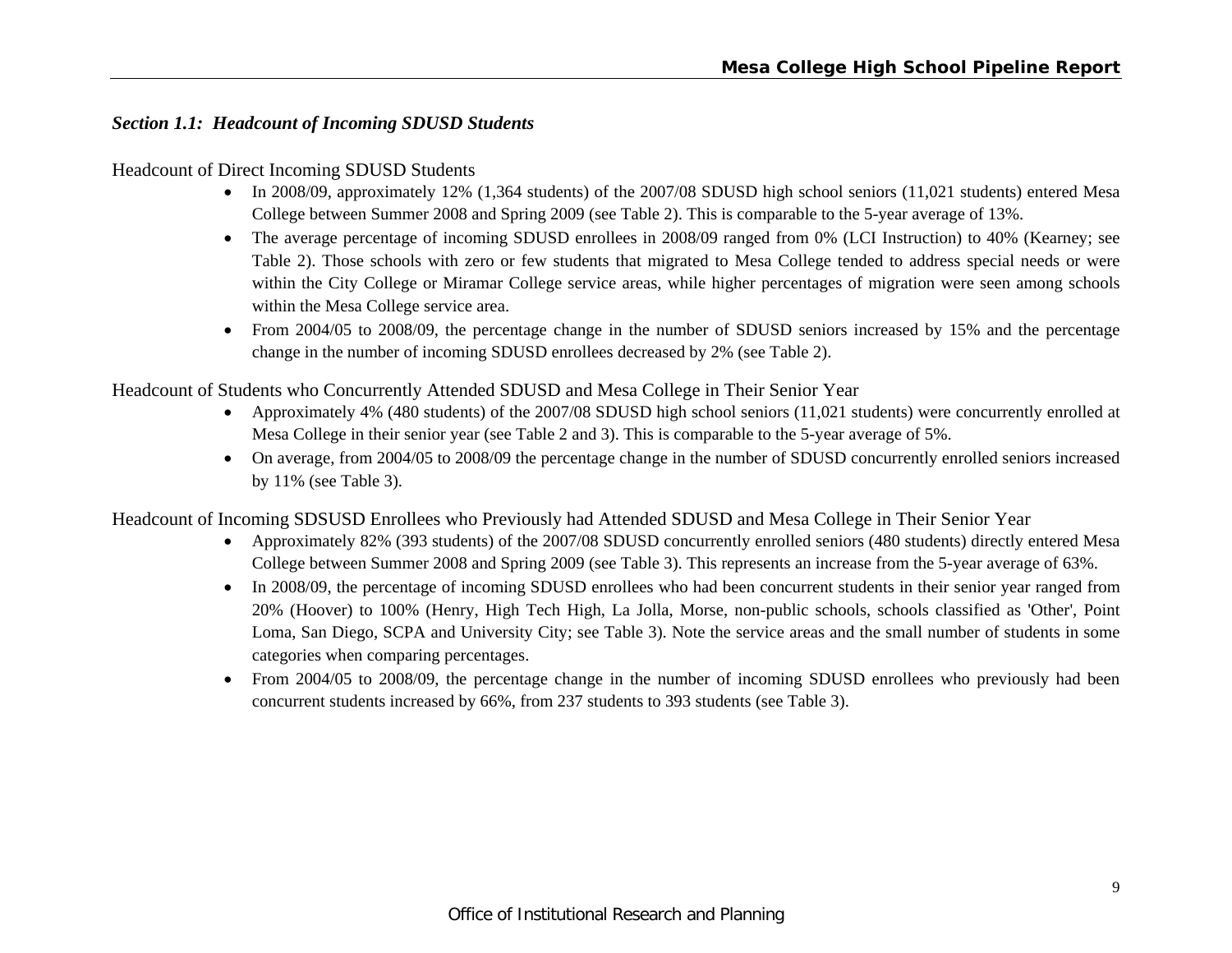# *Section 1.1: Headcount of Incoming SDUSD Students*

#### Headcount of Direct Incoming SDUSD Students

- In 2008/09, approximately 12% (1,364 students) of the 2007/08 SDUSD high school seniors (11,021 students) entered Mesa College between Summer 2008 and Spring 2009 (see Table 2). This is comparable to the 5-year average of 13%.
- The average percentage of incoming SDUSD enrollees in 2008/09 ranged from 0% (LCI Instruction) to 40% (Kearney; see Table 2). Those schools with zero or few students that migrated to Mesa College tended to address special needs or were within the City College or Miramar College service areas, while higher percentages of migration were seen among schools within the Mesa College service area.
- From 2004/05 to 2008/09, the percentage change in the number of SDUSD seniors increased by 15% and the percentage change in the number of incoming SDUSD enrollees decreased by 2% (see Table 2).

Headcount of Students who Concurrently Attended SDUSD and Mesa College in Their Senior Year

- Approximately 4% (480 students) of the 2007/08 SDUSD high school seniors (11,021 students) were concurrently enrolled at Mesa College in their senior year (see Table 2 and 3). This is comparable to the 5-year average of 5%.
- On average, from 2004/05 to 2008/09 the percentage change in the number of SDUSD concurrently enrolled seniors increased by 11% (see Table 3).

Headcount of Incoming SDSUSD Enrollees who Previously had Attended SDUSD and Mesa College in Their Senior Year

- Approximately 82% (393 students) of the 2007/08 SDUSD concurrently enrolled seniors (480 students) directly entered Mesa College between Summer 2008 and Spring 2009 (see Table 3). This represents an increase from the 5-year average of 63%.
- In 2008/09, the percentage of incoming SDUSD enrollees who had been concurrent students in their senior year ranged from 20% (Hoover) to 100% (Henry, High Tech High, La Jolla, Morse, non-public schools, schools classified as 'Other', Point Loma, San Diego, SCPA and University City; see Table 3). Note the service areas and the small number of students in some categories when comparing percentages.
- From 2004/05 to 2008/09, the percentage change in the number of incoming SDUSD enrollees who previously had been concurrent students increased by 66%, from 237 students to 393 students (see Table 3).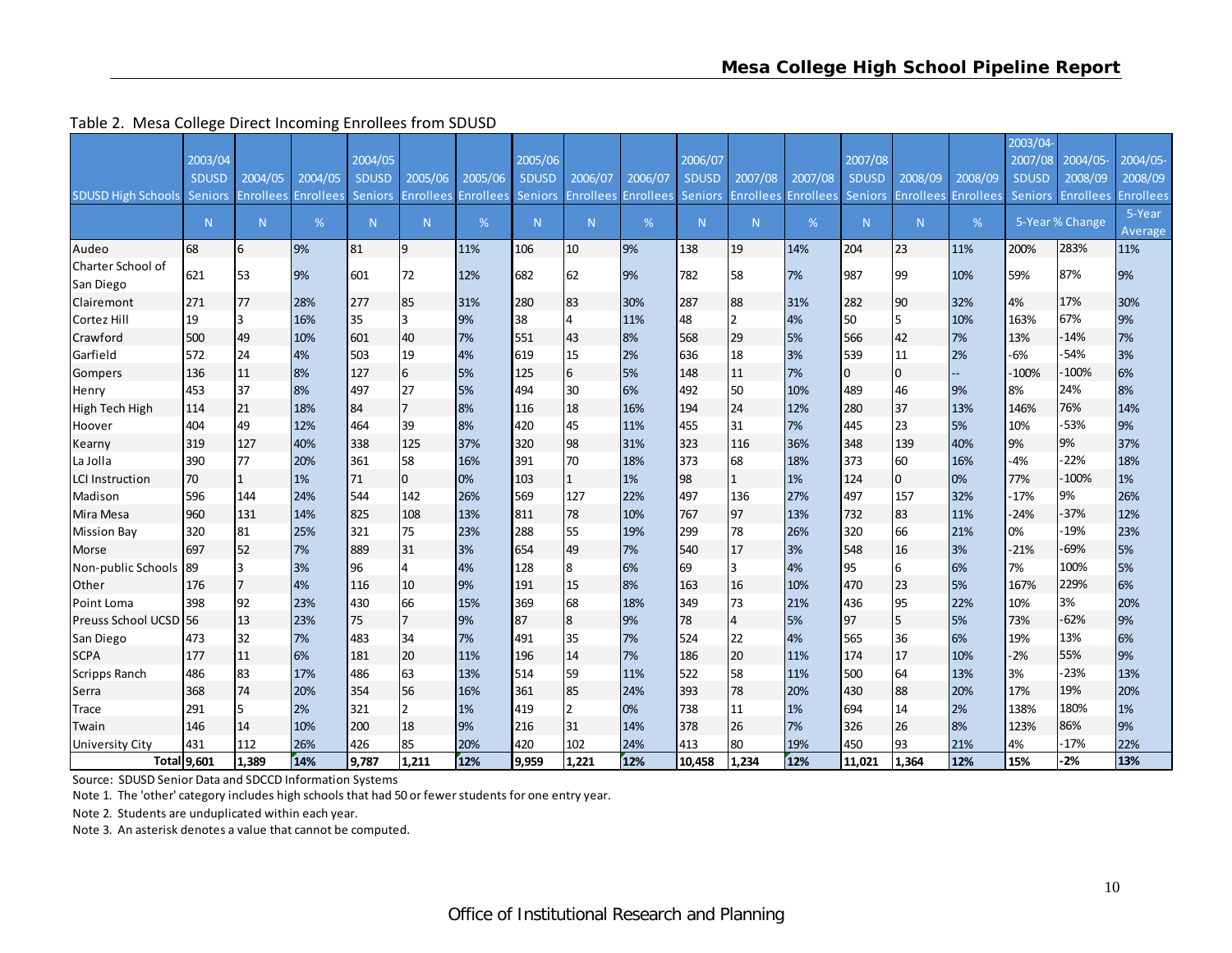#### Table 2. Mesa College Direct Incoming Enrollees from SDUSD

|                                |              |                  |                  |                |                  |                  |                |                  |           |                |                  |                  |                |                |                  | 2003/04-       |                  |                  |
|--------------------------------|--------------|------------------|------------------|----------------|------------------|------------------|----------------|------------------|-----------|----------------|------------------|------------------|----------------|----------------|------------------|----------------|------------------|------------------|
|                                | 2003/04      |                  |                  | 2004/05        |                  |                  | 2005/06        |                  |           | 2006/07        |                  |                  | 2007/08        |                |                  | 2007/08        | 2004/05          | 2004/05-         |
|                                | <b>SDUSD</b> | 2004/05          | 2004/05          | <b>SDUSD</b>   | 2005/06          | 2005/06          | <b>SDUSD</b>   | 2006/07          | 2006/07   | <b>SDUSD</b>   | 2007/08          | 2007/08          | <b>SDUSD</b>   | 2008/09        | 2008/09          | <b>SDUSD</b>   | 2008/09          | 2008/09          |
| <b>SDUSD High Schools</b>      | Seniors      | <b>Enrollees</b> | <b>Enrollees</b> | <b>Seniors</b> | <b>Enrollees</b> | <b>Enrollees</b> | <b>Seniors</b> | <b>Enrollees</b> | Enrollees | <b>Seniors</b> | <b>Enrollees</b> | <b>Enrollees</b> | <b>Seniors</b> | Enrollees      | <b>Enrollees</b> | <b>Seniors</b> | <b>Enrollees</b> | <b>Enrollees</b> |
|                                | N            | N                | %                | N              | N.               | %                | N              | N                | %         | N.             | N                | %                | N.             | N              | %                |                | 5-Year % Change  | 5-Year           |
|                                |              |                  |                  |                |                  |                  |                |                  |           |                |                  |                  |                |                |                  |                |                  | Average          |
| Audeo                          | 68           | 16               | 9%               | 81             | 9                | 11%              | 106            | 10               | 9%        | 138            | 19               | 14%              | 204            | 23             | 11%              | 200%           | 283%             | 11%              |
| Charter School of<br>San Diego | 621          | 53               | 9%               | 601            | 72               | 12%              | 682            | 62               | 9%        | 782            | 58               | 7%               | 987            | 99             | 10%              | 59%            | 87%              | 9%               |
| Clairemont                     | 271          | 77               | 28%              | 277            | 85               | 31%              | 280            | 83               | 30%       | 287            | 88               | 31%              | 282            | 90             | 32%              | 4%             | 17%              | 30%              |
| Cortez Hill                    | 19           | 3                | 16%              | 35             | 3                | 9%               | 38             | 4                | 11%       | 48             | $\overline{2}$   | 4%               | 50             | 5              | 10%              | 163%           | 67%              | 9%               |
| Crawford                       | 500          | 49               | 10%              | 601            | 40               | 7%               | 551            | 43               | 8%        | 568            | 29               | 5%               | 566            | 42             | 7%               | 13%            | $-14%$           | 7%               |
| Garfield                       | 572          | 24               | 4%               | 503            | 19               | 4%               | 619            | 15               | 2%        | 636            | 18               | 3%               | 539            | 11             | 2%               | $-6%$          | $-54%$           | 3%               |
| Gompers                        | 136          | 11               | 8%               | 127            | 6                | 5%               | 125            | 6                | 5%        | 148            | 11               | 7%               | 0              | $\overline{0}$ | цш               | $-100%$        | $-100%$          | 6%               |
| Henry                          | 453          | 37               | 8%               | 497            | 27               | 5%               | 494            | 30               | 6%        | 492            | 50               | 10%              | 489            | 46             | 9%               | 8%             | 24%              | 8%               |
| High Tech High                 | 114          | 21               | 18%              | 84             | $\overline{7}$   | 8%               | 116            | 18               | 16%       | 194            | 24               | 12%              | 280            | 37             | 13%              | 146%           | 76%              | 14%              |
| Hoover                         | 404          | 49               | 12%              | 464            | 39               | 8%               | 420            | 45               | 11%       | 455            | 31               | 7%               | 445            | 23             | 5%               | 10%            | $-53%$           | 9%               |
| Kearny                         | 319          | 127              | 40%              | 338            | 125              | 37%              | 320            | 98               | 31%       | 323            | 116              | 36%              | 348            | 139            | 40%              | 9%             | 9%               | 37%              |
| La Jolla                       | 390          | 77               | 20%              | 361            | 58               | 16%              | 391            | 70               | 18%       | 373            | 68               | 18%              | 373            | 60             | 16%              | $-4%$          | $-22%$           | 18%              |
| <b>LCI Instruction</b>         | 70           | $\mathbf{1}$     | 1%               | 71             | 0                | 0%               | 103            | $\mathbf{1}$     | 1%        | 98             |                  | 1%               | 124            | $\overline{0}$ | 0%               | 77%            | $-100%$          | 1%               |
| Madison                        | 596          | 144              | 24%              | 544            | 142              | 26%              | 569            | 127              | 22%       | 497            | 136              | 27%              | 497            | 157            | 32%              | $-17%$         | 9%               | 26%              |
| Mira Mesa                      | 960          | 131              | 14%              | 825            | 108              | 13%              | 811            | 78               | 10%       | 767            | 97               | 13%              | 732            | 83             | 11%              | $-24%$         | $-37%$           | 12%              |
| <b>Mission Bay</b>             | 320          | 81               | 25%              | 321            | 75               | 23%              | 288            | 55               | 19%       | 299            | 78               | 26%              | 320            | 66             | 21%              | 0%             | $-19%$           | 23%              |
| Morse                          | 697          | 52               | 7%               | 889            | 31               | 3%               | 654            | 49               | 7%        | 540            | 17               | 3%               | 548            | 16             | 3%               | $-21%$         | $-69%$           | 5%               |
| Non-public Schools 89          |              | 3                | 3%               | 96             | 4                | 4%               | 128            | 8                | 6%        | 69             | 3                | 4%               | 95             | 6              | 6%               | 7%             | 100%             | 5%               |
| Other                          | 176          |                  | 4%               | 116            | 10               | 9%               | 191            | 15               | 8%        | 163            | 16               | 10%              | 470            | 23             | 5%               | 167%           | 229%             | 6%               |
| Point Loma                     | 398          | 92               | 23%              | 430            | 66               | 15%              | 369            | 68               | 18%       | 349            | 73               | 21%              | 436            | 95             | 22%              | 10%            | 3%               | 20%              |
| Preuss School UCSD 56          |              | 13               | 23%              | 75             | $\overline{7}$   | 9%               | 87             | 8                | 9%        | 78             | $\overline{4}$   | 5%               | 97             | 5              | 5%               | 73%            | $-62%$           | 9%               |
| San Diego                      | 473          | 32               | 7%               | 483            | 34               | 7%               | 491            | 35               | 7%        | 524            | 22               | 4%               | 565            | 36             | 6%               | 19%            | 13%              | 6%               |
| <b>SCPA</b>                    | 177          | 11               | 6%               | 181            | 20               | 11%              | 196            | 14               | 7%        | 186            | 20               | 11%              | 174            | 17             | 10%              | $-2%$          | 55%              | 9%               |
| <b>Scripps Ranch</b>           | 486          | 83               | 17%              | 486            | 63               | 13%              | 514            | 59               | 11%       | 522            | 58               | 11%              | 500            | 64             | 13%              | 3%             | $-23%$           | 13%              |
| Serra                          | 368          | 74               | 20%              | 354            | 56               | 16%              | 361            | 85               | 24%       | 393            | 78               | 20%              | 430            | 88             | 20%              | 17%            | 19%              | 20%              |
| Trace                          | 291          |                  | 2%               | 321            | $\mathfrak z$    | 1%               | 419            | $\overline{2}$   | 0%        | 738            | 11               | 1%               | 694            | 14             | 2%               | 138%           | 180%             | 1%               |
| Twain                          | 146          | 14               | 10%              | 200            | 18               | 9%               | 216            | 31               | 14%       | 378            | 26               | 7%               | 326            | 26             | 8%               | 123%           | 86%              | 9%               |
| <b>University City</b>         | 431          | 112              | 26%              | 426            | 85               | 20%              | 420            | 102              | 24%       | 413            | 80               | 19%              | 450            | 93             | 21%              | 4%             | $-17%$           | 22%              |
| Total 9,601                    |              | 1.389            | 14%              | 9,787          | 1.211            | 12%              | 9.959          | 1.221            | 12%       | 10.458         | 1.234            | 12%              | 11.021         | 1.364          | 12%              | 15%            | $-2%$            | 13%              |

Source: SDUSD Senior Data and SDCCD Information Systems

Note 1. The 'other' category includes high schools that had 50 or fewerstudents for one entry year.

Note 2. Students are unduplicated within each year.

Note 3. An asterisk denotes <sup>a</sup> value that cannot be computed.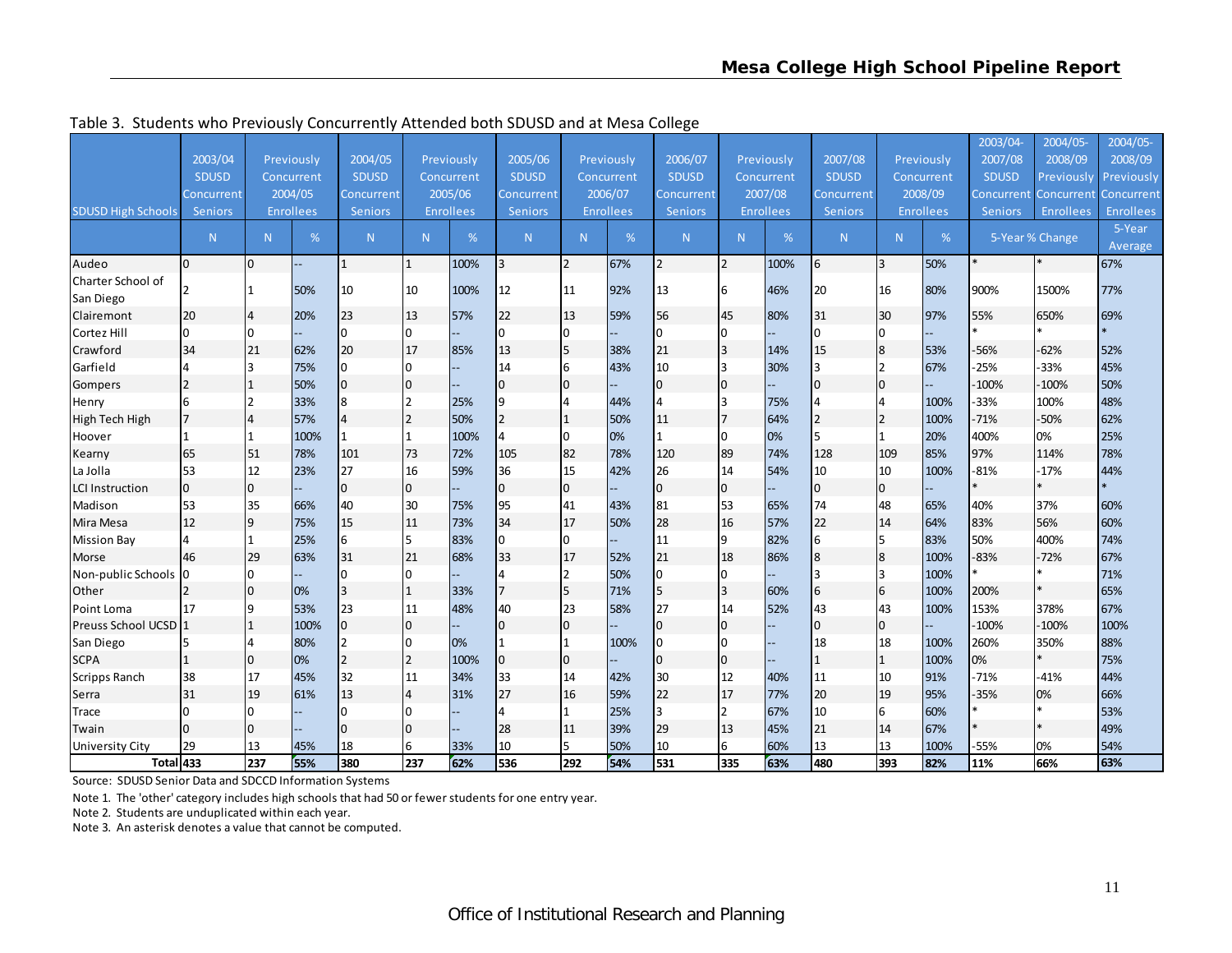|                                 |                |              |                  |                |              |                  |                         |                |                  |                |                |                  |                |                  |                  | 2003/04-       | 2004/05-        | 2004/05-         |
|---------------------------------|----------------|--------------|------------------|----------------|--------------|------------------|-------------------------|----------------|------------------|----------------|----------------|------------------|----------------|------------------|------------------|----------------|-----------------|------------------|
|                                 | 2003/04        |              | Previously       | 2004/05        |              | Previously       | 2005/06                 |                | Previously       | 2006/07        |                | Previously       | 2007/08        |                  | Previously       | 2007/08        | 2008/09         | 2008/09          |
|                                 | <b>SDUSD</b>   |              | Concurrent       | <b>SDUSD</b>   |              | Concurrent       | <b>SDUSD</b>            |                | Concurrent       | <b>SDUSD</b>   |                | Concurrent       | <b>SDUSD</b>   |                  | Concurrent       | <b>SDUSD</b>   | Previously      | Previously       |
|                                 | Concurrent     |              | 2004/05          | Concurrent     |              | 2005/06          | Concurrent              |                | 2006/07          | Concurrent     |                | 2007/08          | Concurrent     |                  | 2008/09          | Concurrent I   | Concurrent      | Concurrent       |
| <b>SDUSD High Schools</b>       | Seniors        |              | <b>Enrollees</b> | <b>Seniors</b> |              | <b>Enrollees</b> | <b>Seniors</b>          |                | <b>Enrollees</b> | <b>Seniors</b> |                | <b>Enrollees</b> | <b>Seniors</b> |                  | <b>Enrollees</b> | <b>Seniors</b> | Enrollees       | <b>Enrollees</b> |
|                                 | N              | N            | %                | N              | N            | %                | N                       | N              | %                | N.             | N <sub>1</sub> | %                | N              | N                | %                |                | 5-Year % Change | 5-Year           |
|                                 |                |              |                  |                |              |                  |                         |                |                  |                |                |                  |                |                  |                  |                |                 | Average          |
| Audeo                           | $\overline{0}$ | lo.          |                  | 1              | $\mathbf{1}$ | 100%             | $\overline{\mathbf{3}}$ | $\overline{2}$ | 67%              | $\overline{2}$ | 2              | 100%             | 6              | 3                | 50%              |                |                 | 67%              |
| Charter School of               |                | I1           | 50%              | 10             | 10           | 100%             | 12                      | 11             | 92%              | 13             | 6              | 46%              | 20             | 16               | 80%              | 900%           | 1500%           | 77%              |
| San Diego                       |                |              |                  |                |              |                  |                         |                |                  |                |                |                  |                |                  |                  |                |                 |                  |
| Clairemont                      | 20             | 14           | 20%              | 23             | 13           | 57%              | 22                      | 13             | 59%              | 56             | 45             | 80%              | 31             | 30               | 97%              | 55%            | 650%            | 69%              |
| Cortez Hill                     | 0              | IO.          |                  | 0              | 10           |                  | $\overline{0}$          | 0              |                  | I0             | n              |                  | $\overline{0}$ | $\overline{0}$   |                  |                |                 |                  |
| Crawford                        | 34             | 21           | 62%              | 20             | 17           | 85%              | 13                      | 5              | 38%              | 21             |                | 14%              | 15             | 8                | 53%              | $-56%$         | $-62%$          | 52%              |
| Garfield                        | 4              | l3           | 75%              | $\overline{0}$ | 10           |                  | 14                      | 6              | 43%              | 10             | २              | 30%              | 3              | $\overline{2}$   | 67%              | $-25%$         | $-33%$          | 45%              |
| Gompers                         |                | 1            | 50%              | $\Omega$       | 0            |                  | $\overline{0}$          | 0              |                  | I0             | $\Omega$       |                  | $\overline{0}$ | $\overline{0}$   |                  | $-100%$        | $-100%$         | 50%              |
| Henry                           | 6              | l2           | 33%              | 8              | 12           | 25%              | 9                       | Δ              | 44%              | $\overline{4}$ | २              | 75%              | 4              | 4                | 100%             | $-33%$         | 100%            | 48%              |
| High Tech High                  |                | 14           | 57%              | 4              | 2            | 50%              | $\overline{2}$          | $\mathbf{1}$   | 50%              | 11             | $\overline{7}$ | 64%              | $\overline{2}$ | $\overline{2}$   | 100%             | $-71%$         | $-50%$          | 62%              |
| Hoover                          |                | $\mathbf{1}$ | 100%             |                |              | 100%             | 4                       | 0              | 0%               | $\mathbf{1}$   | <sup>0</sup>   | 0%               | 5              | 1                | 20%              | 400%           | 0%              | 25%              |
| Kearny                          | 65             | 51           | 78%              | 101            | 73           | 72%              | 105                     | 82             | 78%              | 120            | 89             | 74%              | 128            | 109              | 85%              | 97%            | 114%            | 78%              |
| La Jolla                        | 53             | 12           | 23%              | 27             | 16           | 59%              | 36                      | 15             | 42%              | 26             | 14             | 54%              | 10             | 10               | 100%             | $-81%$         | $-17%$          | 44%              |
| <b>LCI Instruction</b>          | 0              | 0            |                  | 0              | 10           |                  | $\overline{0}$          | 0              |                  | 10             | $\Omega$       |                  | $\mathbf 0$    | $\overline{0}$   |                  |                |                 |                  |
| Madison                         | 53             | 35           | 66%              | 40             | 30           | 75%              | 95                      | 41             | 43%              | 81             | 53             | 65%              | 74             | 48               | 65%              | 40%            | 37%             | 60%              |
| Mira Mesa                       | 12             | 9            | 75%              | 15             | 11           | 73%              | 34                      | 17             | 50%              | 28             | 16             | 57%              | 22             | 14               | 64%              | 83%            | 56%             | 60%              |
| <b>Mission Bay</b>              |                | I1           | 25%              | 6              | 15.          | 83%              | $\overline{0}$          | U              |                  | 11             | a              | 82%              | 6              | 5                | 83%              | 50%            | 400%            | 74%              |
| Morse                           | 46             | 29           | 63%              | 31             | 21           | 68%              | 33                      | 17             | 52%              | 21             | 18             | 86%              | 8              | $\boldsymbol{8}$ | 100%             | $-83%$         | $-72%$          | 67%              |
| Non-public Schools              | I0             | lo.          |                  |                | <sup>0</sup> |                  |                         | 2              | 50%              | 10             |                |                  | 3              | ξ                | 100%             |                |                 | 71%              |
| Other                           |                | l0           | 0%               | 3              | $\mathbf{1}$ | 33%              | $\overline{7}$          | 5              | 71%              | 5              | 3              | 60%              | $\sqrt{6}$     | 6                | 100%             | 200%           |                 | 65%              |
| Point Loma                      | 17             | l9           | 53%              | 23             | 11           | 48%              | 40                      | 23             | 58%              | 27             | 14             | 52%              | 43             | 43               | 100%             | 153%           | 378%            | 67%              |
| Preuss School UCSD <sup>1</sup> |                | 1            | 100%             | 0              | 0            |                  | $\overline{0}$          | $\mathbf{0}$   |                  | I0             | $\Omega$       |                  | $\overline{0}$ | $\overline{0}$   |                  | $-100%$        | $-100%$         | 100%             |
| San Diego                       |                | 14           | 80%              |                | $\Omega$     | 0%               |                         |                | 100%             | 10             |                |                  | 18             | 18               | 100%             | 260%           | 350%            | 88%              |
| <b>SCPA</b>                     |                | 0            | 0%               |                | 2            | 100%             | $\overline{0}$          | $\mathbf{0}$   |                  | I0             | $\Omega$       |                  | $\mathbf{1}$   |                  | 100%             | 0%             |                 | 75%              |
| <b>Scripps Ranch</b>            | 38             | 17           | 45%              | 32             | 11           | 34%              | 33                      | 14             | 42%              | 30             | 12             | 40%              | 11             | 10               | 91%              | $-71%$         | $-41%$          | 44%              |
| Serra                           | 31             | 19           | 61%              | 13             | 14           | 31%              | 27                      | 16             | 59%              | 22             | 17             | 77%              | 20             | 19               | 95%              | $-35%$         | 0%              | 66%              |
| Trace                           | IO.            | IO.          |                  |                | $\Omega$     |                  |                         |                | 25%              | 3              |                | 67%              | 10             | 6                | 60%              |                |                 | 53%              |
| Twain                           | 0              | 10           |                  |                | l0           |                  | 28                      | 11             | 39%              | 29             | 13             | 45%              | 21             | 14               | 67%              |                |                 | 49%              |
| University City                 | 29             | 13           | 45%              | 18             | 6            | 33%              | 10                      | 5              | 50%              | 10             | 6              | 60%              | 13             | 13               | 100%             | -55%           | 0%              | 54%              |
| Total 433                       |                | 237          | 55%              | 380            | 237          | 62%              | 536                     | 292            | 54%              | 531            | 335            | 63%              | 480            | 393              | 82%              | 11%            | 66%             | 63%              |

Table 3. Students who Previously Concurrently Attended both SDUSD and at Mesa College

Source: SDUSD Senior Data and SDCCD Information Systems

Note 1. The 'other' category includes high schools that had 50 or fewerstudents for one entry year.

Note 2. Students are unduplicated within each year.

Note 3. An asterisk denotes <sup>a</sup> value that cannot be computed.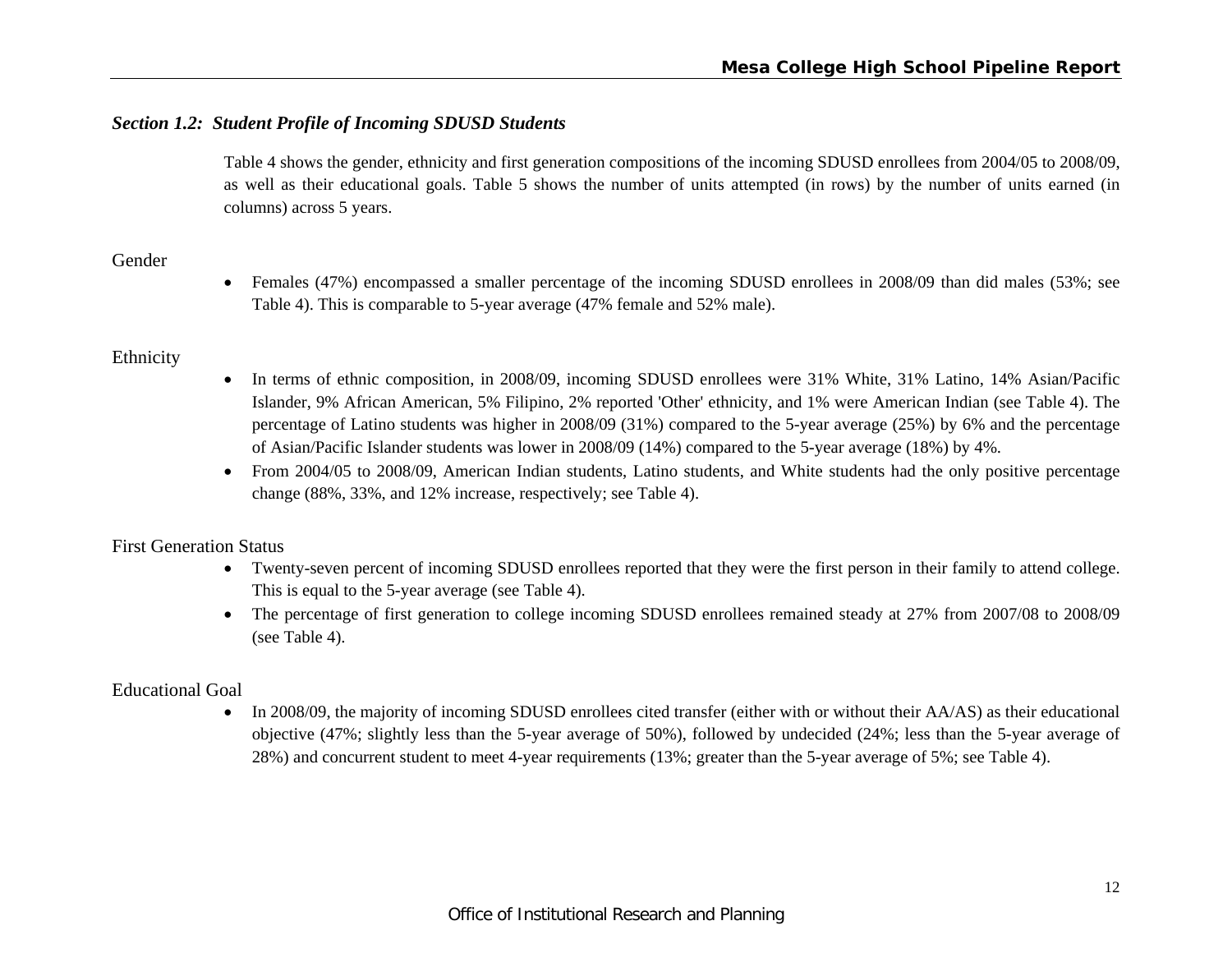# *Section 1.2: Student Profile of Incoming SDUSD Students*

Table 4 shows the gender, ethnicity and first generation compositions of the incoming SDUSD enrollees from 2004/05 to 2008/09, as well as their educational goals. Table 5 shows the number of units attempted (in rows) by the number of units earned (in columns) across 5 years.

# Gender

 Females (47%) encompassed a smaller percentage of the incoming SDUSD enrollees in 2008/09 than did males (53%; see Table 4). This is comparable to 5-year average (47% female and 52% male).

# Ethnicity

- In terms of ethnic composition, in 2008/09, incoming SDUSD enrollees were 31% White, 31% Latino, 14% Asian/Pacific Islander, 9% African American, 5% Filipino, 2% reported 'Other' ethnicity, and 1% were American Indian (see Table 4). The percentage of Latino students was higher in 2008/09 (31%) compared to the 5-year average (25%) by 6% and the percentage of Asian/Pacific Islander students was lower in 2008/09 (14%) compared to the 5-year average (18%) by 4%.
- From 2004/05 to 2008/09, American Indian students, Latino students, and White students had the only positive percentage change (88%, 33%, and 12% increase, respectively; see Table 4).

# First Generation Status

- Twenty-seven percent of incoming SDUSD enrollees reported that they were the first person in their family to attend college. This is equal to the 5-year average (see Table 4).
- The percentage of first generation to college incoming SDUSD enrollees remained steady at 27% from 2007/08 to 2008/09 (see Table 4).

# Educational Goal

In 2008/09, the majority of incoming SDUSD enrollees cited transfer (either with or without their AA/AS) as their educational objective (47%; slightly less than the 5-year average of 50%), followed by undecided (24%; less than the 5-year average of 28%) and concurrent student to meet 4-year requirements (13%; greater than the 5-year average of 5%; see Table 4).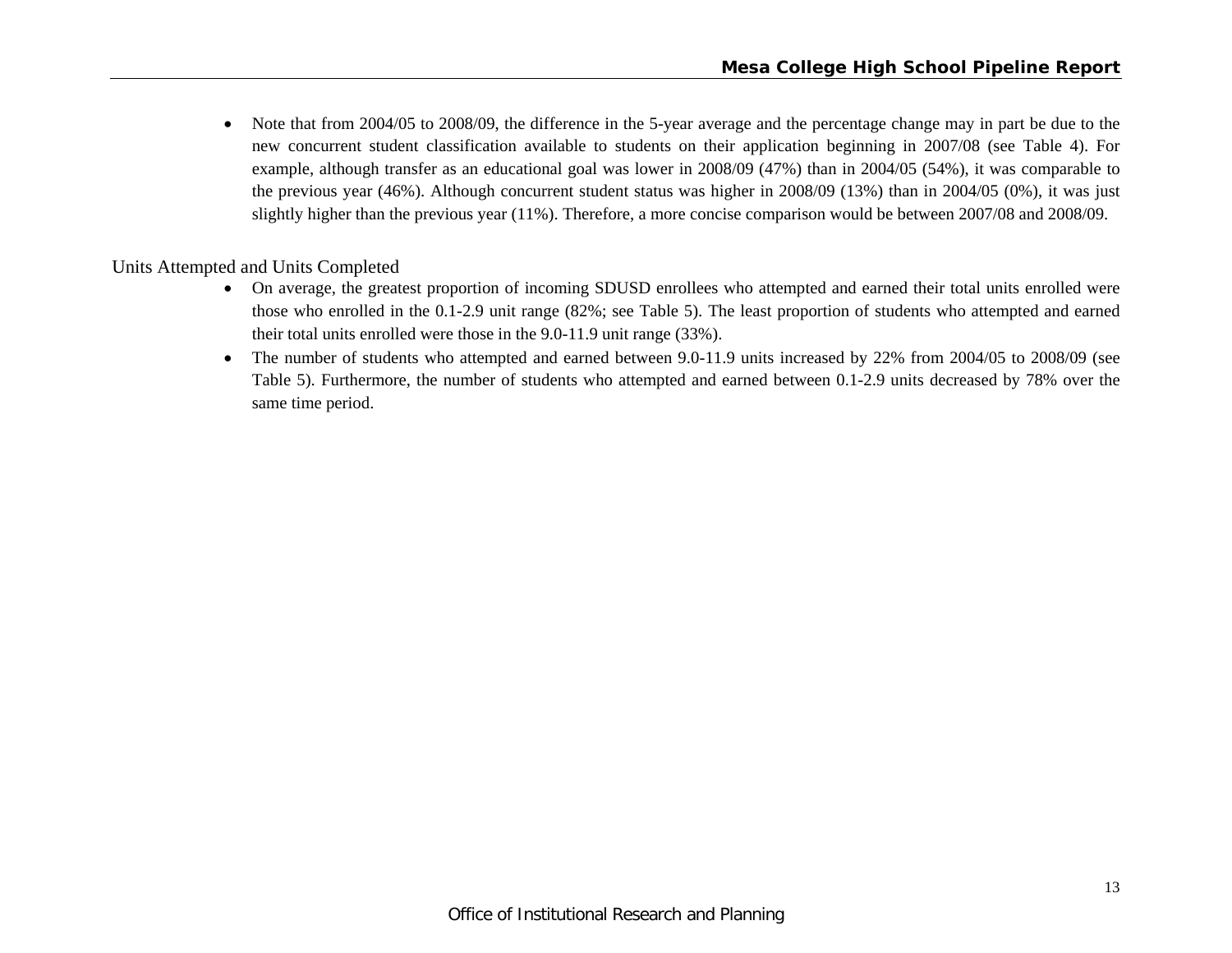$\bullet$  Note that from 2004/05 to 2008/09, the difference in the 5-year average and the percentage change may in part be due to the new concurrent student classification available to students on their application beginning in 2007/08 (see Table 4). For example, although transfer as an educational goal was lower in 2008/09 (47%) than in 2004/05 (54%), it was comparable to the previous year (46%). Although concurrent student status was higher in 2008/09 (13%) than in 2004/05 (0%), it was just slightly higher than the previous year (11%). Therefore, a more concise comparison would be between 2007/08 and 2008/09.

Units Attempted and Units Completed

- On average, the greatest proportion of incoming SDUSD enrollees who attempted and earned their total units enrolled were those who enrolled in the 0.1-2.9 unit range (82%; see Table 5). The least proportion of students who attempted and earned their total units enrolled were those in the 9.0-11.9 unit range (33%).
- $\bullet$  The number of students who attempted and earned between 9.0-11.9 units increased by 22% from 2004/05 to 2008/09 (see Table 5). Furthermore, the number of students who attempted and earned between 0.1-2.9 units decreased by 78% over the same time period.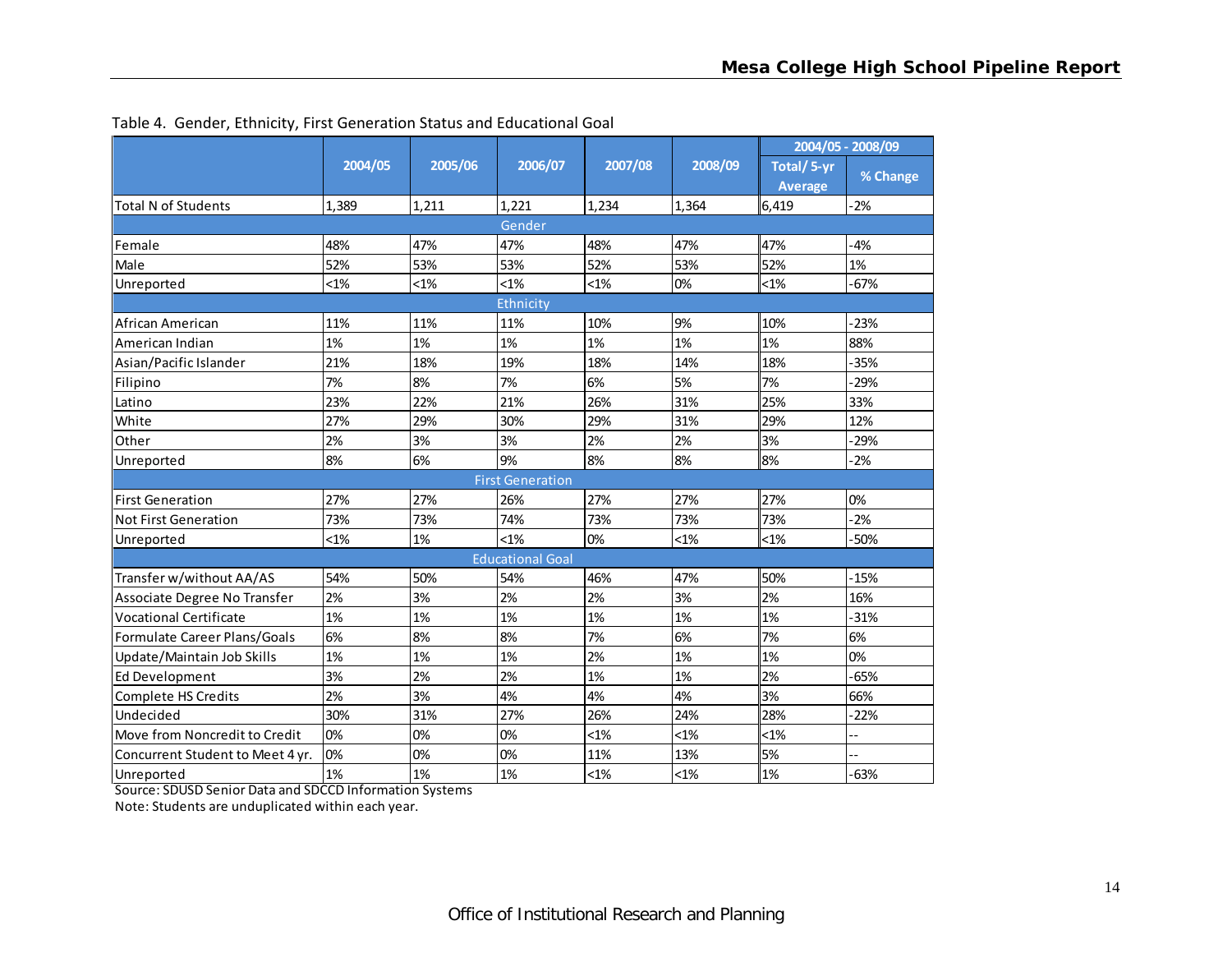|                                     |         |         |                         |         |         |                       | 2004/05 - 2008/09 |
|-------------------------------------|---------|---------|-------------------------|---------|---------|-----------------------|-------------------|
|                                     | 2004/05 | 2005/06 | 2006/07                 | 2007/08 | 2008/09 | Total/5-yr<br>Average | % Change          |
| <b>Total N of Students</b>          | 1,389   | 1,211   | 1,221                   | 1,234   | 1,364   | 6,419                 | $-2%$             |
|                                     |         |         | Gender                  |         |         |                       |                   |
| Female                              | 48%     | 47%     | 47%                     | 48%     | 47%     | 47%                   | $-4%$             |
| Male                                | 52%     | 53%     | 53%                     | 52%     | 53%     | 52%                   | 1%                |
| Unreported                          | $< 1\%$ | $< 1\%$ | $< 1\%$                 | $< 1\%$ | 0%      | $< 1\%$               | $-67%$            |
|                                     |         |         | Ethnicity               |         |         |                       |                   |
| African American                    | 11%     | 11%     | 11%                     | 10%     | 9%      | 10%                   | $-23%$            |
| American Indian                     | 1%      | 1%      | 1%                      | 1%      | 1%      | 1%                    | 88%               |
| Asian/Pacific Islander              | 21%     | 18%     | 19%                     | 18%     | 14%     | 18%                   | $-35%$            |
| Filipino                            | 7%      | 8%      | 7%                      | 6%      | 5%      | 7%                    | -29%              |
| Latino                              | 23%     | 22%     | 21%                     | 26%     | 31%     | 25%                   | 33%               |
| White                               | 27%     | 29%     | 30%                     | 29%     | 31%     | 29%                   | 12%               |
| Other                               | 2%      | 3%      | 3%                      | 2%      | 2%      | 3%                    | $-29%$            |
| Unreported                          | 8%      | 6%      | 9%                      | 8%      | 8%      | 8%                    | $-2%$             |
|                                     |         |         | <b>First Generation</b> |         |         |                       |                   |
| <b>First Generation</b>             | 27%     | 27%     | 26%                     | 27%     | 27%     | 27%                   | 0%                |
| <b>Not First Generation</b>         | 73%     | 73%     | 74%                     | 73%     | 73%     | 73%                   | $-2%$             |
| Unreported                          | $< 1\%$ | 1%      | $< 1\%$                 | 0%      | $< 1\%$ | $< 1\%$               | $-50%$            |
|                                     |         |         | <b>Educational Goal</b> |         |         |                       |                   |
| Transfer w/without AA/AS            | 54%     | 50%     | 54%                     | 46%     | 47%     | 50%                   | $-15%$            |
| Associate Degree No Transfer        | 2%      | 3%      | 2%                      | 2%      | 3%      | 2%                    | 16%               |
| <b>Vocational Certificate</b>       | 1%      | 1%      | 1%                      | 1%      | 1%      | 1%                    | $-31%$            |
| <b>Formulate Career Plans/Goals</b> | 6%      | 8%      | 8%                      | 7%      | 6%      | 7%                    | 6%                |
| Update/Maintain Job Skills          | 1%      | 1%      | 1%                      | 2%      | 1%      | 1%                    | 0%                |
| <b>Ed Development</b>               | 3%      | 2%      | 2%                      | 1%      | 1%      | 2%                    | $-65%$            |
| <b>Complete HS Credits</b>          | 2%      | 3%      | 4%                      | 4%      | 4%      | 3%                    | 66%               |
| Undecided                           | 30%     | 31%     | 27%                     | 26%     | 24%     | 28%                   | $-22%$            |
| Move from Noncredit to Credit       | 0%      | 0%      | 0%                      | $< 1\%$ | $< 1\%$ | $< 1\%$               | --                |
| Concurrent Student to Meet 4 yr.    | 0%      | 0%      | 0%                      | 11%     | 13%     | 5%                    |                   |
| Unreported                          | 1%      | 1%      | 1%                      | $< 1\%$ | $< 1\%$ | 1%                    | $-63%$            |

Table 4. Gender, Ethnicity, First Generation Status and Educational Goal

Source: SDUSD Senior Data and SDCCD Information Systems

Note: Students are unduplicated within each year.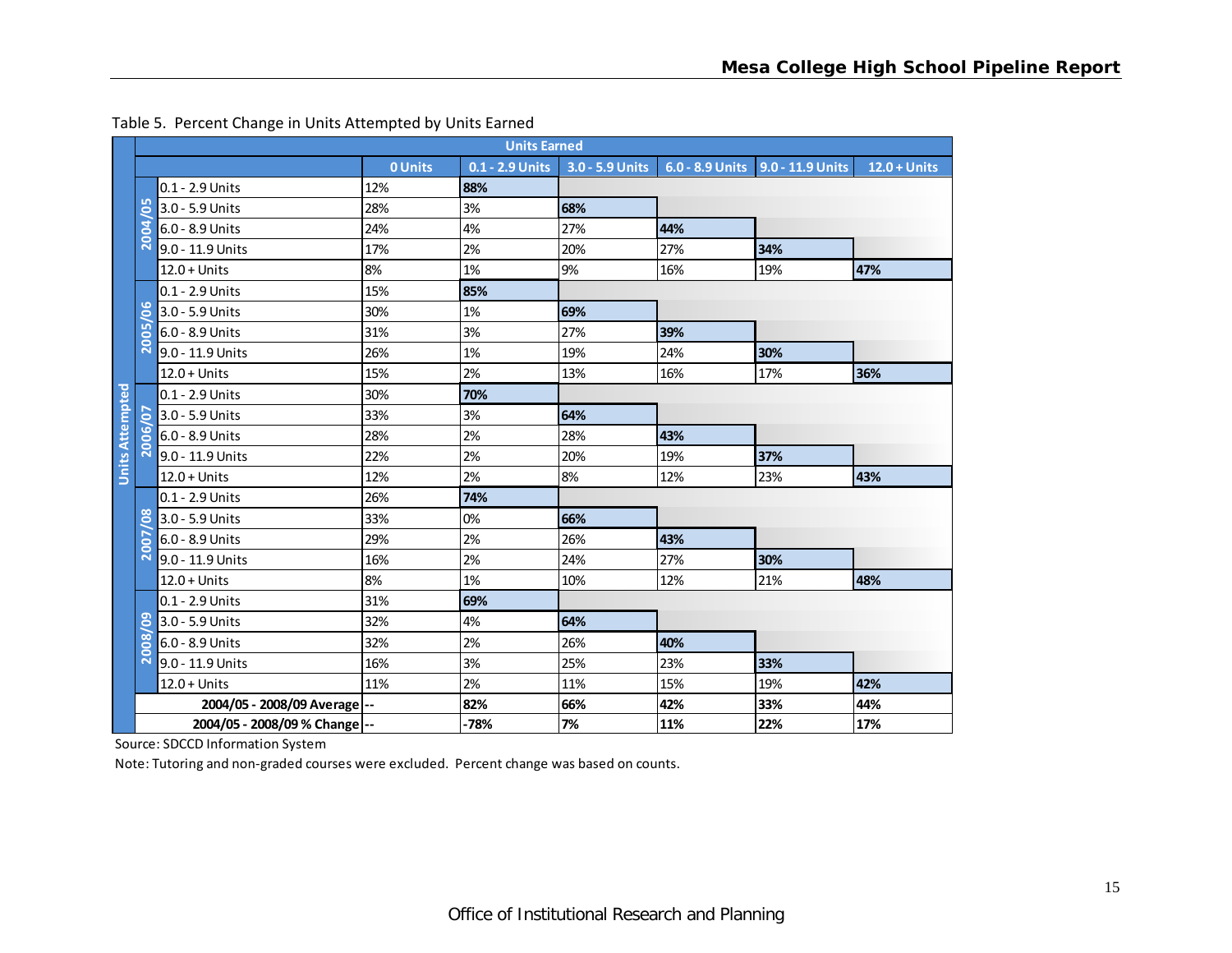|                        | <b>Units Earned</b>     |                               |                |      |                                 |     |                                    |                |  |  |  |
|------------------------|-------------------------|-------------------------------|----------------|------|---------------------------------|-----|------------------------------------|----------------|--|--|--|
|                        |                         |                               | <b>0 Units</b> |      | 0.1 - 2.9 Units 3.0 - 5.9 Units |     | 6.0 - 8.9 Units   9.0 - 11.9 Units | $12.0 + Units$ |  |  |  |
|                        |                         | 0.1 - 2.9 Units               | 12%            | 88%  |                                 |     |                                    |                |  |  |  |
|                        | L٨<br>0                 | 3.0 - 5.9 Units               | 28%            | 3%   | 68%                             |     |                                    |                |  |  |  |
|                        | ₹<br>Ó<br>ŏ             | 6.0 - 8.9 Units               | 24%            | 4%   | 27%                             | 44% |                                    |                |  |  |  |
|                        | $\overline{\mathbf{N}}$ | 9.0 - 11.9 Units              | 17%            | 2%   | 20%                             | 27% | 34%                                |                |  |  |  |
|                        |                         | $12.0 + Units$                | 8%             | 1%   | 9%                              | 16% | 19%                                | 47%            |  |  |  |
|                        |                         | 0.1 - 2.9 Units               | 15%            | 85%  |                                 |     |                                    |                |  |  |  |
|                        | <b>LO</b><br>0          | 3.0 - 5.9 Units               | 30%            | 1%   | 69%                             |     |                                    |                |  |  |  |
|                        | <b>LO</b><br>8          | 6.0 - 8.9 Units               | 31%            | 3%   | 27%                             | 39% |                                    |                |  |  |  |
|                        | $\overline{\mathsf{N}}$ | 9.0 - 11.9 Units              | 26%            | 1%   | 19%                             | 24% | 30%                                |                |  |  |  |
|                        |                         | $12.0 + Units$                | 15%            | 2%   | 13%                             | 16% | 17%                                | 36%            |  |  |  |
| <b>Units Attempted</b> |                         | $0.1 - 2.9$ Units             | 30%            | 70%  |                                 |     |                                    |                |  |  |  |
|                        | 5                       | 3.0 - 5.9 Units               | 33%            | 3%   | 64%                             |     |                                    |                |  |  |  |
|                        | 2006                    | 6.0 - 8.9 Units               | 28%            | 2%   | 28%                             | 43% |                                    |                |  |  |  |
|                        |                         | 9.0 - 11.9 Units              | 22%            | 2%   | 20%                             | 19% | 37%                                |                |  |  |  |
|                        |                         | $12.0 + Units$                | 12%            | 2%   | 8%                              | 12% | 23%                                | 43%            |  |  |  |
|                        |                         | 0.1 - 2.9 Units               | 26%            | 74%  |                                 |     |                                    |                |  |  |  |
|                        | $\frac{8}{2}$           | 3.0 - 5.9 Units               | 33%            | 0%   | 66%                             |     |                                    |                |  |  |  |
|                        | c                       | 6.0 - 8.9 Units               | 29%            | 2%   | 26%                             | 43% |                                    |                |  |  |  |
|                        | $\overline{20}$         | 9.0 - 11.9 Units              | 16%            | 2%   | 24%                             | 27% | 30%                                |                |  |  |  |
|                        |                         | $12.0 + Units$                | 8%             | 1%   | 10%                             | 12% | 21%                                | 48%            |  |  |  |
|                        |                         | 0.1 - 2.9 Units               | 31%            | 69%  |                                 |     |                                    |                |  |  |  |
|                        | ெ<br>o                  | 3.0 - 5.9 Units               | 32%            | 4%   | 64%                             |     |                                    |                |  |  |  |
|                        | $\infty$<br>8           | 6.0 - 8.9 Units               | 32%            | 2%   | 26%                             | 40% |                                    |                |  |  |  |
|                        | $\overline{\mathbf{N}}$ | 9.0 - 11.9 Units              | 16%            | 3%   | 25%                             | 23% | 33%                                |                |  |  |  |
|                        |                         | $12.0 + Units$                | 11%            | 2%   | 11%                             | 15% | 19%                                | 42%            |  |  |  |
|                        |                         | 2004/05 - 2008/09 Average --  |                | 82%  | 66%                             | 42% | 33%                                | 44%            |  |  |  |
|                        |                         | 2004/05 - 2008/09 % Change -- |                | -78% | 7%                              | 11% | 22%                                | 17%            |  |  |  |

#### Table 5. Percent Change in Units Attempted by Units Earned

Source: SDCCD Information System

Note: Tutoring and non‐graded courses were excluded. Percent change was based on counts.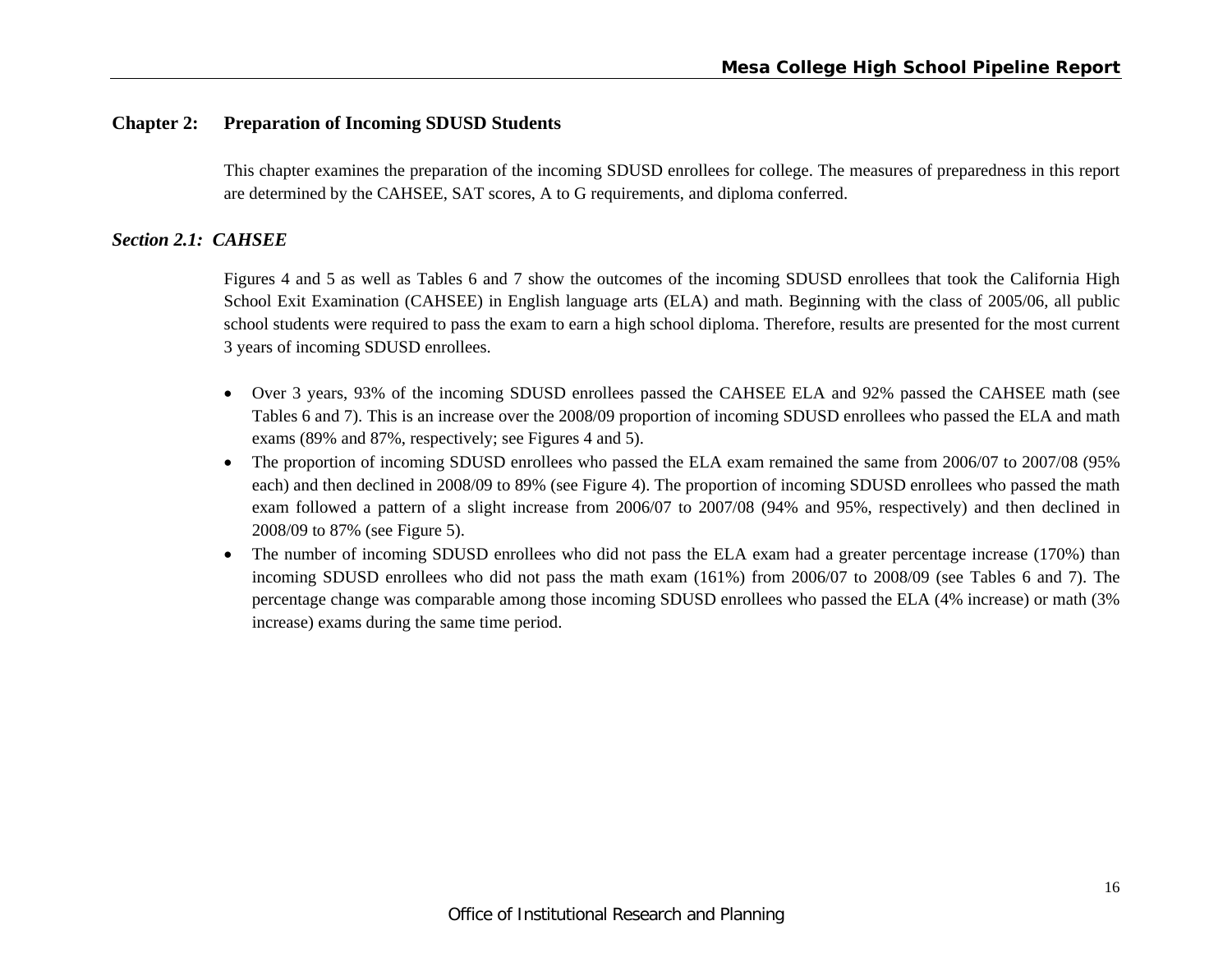#### **Chapter 2: Preparation of Incoming SDUSD Students**

This chapter examines the preparation of the incoming SDUSD enrollees for college. The measures of preparedness in this report are determined by the CAHSEE, SAT scores, A to G requirements, and diploma conferred.

#### *Section 2.1: CAHSEE*

Figures 4 and 5 as well as Tables 6 and 7 show the outcomes of the incoming SDUSD enrollees that took the California High School Exit Examination (CAHSEE) in English language arts (ELA) and math. Beginning with the class of 2005/06, all public school students were required to pass the exam to earn a high school diploma. Therefore, results are presented for the most current 3 years of incoming SDUSD enrollees.

- Over 3 years, 93% of the incoming SDUSD enrollees passed the CAHSEE ELA and 92% passed the CAHSEE math (see Tables 6 and 7). This is an increase over the 2008/09 proportion of incoming SDUSD enrollees who passed the ELA and math exams (89% and 87%, respectively; see Figures 4 and 5).
- The proportion of incoming SDUSD enrollees who passed the ELA exam remained the same from 2006/07 to 2007/08 (95% each) and then declined in 2008/09 to 89% (see Figure 4). The proportion of incoming SDUSD enrollees who passed the math exam followed a pattern of a slight increase from 2006/07 to 2007/08 (94% and 95%, respectively) and then declined in 2008/09 to 87% (see Figure 5).
- $\bullet$  The number of incoming SDUSD enrollees who did not pass the ELA exam had a greater percentage increase (170%) than incoming SDUSD enrollees who did not pass the math exam (161%) from 2006/07 to 2008/09 (see Tables 6 and 7). The percentage change was comparable among those incoming SDUSD enrollees who passed the ELA (4% increase) or math (3% increase) exams during the same time period.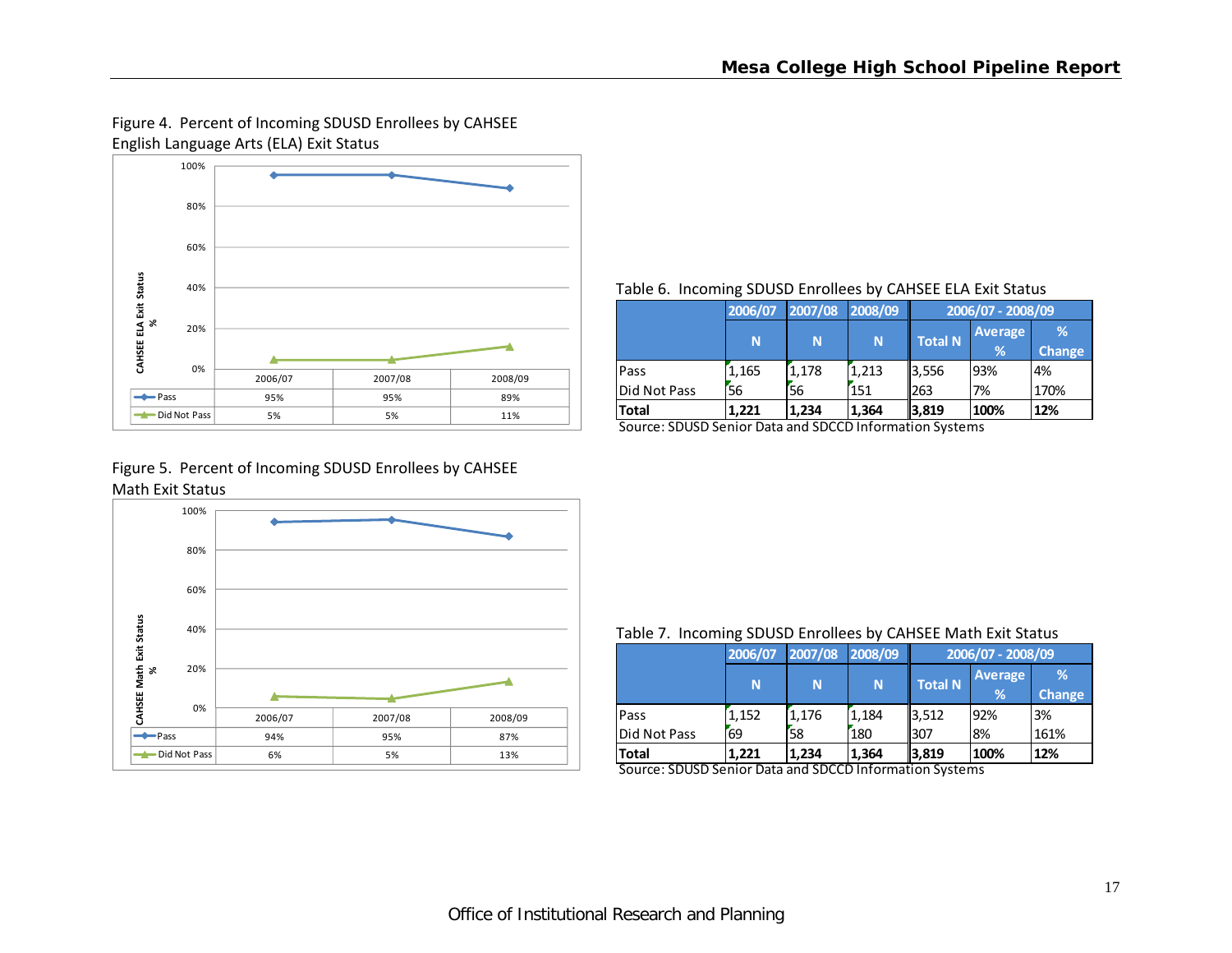# Figure 4. Percent of Incoming SDUSD Enrollees by CAHSEE English Language Arts (ELA) Exit Status



#### Table 6. Incoming SDUSD Enrollees by CAHSEE ELA Exit Status

|              | 2006/07 | 2007/08 2008/09 |       | 2006/07 - 2008/09 |                |               |
|--------------|---------|-----------------|-------|-------------------|----------------|---------------|
|              | N       | N               | N     | <b>Total N</b>    | <b>Average</b> | %             |
|              |         |                 |       |                   | %              | <b>Change</b> |
| Pass         | 1.165   | 1,178           | 1,213 | 3,556             | 93%            | 4%            |
| Did Not Pass | 56      | 56              | 151   | 263               | 7%             | 170%          |
| <b>Total</b> | 1.221   | 1.234           | 1,364 | 3,819             | 100%           | 12%           |

Source: SDUSD Senior Data and SDCCD Information Systems

#### Figure 5. Percent of Incoming SDUSD Enrollees by CAHSEE Math Exit Status



#### Table 7. Incoming SDUSD Enrollees by CAHSEE Math Exit Status

|              | 2006/07 | 2007/08 | 2008/09 | 2006/07 - 2008/09 |                     |                    |  |
|--------------|---------|---------|---------|-------------------|---------------------|--------------------|--|
|              | N       | N       | N       | <b>Total N</b>    | <b>Average</b><br>% | %<br><b>Change</b> |  |
| Pass         | 1.152   | 1.176   | 1.184   | 3,512             | 92%                 | 3%                 |  |
| Did Not Pass | 69      | 58      | 180     | l307              | 8%                  | 161%               |  |
| <b>Total</b> | 1.221   | 1.234   | 1,364   | 3,819             | 100%                | 12%                |  |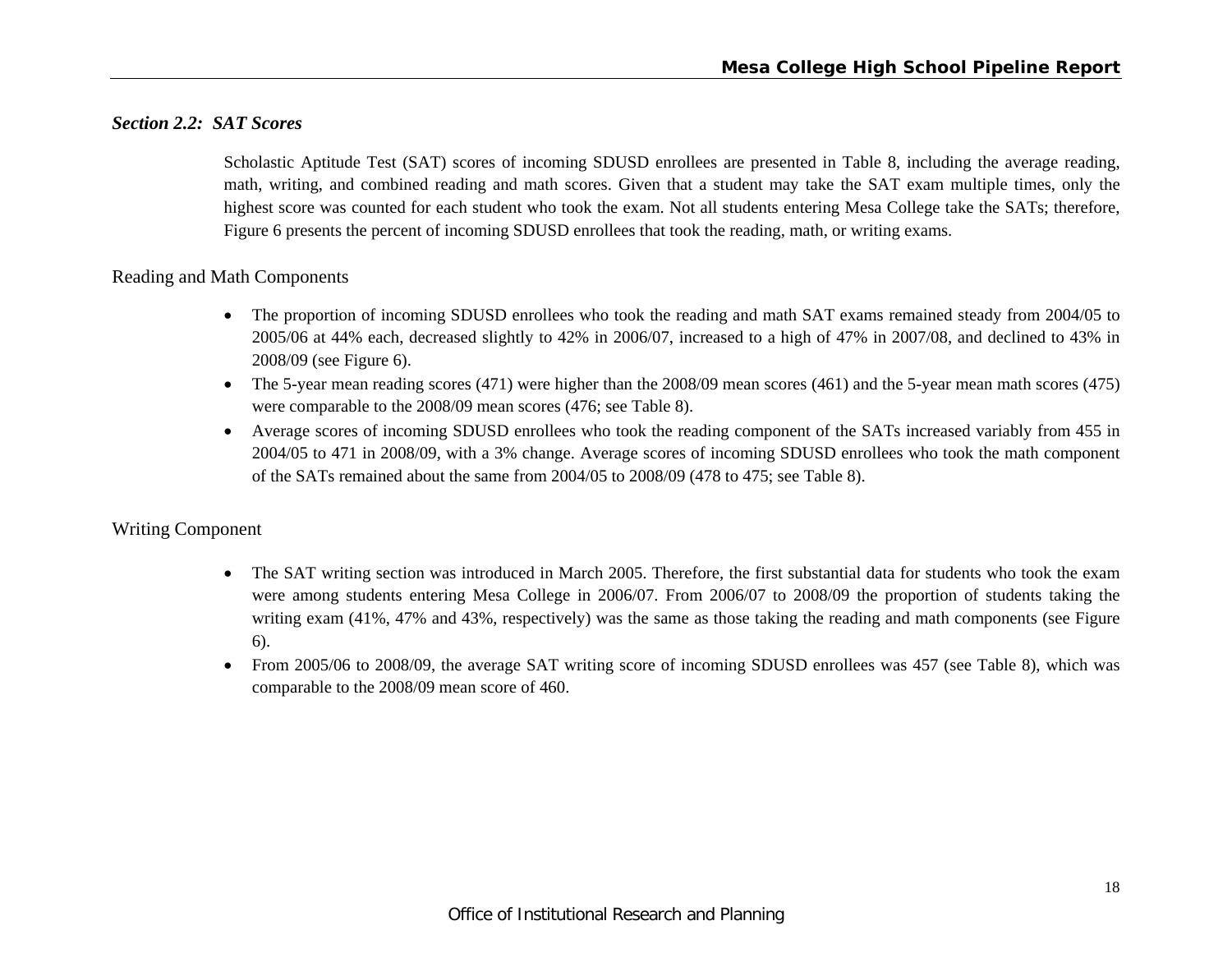#### *Section 2.2: SAT Scores*

Scholastic Aptitude Test (SAT) scores of incoming SDUSD enrollees are presented in Table 8, including the average reading, math, writing, and combined reading and math scores. Given that a student may take the SAT exam multiple times, only the highest score was counted for each student who took the exam. Not all students entering Mesa College take the SATs; therefore, Figure 6 presents the percent of incoming SDUSD enrollees that took the reading, math, or writing exams.

#### Reading and Math Components

- The proportion of incoming SDUSD enrollees who took the reading and math SAT exams remained steady from 2004/05 to 2005/06 at 44% each, decreased slightly to 42% in 2006/07, increased to a high of 47% in 2007/08, and declined to 43% in 2008/09 (see Figure 6).
- The 5-year mean reading scores (471) were higher than the 2008/09 mean scores (461) and the 5-year mean math scores (475) were comparable to the 2008/09 mean scores (476; see Table 8).
- Average scores of incoming SDUSD enrollees who took the reading component of the SATs increased variably from 455 in 2004/05 to 471 in 2008/09, with a 3% change. Average scores of incoming SDUSD enrollees who took the math component of the SATs remained about the same from 2004/05 to 2008/09 (478 to 475; see Table 8).

#### Writing Component

- e The SAT writing section was introduced in March 2005. Therefore, the first substantial data for students who took the exam were among students entering Mesa College in 2006/07. From 2006/07 to 2008/09 the proportion of students taking the writing exam (41%, 47% and 43%, respectively) was the same as those taking the reading and math components (see Figure 6).
- $\bullet$  From 2005/06 to 2008/09, the average SAT writing score of incoming SDUSD enrollees was 457 (see Table 8), which was comparable to the 2008/09 mean score of 460.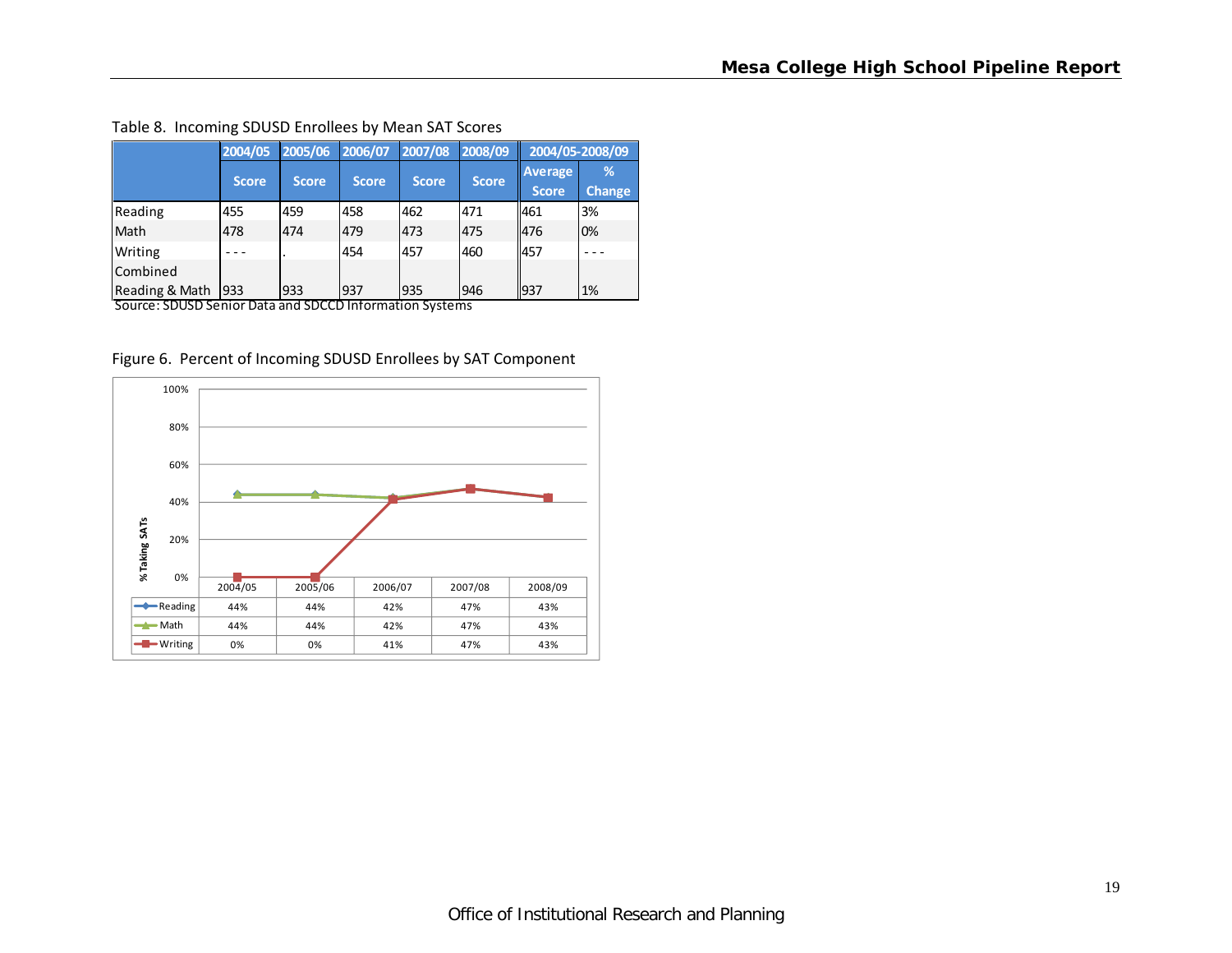|                | 2004/05      | 2005/06      | 2006/07      | 2007/08      | 2008/09      |                         | 2004/05-2008/09    |
|----------------|--------------|--------------|--------------|--------------|--------------|-------------------------|--------------------|
|                | <b>Score</b> | <b>Score</b> | <b>Score</b> | <b>Score</b> | <b>Score</b> | Average<br><b>Score</b> | %<br><b>Change</b> |
| Reading        | 455          | 459          | 458          | 462          | 471          | 461                     | 3%                 |
| Math           | 478          | 474          | 479          | 473          | 475          | 476                     | 0%                 |
| Writing        |              |              | 454          | 457          | 460          | 457                     |                    |
| Combined       |              |              |              |              |              |                         |                    |
| Reading & Math | 933          | 933          | 937          | 935          | 946          | 937                     | 1%                 |

#### Table 8. Incoming SDUSD Enrollees by Mean SAT Scores

Figure 6. Percent of Incoming SDUSD Enrollees by SAT Component

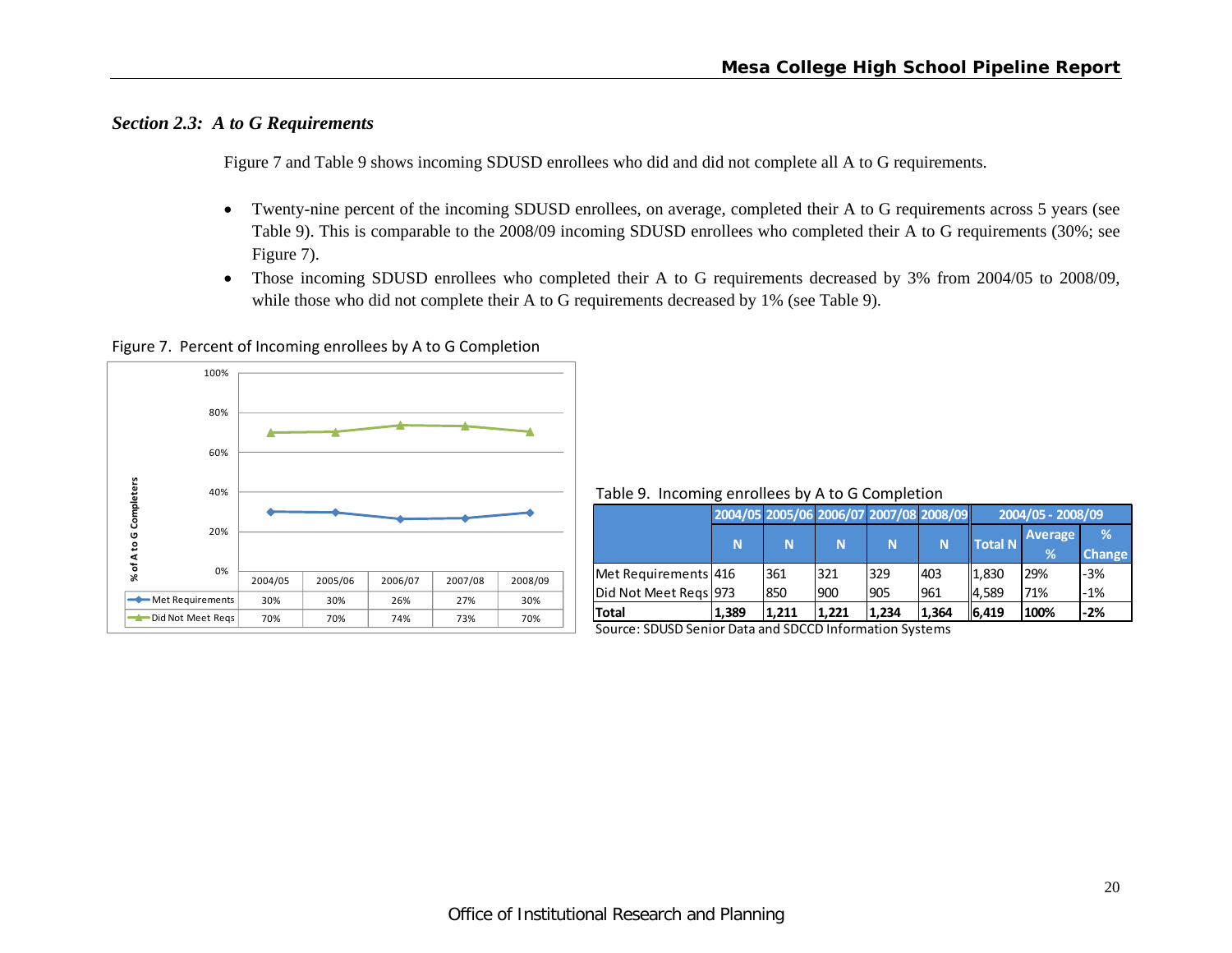# *Section 2.3: A to G Requirements*

Figure 7 and Table 9 shows incoming SDUSD enrollees who did and did not complete all A to G requirements.

- $\bullet$  Twenty-nine percent of the incoming SDUSD enrollees, on average, completed their A to G requirements across 5 years (see Table 9). This is comparable to the 2008/09 incoming SDUSD enrollees who completed their A to G requirements (30%; see Figure 7).
- $\bullet$  Those incoming SDUSD enrollees who completed their A to G requirements decreased by 3% from 2004/05 to 2008/09, while those who did not complete their A to G requirements decreased by 1% (see Table 9).

Figure 7. Percent of Incoming enrollees by A to G Completion



Table 9. Incoming enrollees by A to G Completion

|                                                                              |       | 2004/05 2005/06 2006/07 2007/08 2008/09 |       |       |       | 2004/05 - 2008/09 |                |               |
|------------------------------------------------------------------------------|-------|-----------------------------------------|-------|-------|-------|-------------------|----------------|---------------|
|                                                                              |       |                                         |       |       |       | <b>Total N</b>    | <b>Average</b> | %             |
|                                                                              | N     | N                                       | N     | N     | N     |                   | %              | <b>Change</b> |
|                                                                              |       | 361                                     | 321   | 329   | 403   | 1,830             | 29%            | $-3%$         |
|                                                                              |       | 850                                     | 900   | 905   | 961   | <b>4.589</b>      | 71%            | $-1%$         |
|                                                                              | 1,389 | 1.211                                   | 1.221 | 1.234 | 1.364 | 6,419             | 100%           | $-2%$         |
| Met Requirements 416<br>Did Not Meet Regs 973<br>Total<br>$\sim$<br>$\cdots$ | _ _   | $\cdots$                                |       | . .   |       |                   |                |               |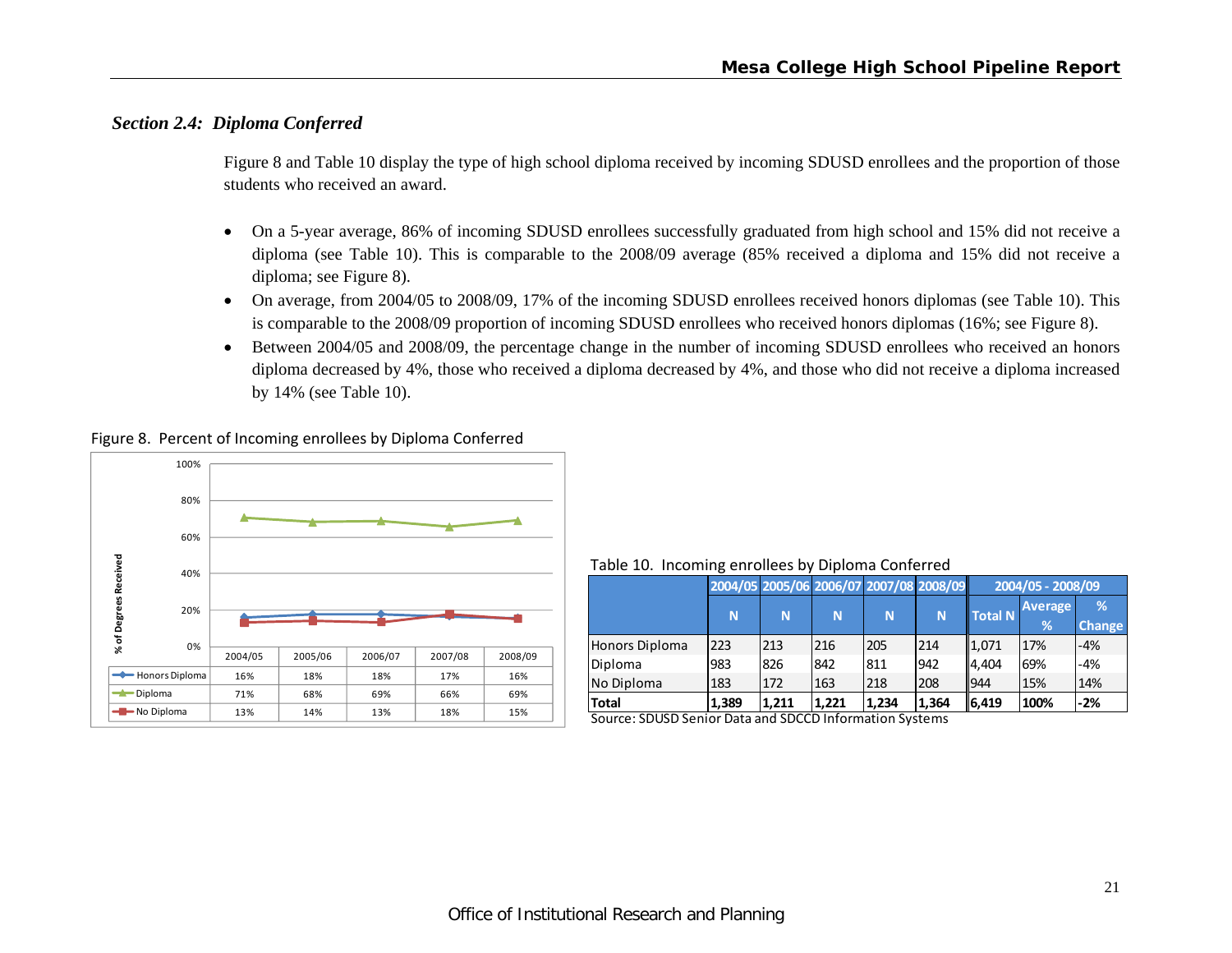# *Section 2.4: Diploma Conferred*

Figure 8 and Table 10 display the type of high school diploma received by incoming SDUSD enrollees and the proportion of those students who received an award.

- $\bullet$  On a 5-year average, 86% of incoming SDUSD enrollees successfully graduated from high school and 15% did not receive a diploma (see Table 10). This is comparable to the 2008/09 average (85% received a diploma and 15% did not receive a diploma; see Figure 8).
- On average, from 2004/05 to 2008/09, 17% of the incoming SDUSD enrollees received honors diplomas (see Table 10). This is comparable to the 2008/09 proportion of incoming SDUSD enrollees who received honors diplomas (16%; see Figure 8).
- $\bullet$  Between 2004/05 and 2008/09, the percentage change in the number of incoming SDUSD enrollees who received an honors diploma decreased by 4%, those who received a diploma decreased by 4%, and those who did not receive a diploma increased by 14% (see Table 10).





Table 10. Incoming enrollees by Diploma Conferred

|                        |       | 2004/05 2005/06 2006/07 2007/08 2008/09 |       |       |       |                | 2004/05 - 2008/09   |                    |
|------------------------|-------|-----------------------------------------|-------|-------|-------|----------------|---------------------|--------------------|
|                        | N     | N                                       | N     | N     | N.    | <b>Total N</b> | <b>Average</b><br>% | %<br><b>Change</b> |
| Honors Diploma         | 223   | 213                                     | 216   | 205   | 214   | 1,071          | 17%                 | $-4%$              |
| Diploma                | 983   | 826                                     | 842   | 811   | 942   | 4.404          | 69%                 | -4%                |
| No Diploma             | 183   | 172                                     | 163   | 218   | 208   | 944            | 15%                 | 14%                |
| <b>Total</b><br>------ | 1.389 | 1.211<br>$- - - - -$                    | 1.221 | 1.234 | 1.364 | 16,419         | 100%                | -2%                |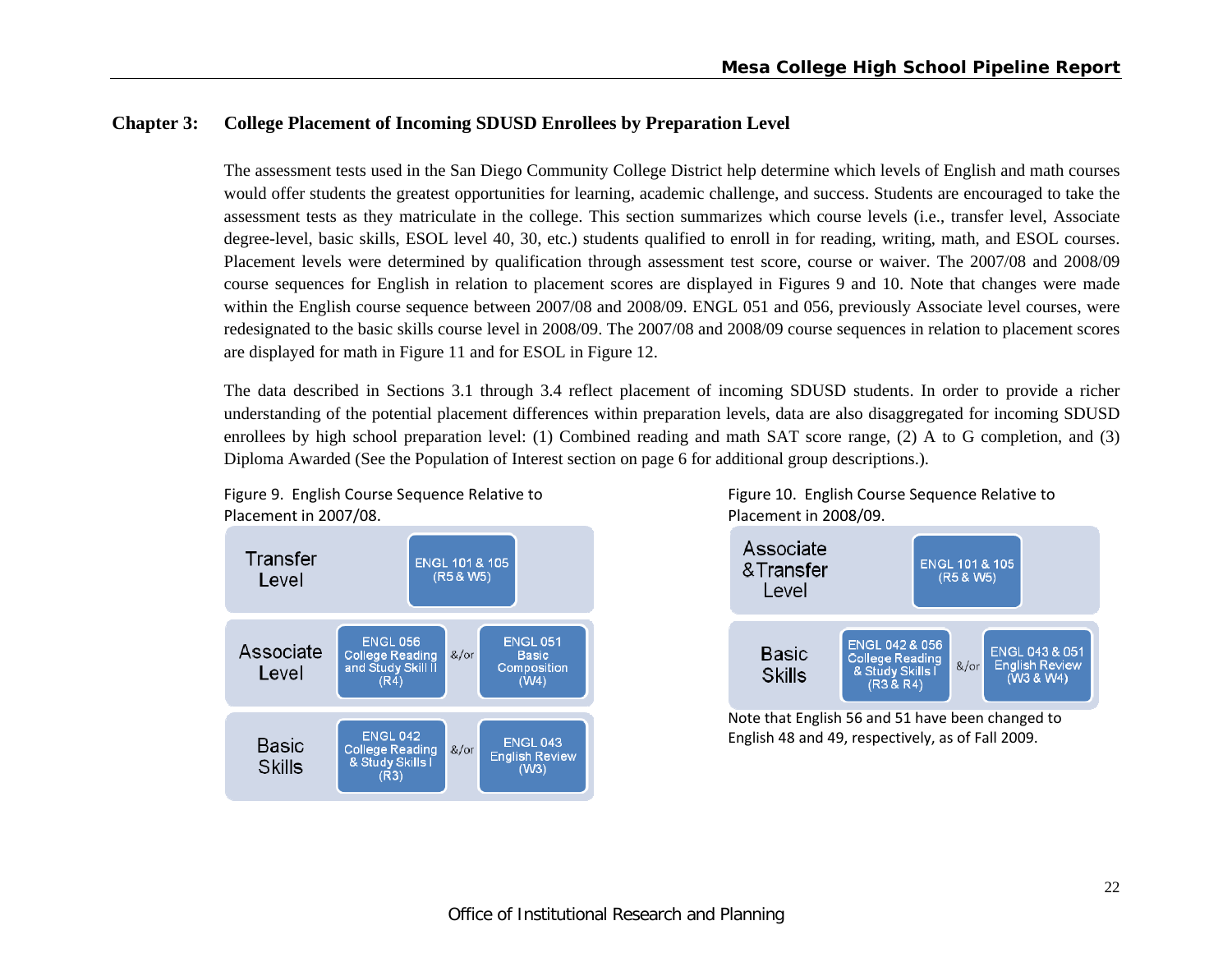# **Chapter 3: College Placement of Incoming SDUSD Enrollees by Preparation Level**

The assessment tests used in the San Diego Community College District help determine which levels of English and math courses would offer students the greatest opportunities for learning, academic challenge, and success. Students are encouraged to take the assessment tests as they matriculate in the college. This section summarizes which course levels (i.e., transfer level, Associate degree-level, basic skills, ESOL level 40, 30, etc.) students qualified to enroll in for reading, writing, math, and ESOL courses. Placement levels were determined by qualification through assessment test score, course or waiver. The 2007/08 and 2008/09 course sequences for English in relation to placement scores are displayed in Figures 9 and 10. Note that changes were made within the English course sequence between 2007/08 and 2008/09. ENGL 051 and 056, previously Associate level courses, were redesignated to the basic skills course level in 2008/09. The 2007/08 and 2008/09 course sequences in relation to placement scores are displayed for math in Figure 11 and for ESOL in Figure 12.

The data described in Sections 3.1 through 3.4 reflect placement of incoming SDUSD students. In order to provide a richer understanding of the potential placement differences within preparation levels, data are also disaggregated for incoming SDUSD enrollees by high school preparation level: (1) Combined reading and math SAT score range, (2) A to G completion, and (3) Diploma Awarded (See the Population of Interest section on page 6 for additional group descriptions.).



Figure 9. English Course Sequence Relative to Figure 10. English Course Sequence Relative to 2007/08. Placement in 2008/09.



Note that English 56 and 51 have been changed to English 48 and 49, respectively, as of Fall 2009.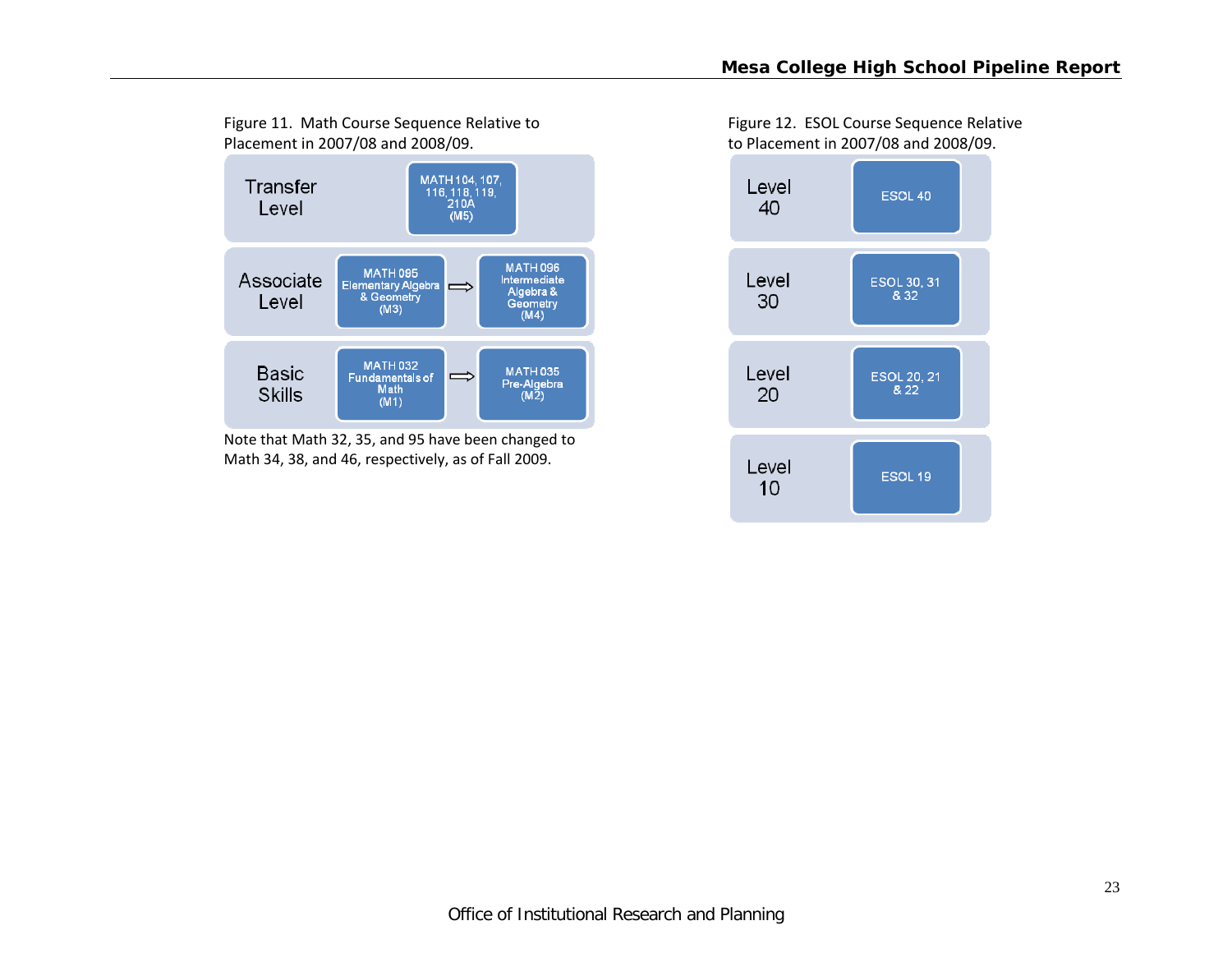

Note that Math 32, 35, and 95 have been changed to Math 34, 38, and 46, respectively, as of Fall 2009.

Figure 11. Math Course Sequence Relative to Figure 12. ESOL Course Sequence Relative 2007/08 and 2008/09. to Placement in 2007/08 and 2008/09.

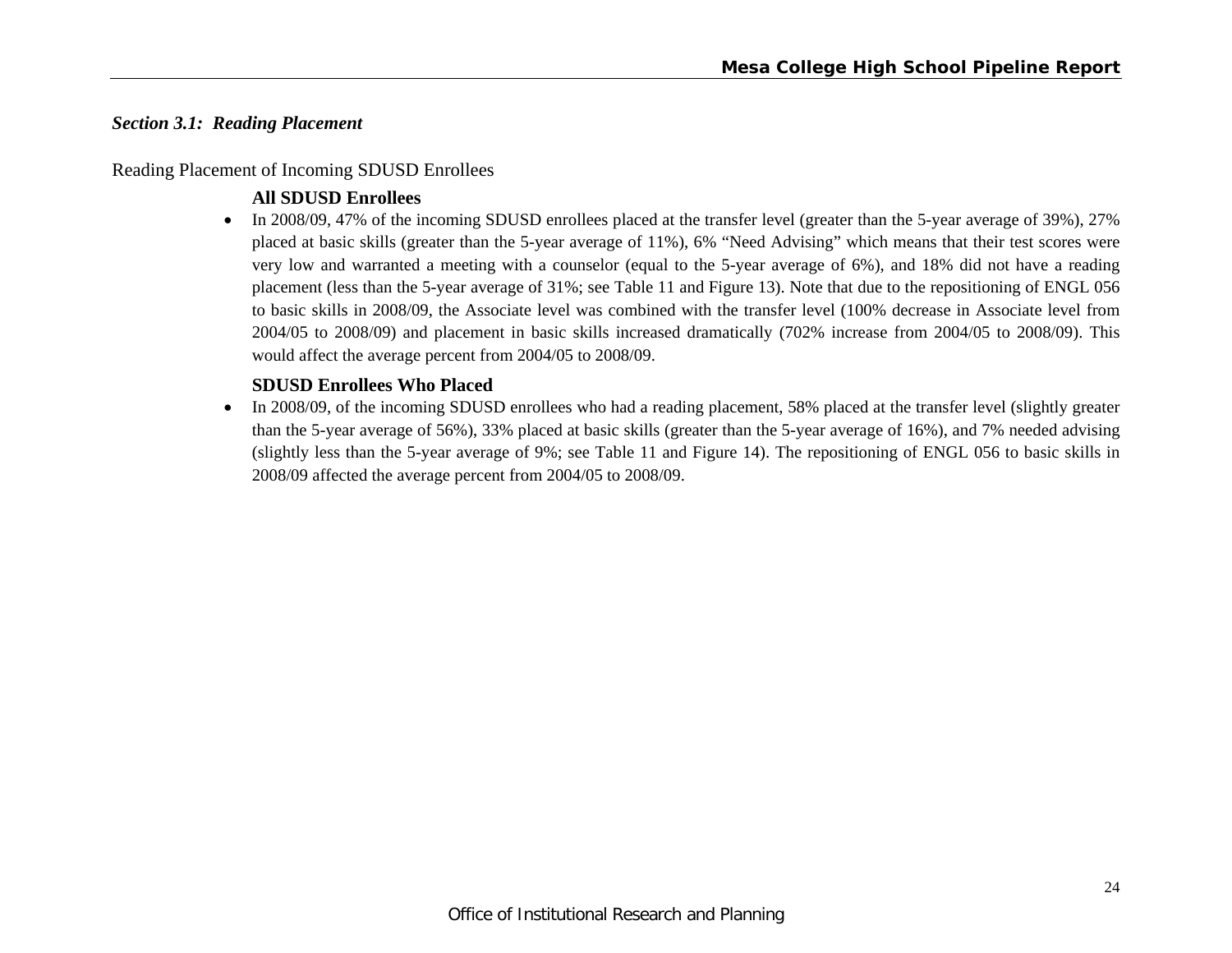# *Section 3.1: Reading Placement*

#### Reading Placement of Incoming SDUSD Enrollees

### **All SDUSD Enrollees**

• In 2008/09, 47% of the incoming SDUSD enrollees placed at the transfer level (greater than the 5-year average of 39%), 27% placed at basic skills (greater than the 5-year average of 11%), 6% "Need Advising" which means that their test scores were very low and warranted a meeting with a counselor (equal to the 5-year average of 6%), and 18% did not have a reading placement (less than the 5-year average of 31%; see Table 11 and Figure 13). Note that due to the repositioning of ENGL 056 to basic skills in 2008/09, the Associate level was combined with the transfer level (100% decrease in Associate level from 2004/05 to 2008/09) and placement in basic skills increased dramatically (702% increase from 2004/05 to 2008/09). This would affect the average percent from 2004/05 to 2008/09.

#### **SDUSD Enrollees Who Placed**

 $\bullet$  In 2008/09, of the incoming SDUSD enrollees who had a reading placement, 58% placed at the transfer level (slightly greater than the 5-year average of 56%), 33% placed at basic skills (greater than the 5-year average of 16%), and 7% needed advising (slightly less than the 5-year average of 9%; see Table 11 and Figure 14). The repositioning of ENGL 056 to basic skills in 2008/09 affected the average percent from 2004/05 to 2008/09.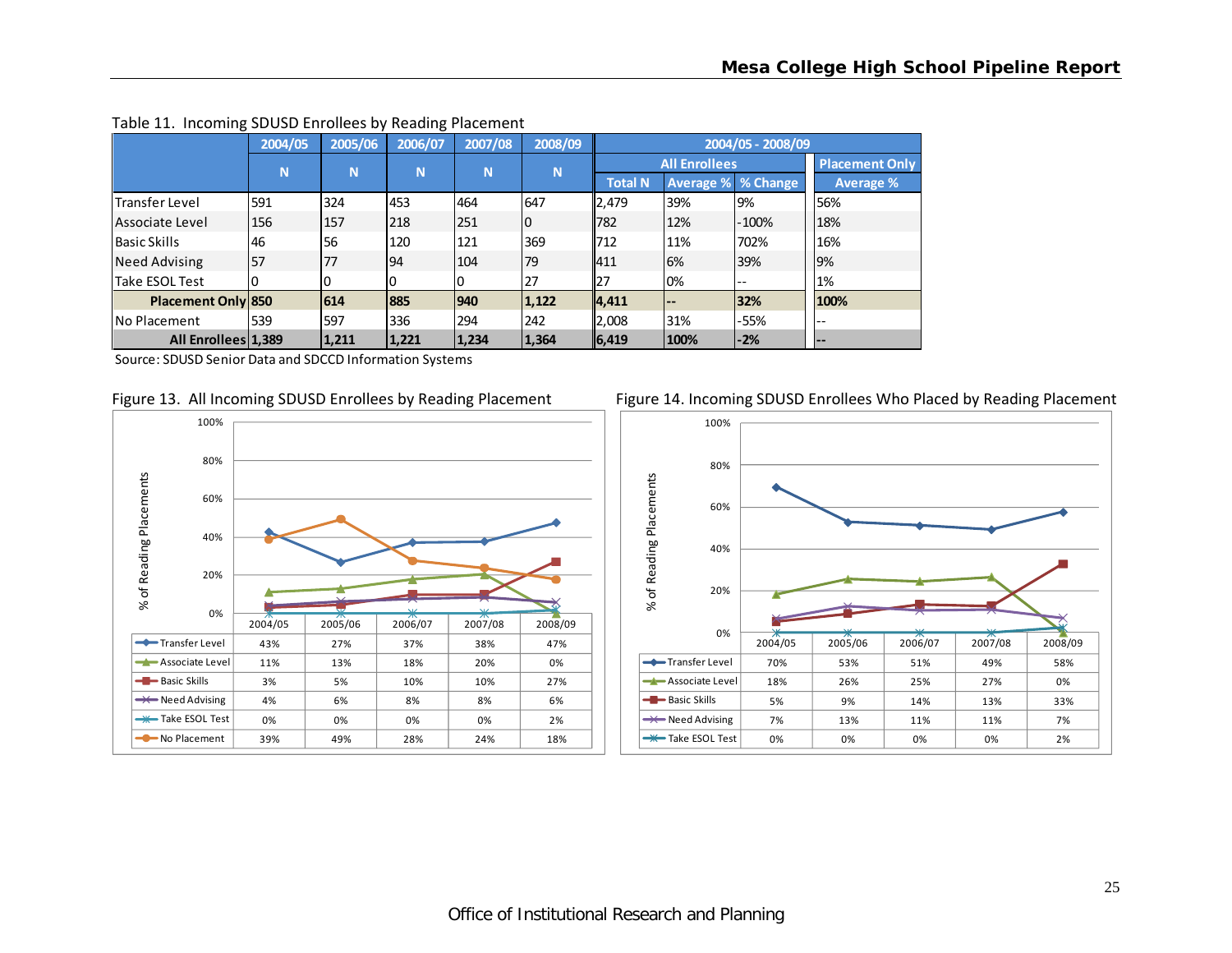|                           | 2004/05 | 2005/06 | 2006/07 | 2007/08 | 2008/09 | 2004/05 - 2008/09 |                           |         |                       |  |
|---------------------------|---------|---------|---------|---------|---------|-------------------|---------------------------|---------|-----------------------|--|
|                           | N       | N       | N       | N       | N       |                   | <b>All Enrollees</b>      |         | <b>Placement Only</b> |  |
|                           |         |         |         |         |         | <b>Total N</b>    | <b>Average % % Change</b> |         | <b>Average %</b>      |  |
| lTransfer Level           | 591     | 324     | 453     | 464     | 647     | 2,479             | 39%                       | 9%      | 56%                   |  |
| Associate Level           | 156     | 157     | 218     | 251     | 10      | 782               | 12%                       | $-100%$ | 18%                   |  |
| <b>Basic Skills</b>       | 46      | 56      | 120     | 121     | 369     | 712               | 11%                       | 702%    | 16%                   |  |
| <b>Need Advising</b>      | 57      | 77      | 94      | 104     | 79      | 1411              | 6%                        | 39%     | 9%                    |  |
| Take ESOL Test            |         |         | 0       | 0       | 27      | 27                | 0%                        | $- -$   | 1%                    |  |
| <b>Placement Only 850</b> |         | 614     | 885     | 940     | 1,122   | 4,411             |                           | 32%     | 100%                  |  |
| INo Placement             | 539     | 597     | 336     | 294     | 242     | 2,008             | 31%                       | $-55%$  | ı --                  |  |
| All Enrollees 1.389       |         | 1,211   | 1,221   | 1,234   | 1,364   | 6, 419            | 100%                      | $-2%$   | l – –                 |  |

#### Table 11. Incoming SDUSD Enrollees by Reading Placement







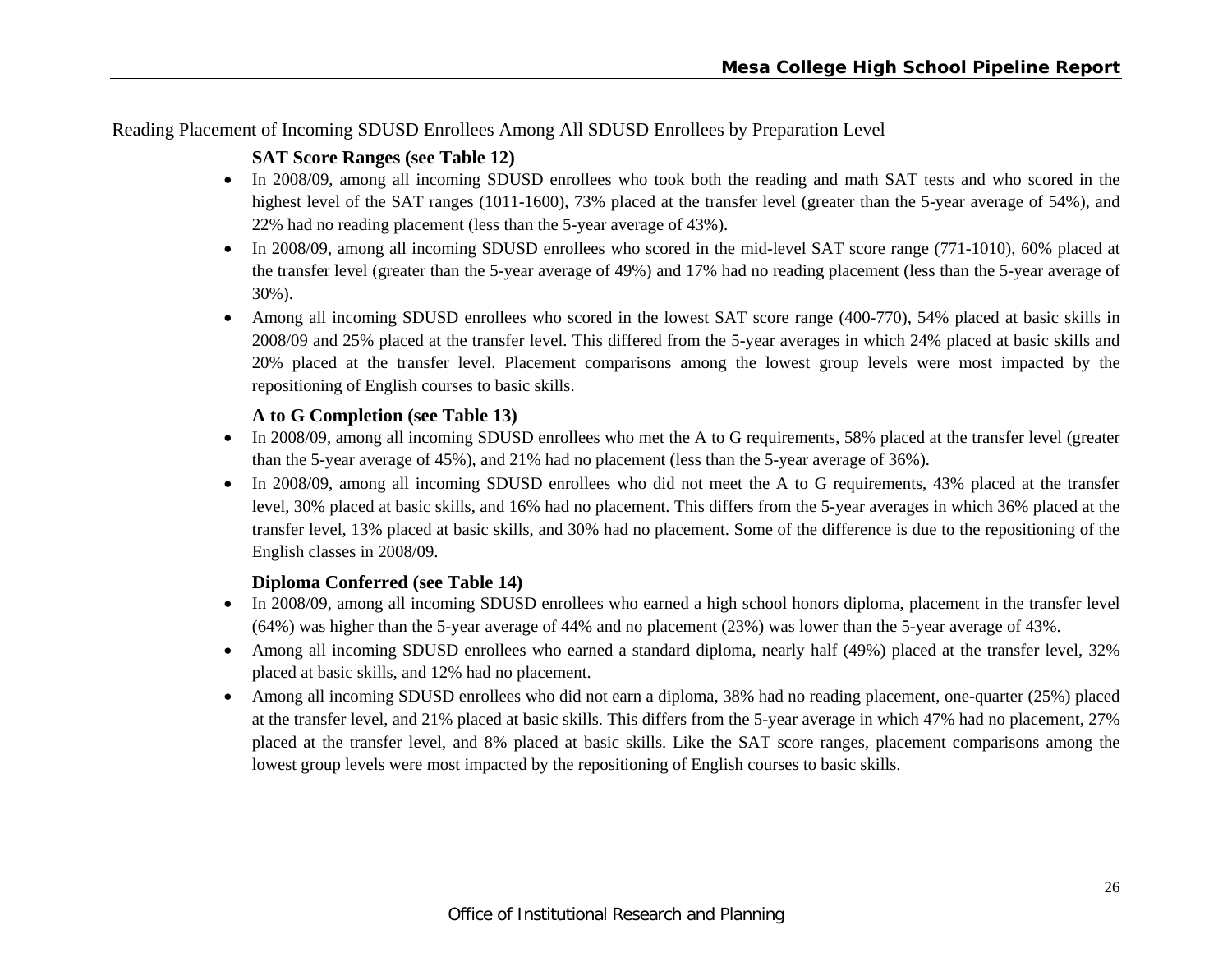Reading Placement of Incoming SDUSD Enrollees Among All SDUSD Enrollees by Preparation Level

# **SAT Score Ranges (see Table 12)**

- In 2008/09, among all incoming SDUSD enrollees who took both the reading and math SAT tests and who scored in the highest level of the SAT ranges (1011-1600), 73% placed at the transfer level (greater than the 5-year average of 54%), and 22% had no reading placement (less than the 5-year average of 43%).
- In 2008/09, among all incoming SDUSD enrollees who scored in the mid-level SAT score range (771-1010), 60% placed at the transfer level (greater than the 5-year average of 49%) and 17% had no reading placement (less than the 5-year average of 30%).
- Among all incoming SDUSD enrollees who scored in the lowest SAT score range (400-770), 54% placed at basic skills in 2008/09 and 25% placed at the transfer level. This differed from the 5-year averages in which 24% placed at basic skills and 20% placed at the transfer level. Placement comparisons among the lowest group levels were most impacted by the repositioning of English courses to basic skills.

# **A to G Completion (see Table 13)**

- In 2008/09, among all incoming SDUSD enrollees who met the A to G requirements, 58% placed at the transfer level (greater than the 5-year average of 45%), and 21% had no placement (less than the 5-year average of 36%).
- In 2008/09, among all incoming SDUSD enrollees who did not meet the A to G requirements, 43% placed at the transfer level, 30% placed at basic skills, and 16% had no placement. This differs from the 5-year averages in which 36% placed at the transfer level, 13% placed at basic skills, and 30% had no placement. Some of the difference is due to the repositioning of the English classes in 2008/09.

# **Diploma Conferred (see Table 14)**

- In 2008/09, among all incoming SDUSD enrollees who earned a high school honors diploma, placement in the transfer level (64%) was higher than the 5-year average of 44% and no placement (23%) was lower than the 5-year average of 43%.
- 0 Among all incoming SDUSD enrollees who earned a standard diploma, nearly half (49%) placed at the transfer level, 32% placed at basic skills, and 12% had no placement.
- 0 Among all incoming SDUSD enrollees who did not earn a diploma, 38% had no reading placement, one-quarter (25%) placed at the transfer level, and 21% placed at basic skills. This differs from the 5-year average in which 47% had no placement, 27% placed at the transfer level, and 8% placed at basic skills. Like the SAT score ranges, placement comparisons among the lowest group levels were most impacted by the repositioning of English courses to basic skills.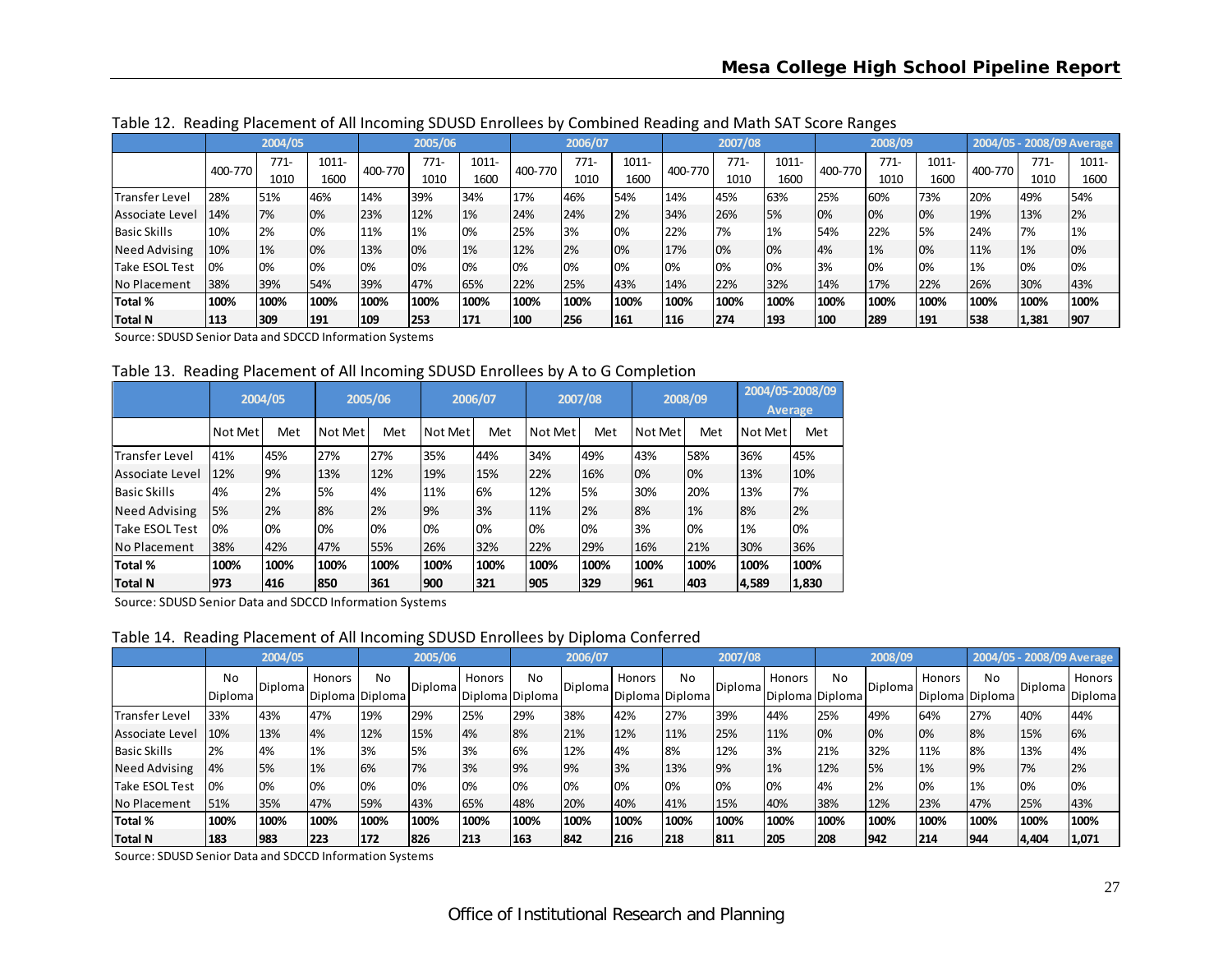|                       |         | ັ       |       |         | ີ       |       |         |         |       | ີ       |         |       |         |         |           |         |       |                           |
|-----------------------|---------|---------|-------|---------|---------|-------|---------|---------|-------|---------|---------|-------|---------|---------|-----------|---------|-------|---------------------------|
|                       |         | 2004/05 |       |         | 2005/06 |       |         | 2006/07 |       |         | 2007/08 |       |         | 2008/09 |           |         |       | 2004/05 - 2008/09 Average |
|                       | 400-770 | $771-$  | 1011- | 400-770 | 771-    | 1011- | 400-770 | $771-$  | 1011- | 400-770 | $771-$  | 1011- | 400-770 | $771-$  | 1011-     | 400-770 | 771-  | 1011-                     |
|                       |         | 1010    | 1600  |         | 1010    | 1600  |         | 1010    | 1600  |         | 1010    | 1600  |         | 1010    | 1600      |         | 1010  | 1600                      |
| <b>Transfer Level</b> | 28%     | 51%     | 46%   | 14%     | 39%     | 34%   | 17%     | 46%     | 54%   | 14%     | 45%     | 63%   | 25%     | 60%     | 73%       | 20%     | 49%   | 54%                       |
| Associate Level       | 14%     | 7%      | 0%    | 23%     | 12%     | 1%    | 24%     | 24%     | 2%    | 34%     | 26%     | 5%    | 0%      | 0%      | 0%        | 19%     | 13%   | 2%                        |
| <b>Basic Skills</b>   | 10%     | 2%      | 0%    | 11%     | 1%      | 10%   | 25%     | 3%      | 0%    | 22%     | 7%      | 1%    | 54%     | 22%     | <b>5%</b> | 24%     | 7%    | 1%                        |
| <b>Need Advising</b>  | 10%     | 1%      | 0%    | 13%     | 10%     | 1%    | 12%     | 2%      | 0%    | 17%     | 0%      | 0%    | 4%      | 1%      | 0%        | 11%     | 1%    | 0%                        |
| Take ESOL Test        | 0%      | 0%      | 0%    | 0%      | 10%     | 10%   | 0%      | 0%      | 0%    | 0%      | 0%      | 0%    | 3%      | 0%      | 0%        | 1%      | 0%    | 0%                        |
| No Placement          | 38%     | 39%     | 54%   | 39%     | 47%     | 65%   | 22%     | 25%     | 43%   | 14%     | 22%     | 32%   | 14%     | 17%     | 22%       | 26%     | 30%   | 43%                       |
| Total %               | 100%    | 100%    | 100%  | 100%    | 100%    | 100%  | 100%    | 100%    | 100%  | 100%    | 100%    | 100%  | 100%    | 100%    | 100%      | 100%    | 100%  | 100%                      |
| Total N               | 113     | 309     | 191   | 109     | 253     | 171   | 100     | 256     | 161   | 116     | 274     | 193   | 100     | 289     | 191       | 538     | 1,381 | 1907                      |

Table 12. Reading Placement of All Incoming SDUSD Enrollees by Combined Reading and Math SAT Score Ranges

Source: SDUSD Senior Data and SDCCD Information Systems

Table 13. Reading Placement of All Incoming SDUSD Enrollees by A to G Completion

|                        |         | 2004/05 |         | 2005/06 |         | 2006/07 |         | 2007/08 |         | 2008/09 |         | 2004/05-2008/09<br><b>Average</b> |
|------------------------|---------|---------|---------|---------|---------|---------|---------|---------|---------|---------|---------|-----------------------------------|
|                        | Not Met | Met     | Not Met | Met     | Not Met | Met     | Not Met | Met     | Not Met | Met     | Not Met | Met                               |
| <b>ITransfer Level</b> | 41%     | 45%     | 27%     | 27%     | 35%     | 44%     | 34%     | 49%     | 43%     | 58%     | 36%     | 45%                               |
| Associate Level        | 12%     | 9%      | 13%     | 12%     | 19%     | 15%     | 22%     | 16%     | 0%      | 10%     | 13%     | 10%                               |
| <b>Basic Skills</b>    | 4%      | 2%      | 5%      | 4%      | 11%     | 6%      | 12%     | 5%      | 30%     | 20%     | 13%     | 7%                                |
| <b>Need Advising</b>   | 5%      | 2%      | 8%      | 2%      | 9%      | 3%      | 11%     | 2%      | 8%      | 1%      | 8%      | 2%                                |
| <b>Take ESOL Test</b>  | 0%      | 0%      | 0%      | 0%      | 0%      | 0%      | 0%      | 0%      | 3%      | 0%      | 1%      | 0%                                |
| No Placement           | 38%     | 42%     | 47%     | 55%     | 26%     | 32%     | 22%     | 29%     | 16%     | 21%     | 30%     | 36%                               |
| Total %                | 100%    | 100%    | 100%    | 100%    | 100%    | 100%    | 100%    | 100%    | 100%    | 100%    | 100%    | 100%                              |
| Total N                | 973     | 416     | 1850    | 361     | 900     | 321     | 905     | 329     | 961     | 403     | 4,589   | 1,830                             |

Source: SDUSD Senior Data and SDCCD Information Systems

Table 14. Reading Placement of All Incoming SDUSD Enrollees by Diploma Conferred

|                     |                      | 2004/05 |        |                       | 2005/06   |                           |      | 2006/07         |        |                       | 2007/08        |        |                       | 2008/09        |        |                       | 2004/05 - 2008/09 Average |                   |
|---------------------|----------------------|---------|--------|-----------------------|-----------|---------------------------|------|-----------------|--------|-----------------------|----------------|--------|-----------------------|----------------|--------|-----------------------|---------------------------|-------------------|
|                     | No<br><b>Diploma</b> | Diploma | Honors | No<br>Diploma Diploma | Diploma   | Honors<br>Diploma Diploma | No   | <b>Diplomal</b> | Honors | No<br>Diploma Diploma | <b>Diploma</b> | Honors | No<br>Diploma Diploma | <b>Diploma</b> | Honors | No<br>Diploma Diploma | Diploma                   | Honors<br>Diploma |
| Transfer Level      | 33%                  | 43%     | 47%    | 19%                   | 29%       | 25%                       | 29%  | 38%             | 42%    | 27%                   | 39%            | 44%    | 25%                   | 49%            | 64%    | 27%                   | 40%                       | 44%               |
| Associate Level     | 10%                  | 13%     | 4%     | 12%                   | 15%       | 4%                        | 8%   | 21%             | 12%    | 11%                   | 25%            | 11%    | 0%                    | 0%             | 0%     | 8%                    | 15%                       | 6%                |
| <b>Basic Skills</b> | 2%                   | 4%      | 1%     | 3%                    | <b>5%</b> | 3%                        | 6%   | 12%             | 4%     | 8%                    | 12%            | 3%     | 21%                   | 32%            | 11%    | 8%                    | 13%                       | 4%                |
| Need Advising       | 4%                   | 5%      | 1%     | 6%                    | 7%        | 3%                        | 9%   | 9%              | 3%     | 13%                   | 9%             | 1%     | 12%                   | 5%             | 1%     | 9%                    | 7%                        | 2%                |
| Take ESOL Test      | 0%                   | 0%      | 0%     | 0%                    | 10%       | 0%                        | 0%   | 0%              | 0%     | 0%                    | 0%             | 0%     | 4%                    | 2%             | 0%     | 1%                    | 0%                        | 0%                |
| No Placement        | 51%                  | 35%     | 47%    | 59%                   | 43%       | 65%                       | 48%  | 20%             | 40%    | 41%                   | 15%            | 40%    | 38%                   | 12%            | 23%    | 47%                   | 25%                       | 43%               |
| Total %             | 100%                 | 100%    | 100%   | 100%                  | 100%      | 100%                      | 100% | 100%            | 100%   | 100%                  | 100%           | 100%   | 100%                  | 100%           | 100%   | 100%                  | 100%                      | 100%              |
| Total N             | 183                  | 983     | 223    | 172                   | 826       | 213                       | 163  | 842             | 216    | 218                   | 811            | 205    | 208                   | 1942           | 214    | 1944                  | 4,404                     | 1,071             |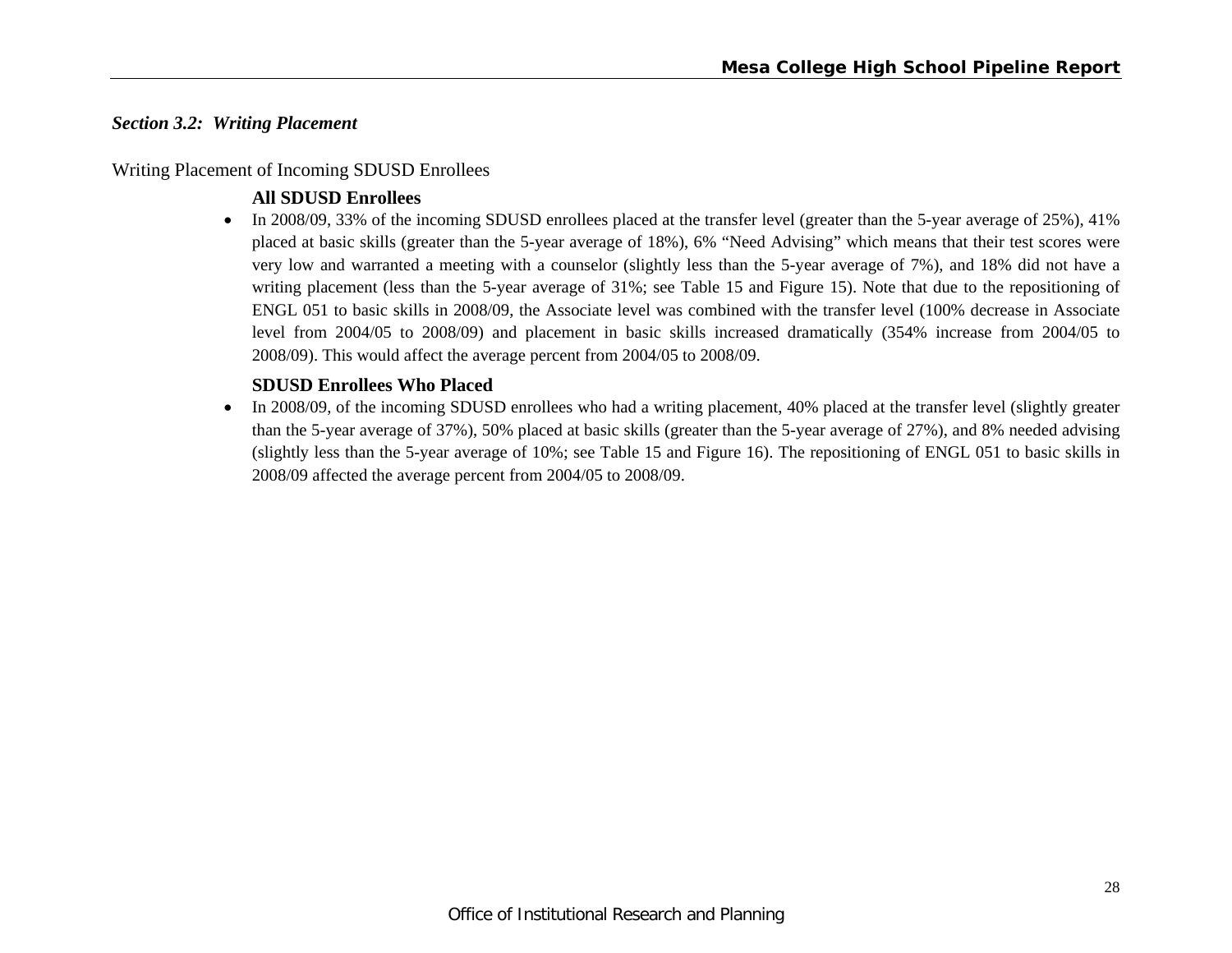#### *Section 3.2: Writing Placement*

#### Writing Placement of Incoming SDUSD Enrollees

#### **All SDUSD Enrollees**

In 2008/09, 33% of the incoming SDUSD enrollees placed at the transfer level (greater than the 5-year average of 25%), 41% placed at basic skills (greater than the 5-year average of 18%), 6% "Need Advising" which means that their test scores were very low and warranted a meeting with a counselor (slightly less than the 5-year average of 7%), and 18% did not have a writing placement (less than the 5-year average of 31%; see Table 15 and Figure 15). Note that due to the repositioning of ENGL 051 to basic skills in 2008/09, the Associate level was combined with the transfer level (100% decrease in Associate level from 2004/05 to 2008/09) and placement in basic skills increased dramatically (354% increase from 2004/05 to 2008/09). This would affect the average percent from 2004/05 to 2008/09.

#### **SDUSD Enrollees Who Placed**

 $\bullet$  In 2008/09, of the incoming SDUSD enrollees who had a writing placement, 40% placed at the transfer level (slightly greater than the 5-year average of 37%), 50% placed at basic skills (greater than the 5-year average of 27%), and 8% needed advising (slightly less than the 5-year average of 10%; see Table 15 and Figure 16). The repositioning of ENGL 051 to basic skills in 2008/09 affected the average percent from 2004/05 to 2008/09.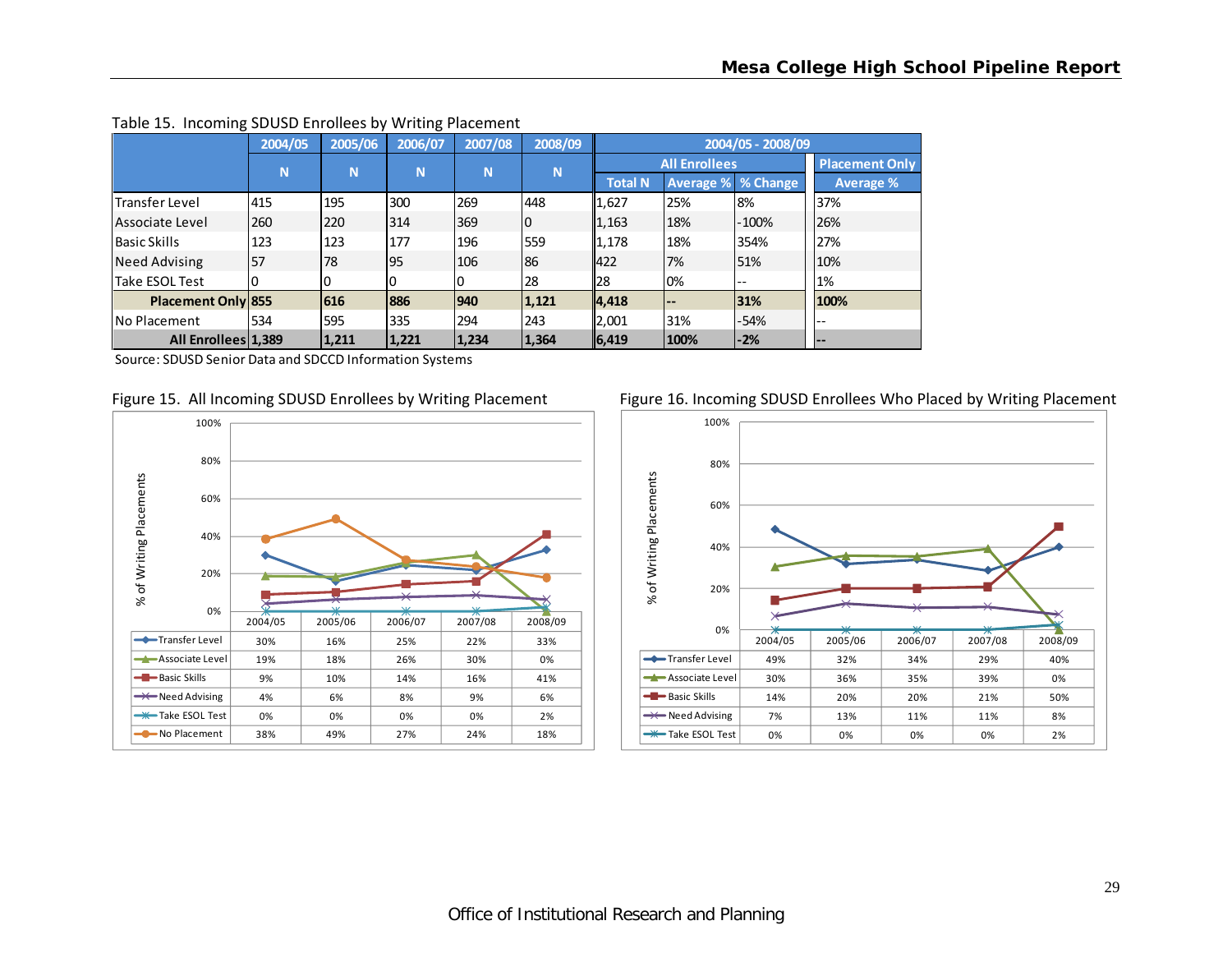|                           | 2004/05 | 2005/06 | 2006/07   | 2007/08 | 2008/09 |                |                              | 2004/05 - 2008/09         |                       |
|---------------------------|---------|---------|-----------|---------|---------|----------------|------------------------------|---------------------------|-----------------------|
|                           | N       | N       | N         | N       | N       |                | <b>All Enrollees</b>         |                           | <b>Placement Only</b> |
|                           |         |         |           |         |         | <b>Total N</b> |                              | <b>Average % % Change</b> | <b>Average %</b>      |
| <b>Transfer Level</b>     | 415     | 195     | 300       | 269     | 448     | 1,627          | 25%                          | 8%                        | 37%                   |
| lAssociate Level          | 260     | 220     | 314       | 369     | l0      | 1,163          | 18%                          | $-100%$                   | 26%                   |
| <b>Basic Skills</b>       | 123     | 123     | 177       | 196     | 559     | 1,178          | 18%                          | 354%                      | 27%                   |
| Need Advising             | 57      | 78      | <b>95</b> | 106     | 86      | 422            | 7%                           | 51%                       | 10%                   |
| Take ESOL Test            |         |         | 0         | 0       | 28      | 28             | 0%                           | $- -$                     | 1%                    |
| <b>Placement Only 855</b> |         | 616     | 886       | 940     | 1,121   | 4,418          | $\qquad \qquad \blacksquare$ | 31%                       | 100%                  |
| No Placement              | 534     | 595     | 335       | 294     | 243     | 2,001          | 31%                          | -54%                      | ı – –                 |
| All Enrollees 1,389       |         | 1,211   | 1,221     | 1,234   | 1,364   | 6, 419         | 100%                         | $-2%$                     | l – –                 |

#### Table 15. Incoming SDUSD Enrollees by Writing Placement

Source: SDUSD Senior Data and SDCCD Information Systems





#### Figure 15. All Incoming SDUSD Enrollees by Writing Placement Figure 16. Incoming SDUSD Enrollees Who Placed by Writing Placement

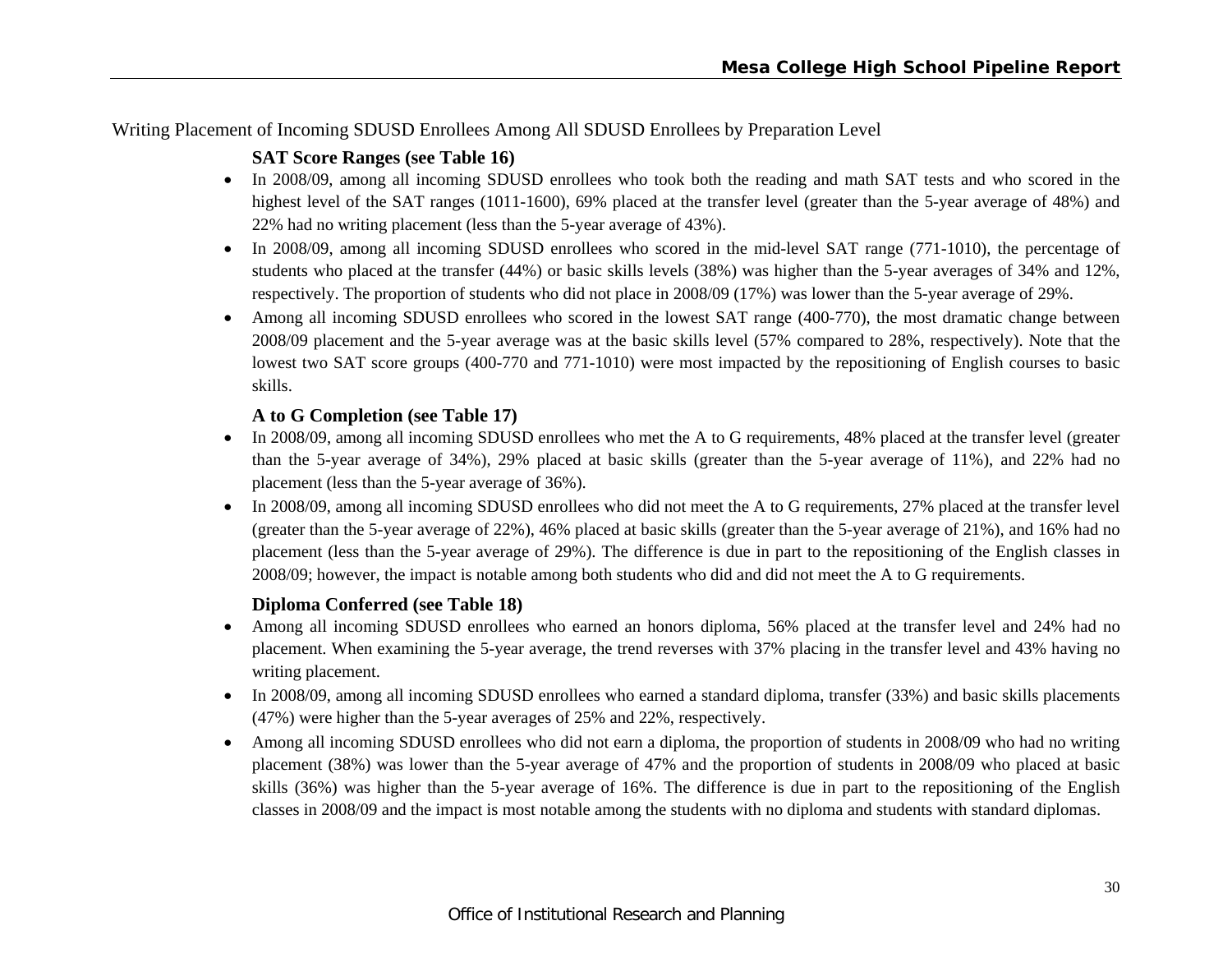Writing Placement of Incoming SDUSD Enrollees Among All SDUSD Enrollees by Preparation Level

# **SAT Score Ranges (see Table 16)**

- In 2008/09, among all incoming SDUSD enrollees who took both the reading and math SAT tests and who scored in the highest level of the SAT ranges (1011-1600), 69% placed at the transfer level (greater than the 5-year average of 48%) and 22% had no writing placement (less than the 5-year average of 43%).
- In 2008/09, among all incoming SDUSD enrollees who scored in the mid-level SAT range (771-1010), the percentage of students who placed at the transfer (44%) or basic skills levels (38%) was higher than the 5-year averages of 34% and 12%, respectively. The proportion of students who did not place in 2008/09 (17%) was lower than the 5-year average of 29%.
- Among all incoming SDUSD enrollees who scored in the lowest SAT range (400-770), the most dramatic change between 2008/09 placement and the 5-year average was at the basic skills level (57% compared to 28%, respectively). Note that the lowest two SAT score groups (400-770 and 771-1010) were most impacted by the repositioning of English courses to basic skills.

# **A to G Completion (see Table 17)**

- In 2008/09, among all incoming SDUSD enrollees who met the A to G requirements, 48% placed at the transfer level (greater than the 5-year average of 34%), 29% placed at basic skills (greater than the 5-year average of 11%), and 22% had no placement (less than the 5-year average of 36%).
- In 2008/09, among all incoming SDUSD enrollees who did not meet the A to G requirements, 27% placed at the transfer level (greater than the 5-year average of 22%), 46% placed at basic skills (greater than the 5-year average of 21%), and 16% had no placement (less than the 5-year average of 29%). The difference is due in part to the repositioning of the English classes in 2008/09; however, the impact is notable among both students who did and did not meet the A to G requirements.

# **Diploma Conferred (see Table 18)**

- Among all incoming SDUSD enrollees who earned an honors diploma, 56% placed at the transfer level and 24% had no placement. When examining the 5-year average, the trend reverses with 37% placing in the transfer level and 43% having no writing placement.
- In 2008/09, among all incoming SDUSD enrollees who earned a standard diploma, transfer (33%) and basic skills placements (47%) were higher than the 5-year averages of 25% and 22%, respectively.
- Among all incoming SDUSD enrollees who did not earn a diploma, the proportion of students in 2008/09 who had no writing placement (38%) was lower than the 5-year average of 47% and the proportion of students in 2008/09 who placed at basic skills (36%) was higher than the 5-year average of 16%. The difference is due in part to the repositioning of the English classes in 2008/09 and the impact is most notable among the students with no diploma and students with standard diplomas.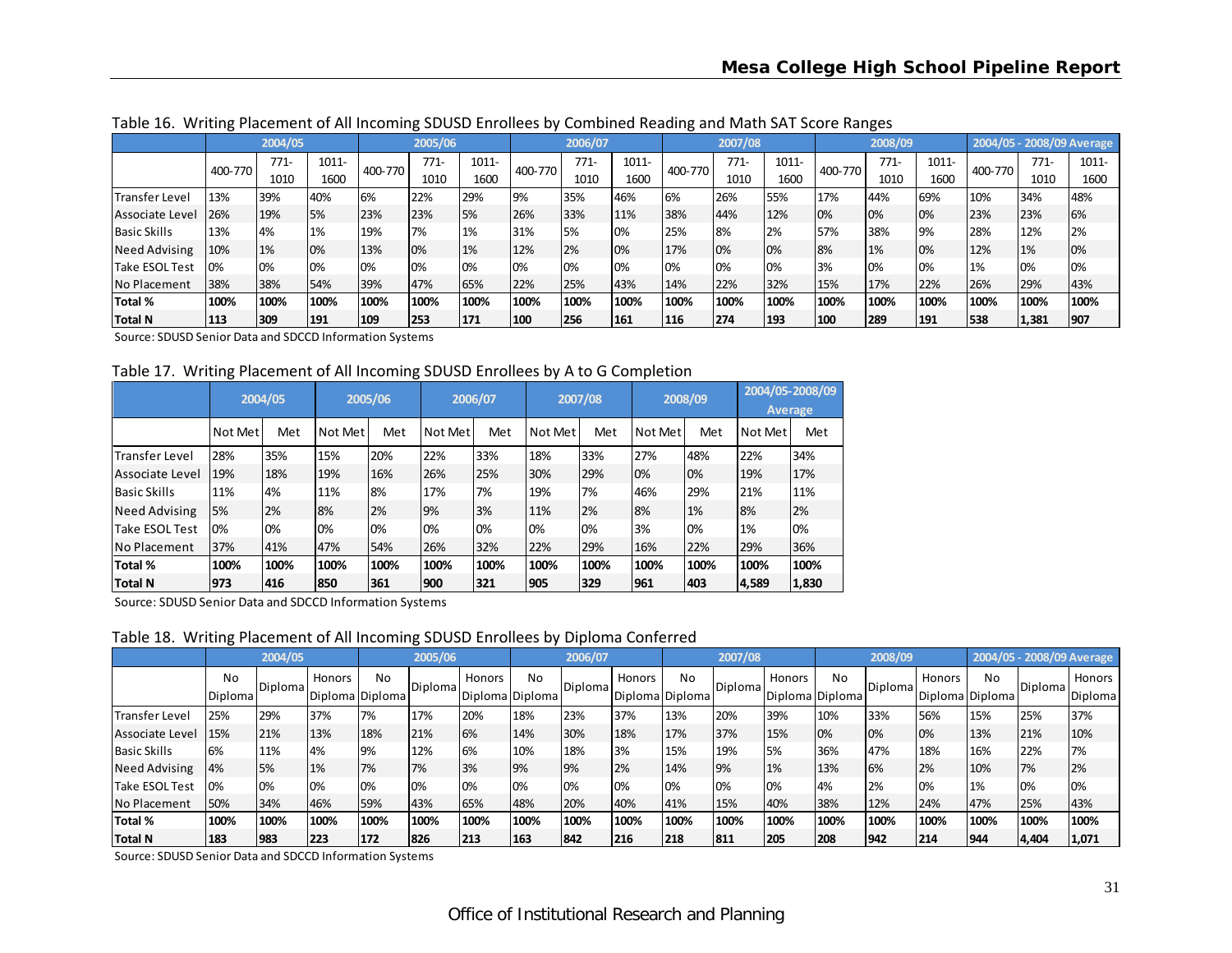|                       | ັ       | 2004/05 |       |         | 2005/06 |       |         | 2006/07 |       | ້       | 2007/08 |       |         | ~<br>2008/09 |       |         | 2004/05 - 2008/09 Average |       |
|-----------------------|---------|---------|-------|---------|---------|-------|---------|---------|-------|---------|---------|-------|---------|--------------|-------|---------|---------------------------|-------|
|                       |         |         |       |         |         |       |         |         |       |         |         |       |         |              |       |         |                           |       |
|                       | 400-770 | $771-$  | 1011- | 400-770 | 771-    | 1011- | 400-770 | $771-$  | 1011- | 400-770 | $771-$  | 1011- | 400-770 | $771-$       | 1011- | 400-770 | 771-                      | 1011- |
|                       |         | 1010    | 1600  |         | 1010    | 1600  |         | 1010    | 1600  |         | 1010    | 1600  |         | 1010         | 1600  |         | 1010                      | 1600  |
| <b>Transfer Level</b> | 13%     | 39%     | 40%   | 6%      | 22%     | 29%   | 9%      | 35%     | 46%   | 6%      | 26%     | 55%   | 17%     | 44%          | 69%   | 10%     | 34%                       | 48%   |
| Associate Level       | 26%     | 19%     | 5%    | 23%     | 23%     | 5%    | 26%     | 33%     | 11%   | 38%     | 44%     | 12%   | 0%      | 0%           | 0%    | 23%     | 23%                       | 6%    |
| <b>Basic Skills</b>   | 13%     | 4%      | 1%    | 19%     | 7%      | 1%    | 31%     | 5%      | 0%    | 25%     | 8%      | 2%    | 57%     | 38%          | 9%    | 28%     | 12%                       | 2%    |
| <b>Need Advising</b>  | 10%     | 1%      | 0%    | 13%     | 10%     | 1%    | 12%     | 2%      | 0%    | 17%     | 0%      | 0%    | 8%      | 1%           | 0%    | 12%     | 1%                        | 0%    |
| Take ESOL Test        | 0%      | 0%      | 0%    | 0%      | 10%     | 10%   | 0%      | 0%      | 0%    | 0%      | 0%      | 0%    | 3%      | 0%           | 0%    | 1%      | 0%                        | 0%    |
| No Placement          | 38%     | 38%     | 54%   | 39%     | 47%     | 65%   | 22%     | 25%     | 43%   | 14%     | 22%     | 32%   | 15%     | 17%          | 22%   | 26%     | 29%                       | 43%   |
| Total %               | 100%    | 100%    | 100%  | 100%    | 100%    | 100%  | 100%    | 100%    | 100%  | 100%    | 100%    | 100%  | 100%    | 100%         | 100%  | 100%    | 100%                      | 100%  |
| Total N               | 113     | 309     | 191   | 109     | 253     | 171   | 100     | 256     | 161   | 116     | 274     | 193   | 100     | 289          | 191   | 538     | 1,381                     | 1907  |

Table 16. Writing Placement of All Incoming SDUSD Enrollees by Combined Reading and Math SAT Score Ranges

Source: SDUSD Senior Data and SDCCD Information Systems

Table 17. Writing Placement of All Incoming SDUSD Enrollees by A to G Completion

|                        |         | 2004/05 |         | 2005/06 |         | 2006/07 |         | 2007/08 |         | 2008/09 |         | 2004/05-2008/09<br><b>Average</b> |
|------------------------|---------|---------|---------|---------|---------|---------|---------|---------|---------|---------|---------|-----------------------------------|
|                        | Not Met | Met     | Not Met | Met     | Not Met | Met     | Not Met | Met     | Not Met | Met     | Not Met | Met                               |
| <b>ITransfer Level</b> | 28%     | 35%     | 15%     | 20%     | 22%     | 33%     | 18%     | 33%     | 27%     | 48%     | 22%     | 34%                               |
| Associate Level        | 19%     | 18%     | 19%     | 16%     | 26%     | 25%     | 30%     | 29%     | 0%      | 0%      | 19%     | 17%                               |
| <b>Basic Skills</b>    | 11%     | 4%      | 11%     | 8%      | 17%     | 7%      | 19%     | 7%      | 46%     | 29%     | 21%     | 11%                               |
| <b>Need Advising</b>   | 5%      | 2%      | 8%      | 2%      | 9%      | 3%      | 11%     | 2%      | 8%      | 1%      | 8%      | 2%                                |
| <b>Take ESOL Test</b>  | 0%      | 0%      | 0%      | 0%      | 0%      | 0%      | 0%      | 0%      | 3%      | 0%      | 1%      | 0%                                |
| No Placement           | 37%     | 41%     | 47%     | 54%     | 26%     | 32%     | 22%     | 29%     | 16%     | 22%     | 29%     | 36%                               |
| Total %                | 100%    | 100%    | 100%    | 100%    | 100%    | 100%    | 100%    | 100%    | 100%    | 100%    | 100%    | 100%                              |
| Total N                | 973     | 416     | 850     | 361     | 900     | 321     | 905     | 329     | 961     | 1403    | 4,589   | 1,830                             |

Source: SDUSD Senior Data and SDCCD Information Systems

Table 18. Writing Placement of All Incoming SDUSD Enrollees by Diploma Conferred

|                     |                      | 2004/05 |        |                       | 2005/06 |                           |      | 2006/07 |        |                       | 2007/08 |        |                              | 2008/09        |        |                              |         | 2004/05 - 2008/09 Average |
|---------------------|----------------------|---------|--------|-----------------------|---------|---------------------------|------|---------|--------|-----------------------|---------|--------|------------------------------|----------------|--------|------------------------------|---------|---------------------------|
|                     | No<br><b>Diploma</b> | Diploma | Honors | No<br>Diploma Diploma | Diploma | Honors<br>Diploma Diploma | No.  | Diploma | Honors | No<br>Diploma Diploma | Diploma | Honors | <b>No</b><br>Diploma Diploma | <b>Diploma</b> | Honors | <b>No</b><br>Diploma Diploma | Diploma | Honors<br>Diploma         |
| Transfer Level      | 25%                  | 29%     | 37%    | 7%                    | 17%     | 20%                       | 18%  | 23%     | 37%    | 13%                   | 20%     | 39%    | 10%                          | 33%            | 56%    | 15%                          | 25%     | 37%                       |
| Associate Level     | 15%                  | 21%     | 13%    | 18%                   | 21%     | 6%                        | 14%  | 30%     | 18%    | 17%                   | 37%     | 15%    | 0%                           | 0%             | 0%     | 13%                          | 21%     | 10%                       |
| <b>Basic Skills</b> | 6%                   | 11%     | 4%     | 9%                    | 12%     | 6%                        | 10%  | 18%     | 3%     | 15%                   | 19%     | 5%     | 36%                          | 47%            | 18%    | 16%                          | 22%     | 7%                        |
| Need Advising       | 4%                   | 5%      | 1%     | 7%                    | 7%      | 3%                        | 9%   | 9%      | 2%     | 14%                   | 9%      | 1%     | 13%                          | 6%             | 2%     | 10%                          | 7%      | 2%                        |
| Take ESOL Test      | 0%                   | 0%      | 0%     | 0%                    | 10%     | 10%                       | 0%   | 0%      | 0%     | 0%                    | 0%      | 0%     | 4%                           | 2%             | 0%     | 1%                           | 0%      | 0%                        |
| No Placement        | 50%                  | 34%     | 46%    | 59%                   | 43%     | 65%                       | 48%  | 20%     | 40%    | 41%                   | 15%     | 40%    | 38%                          | 12%            | 24%    | 47%                          | 25%     | 43%                       |
| Total %             | 100%                 | 100%    | 100%   | 100%                  | 100%    | 100%                      | 100% | 100%    | 100%   | 100%                  | 100%    | 100%   | 100%                         | 100%           | 100%   | 100%                         | 100%    | 100%                      |
| Total N             | 183                  | 983     | 223    | 172                   | 826     | 213                       | 163  | 842     | 216    | 218                   | 811     | 205    | 208                          | 1942           | 214    | 1944                         | 4,404   | 1,071                     |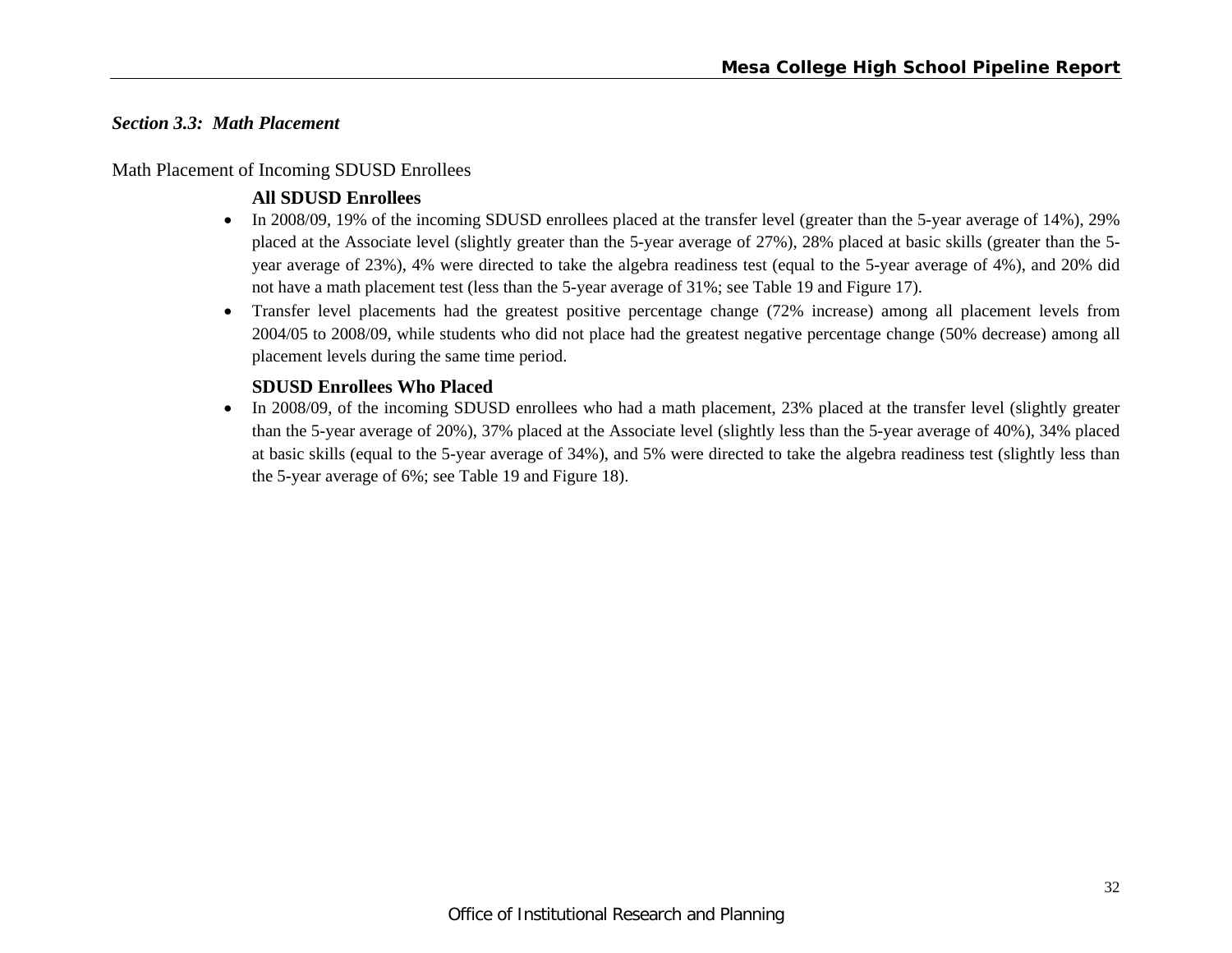#### *Section 3.3: Math Placement*

#### Math Placement of Incoming SDUSD Enrollees

### **All SDUSD Enrollees**

- In 2008/09, 19% of the incoming SDUSD enrollees placed at the transfer level (greater than the 5-year average of 14%), 29% placed at the Associate level (slightly greater than the 5-year average of 27%), 28% placed at basic skills (greater than the 5 year average of 23%), 4% were directed to take the algebra readiness test (equal to the 5-year average of 4%), and 20% did not have a math placement test (less than the 5-year average of 31%; see Table 19 and Figure 17).
- Transfer level placements had the greatest positive percentage change (72% increase) among all placement levels from 2004/05 to 2008/09, while students who did not place had the greatest negative percentage change (50% decrease) among all placement levels during the same time period.

#### **SDUSD Enrollees Who Placed**

 $\bullet$  In 2008/09, of the incoming SDUSD enrollees who had a math placement, 23% placed at the transfer level (slightly greater than the 5-year average of 20%), 37% placed at the Associate level (slightly less than the 5-year average of 40%), 34% placed at basic skills (equal to the 5-year average of 34%), and 5% were directed to take the algebra readiness test (slightly less than the 5-year average of 6%; see Table 19 and Figure 18).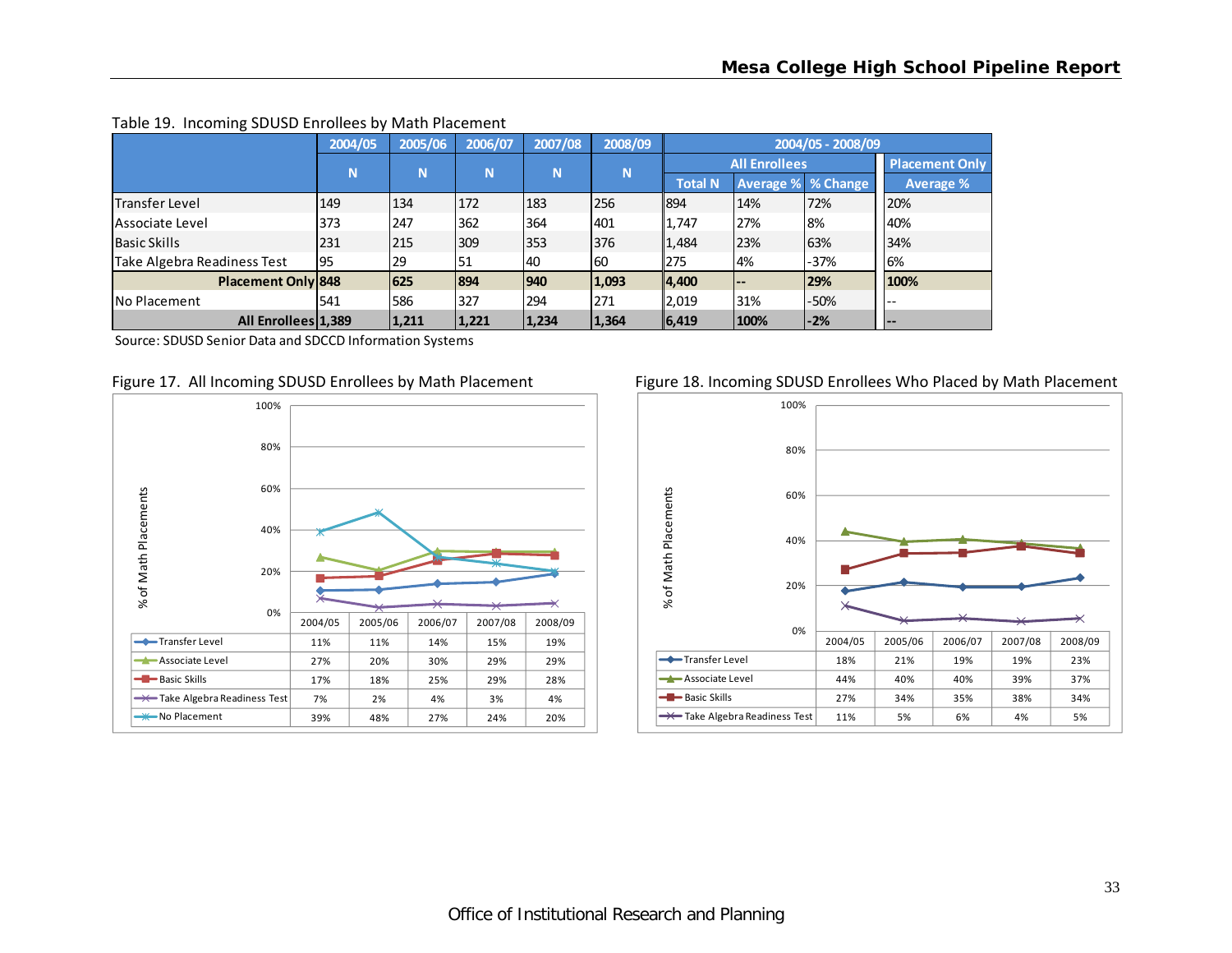|                             | 2004/05 | 2005/06 | 2006/07 | 2007/08       | 2008/09 |                |                           | 2004/05 - 2008/09 |                       |
|-----------------------------|---------|---------|---------|---------------|---------|----------------|---------------------------|-------------------|-----------------------|
|                             | N       | N       | N       | N             | N       |                | <b>All Enrollees</b>      |                   | <b>Placement Only</b> |
|                             |         |         |         |               |         | <b>Total N</b> | <b>Average % % Change</b> |                   | <b>Average %</b>      |
| Transfer Level              | 149     | 134     | 172     | 183           | 256     | 1894           | 14%                       | 72%               | 20%                   |
| lAssociate Level            | 373     | 247     | 362     | 364           | 401     | 1,747          | 27%                       | 8%                | 40%                   |
| <b>Basic Skills</b>         | 231     | 215     | 309     | 353           | 376     | 1,484          | 23%                       | 63%               | 34%                   |
| Take Algebra Readiness Test | 95      | 29      | 51      | 40            | 60      | 275            | 4%                        | $-37%$            | 6%                    |
| Placement Only 848          |         | 625     | 894     | $ 940\rangle$ | 1,093   | $\ 4,400\ $    | $- -$                     | 29%               | 100%                  |
| <b>No Placement</b>         | 541     | 586     | 327     | 294           | 271     | 2,019          | 31%                       | $-50%$            | $-$                   |
| All Enrollees 1,389         |         | 1,211   | 1,221   | 1,234         | 1,364   | 6,419          | 100%                      | $-2%$             | <b>.</b>              |

#### Table 19. Incoming SDUSD Enrollees by Math Placement

Source: SDUSD Senior Data and SDCCD Information Systems



#### Figure 17. All Incoming SDUSD Enrollees by Math Placement Figure 18. Incoming SDUSD Enrollees Who Placed by Math Placement

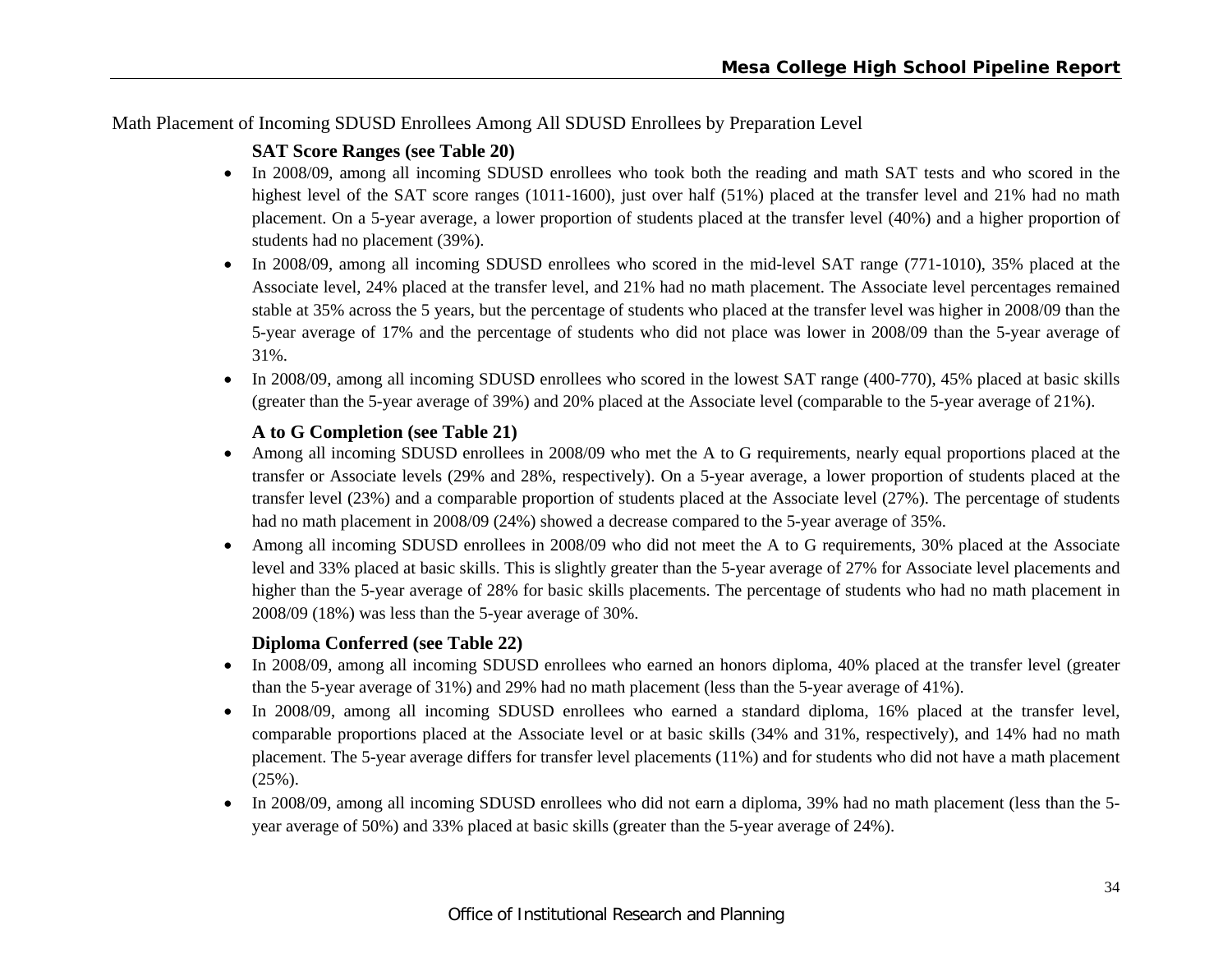Math Placement of Incoming SDUSD Enrollees Among All SDUSD Enrollees by Preparation Level

# **SAT Score Ranges (see Table 20)**

- In 2008/09, among all incoming SDUSD enrollees who took both the reading and math SAT tests and who scored in the highest level of the SAT score ranges (1011-1600), just over half (51%) placed at the transfer level and 21% had no math placement. On a 5-year average, a lower proportion of students placed at the transfer level (40%) and a higher proportion of students had no placement (39%).
- In 2008/09, among all incoming SDUSD enrollees who scored in the mid-level SAT range (771-1010), 35% placed at the Associate level, 24% placed at the transfer level, and 21% had no math placement. The Associate level percentages remained stable at 35% across the 5 years, but the percentage of students who placed at the transfer level was higher in 2008/09 than the 5-year average of 17% and the percentage of students who did not place was lower in 2008/09 than the 5-year average of 31%.
- In 2008/09, among all incoming SDUSD enrollees who scored in the lowest SAT range (400-770), 45% placed at basic skills (greater than the 5-year average of 39%) and 20% placed at the Associate level (comparable to the 5-year average of 21%).

# **A to G Completion (see Table 21)**

- Among all incoming SDUSD enrollees in 2008/09 who met the A to G requirements, nearly equal proportions placed at the transfer or Associate levels (29% and 28%, respectively). On a 5-year average, a lower proportion of students placed at the transfer level (23%) and a comparable proportion of students placed at the Associate level (27%). The percentage of students had no math placement in 2008/09 (24%) showed a decrease compared to the 5-year average of 35%.
- 0 Among all incoming SDUSD enrollees in 2008/09 who did not meet the A to G requirements, 30% placed at the Associate level and 33% placed at basic skills. This is slightly greater than the 5-year average of 27% for Associate level placements and higher than the 5-year average of 28% for basic skills placements. The percentage of students who had no math placement in 2008/09 (18%) was less than the 5-year average of 30%.

# **Diploma Conferred (see Table 22)**

- In 2008/09, among all incoming SDUSD enrollees who earned an honors diploma, 40% placed at the transfer level (greater than the 5-year average of 31%) and 29% had no math placement (less than the 5-year average of 41%).
- In 2008/09, among all incoming SDUSD enrollees who earned a standard diploma, 16% placed at the transfer level, comparable proportions placed at the Associate level or at basic skills (34% and 31%, respectively), and 14% had no math placement. The 5-year average differs for transfer level placements (11%) and for students who did not have a math placement (25%).
- $\bullet$  In 2008/09, among all incoming SDUSD enrollees who did not earn a diploma, 39% had no math placement (less than the 5 year average of 50%) and 33% placed at basic skills (greater than the 5-year average of 24%).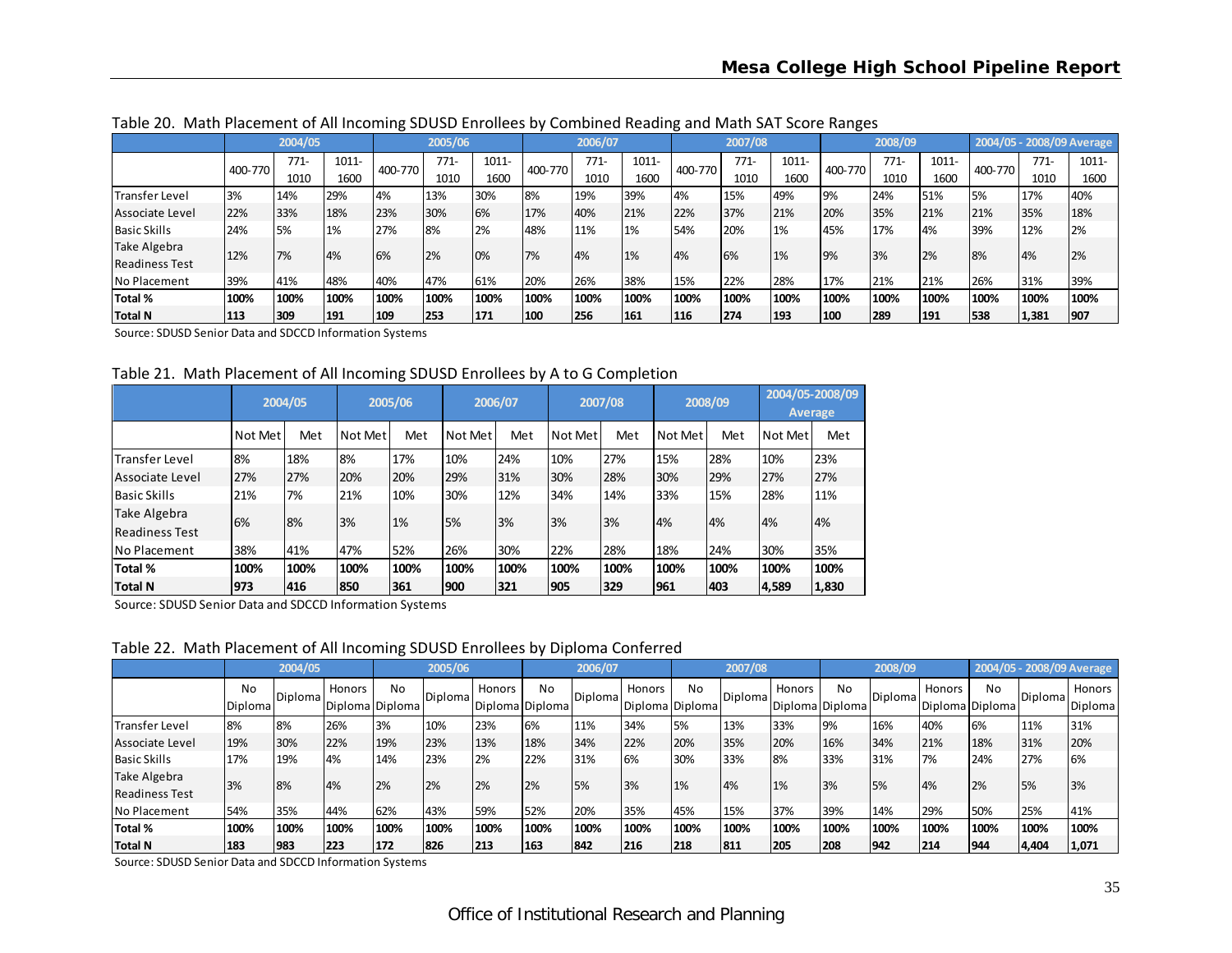|                       |         | 2004/05 |       |         | 2005/06 |          |         | 2006/07 |          |         | 2007/08 |          |         | 2008/09 |          |         |         | 2004/05 - 2008/09 Average |
|-----------------------|---------|---------|-------|---------|---------|----------|---------|---------|----------|---------|---------|----------|---------|---------|----------|---------|---------|---------------------------|
|                       | 400-770 | $771-$  | 1011- | 400-770 | $771-$  | $1011 -$ | 400-770 | $771-$  | $1011 -$ | 400-770 | 771-    | $1011 -$ | 400-770 | 771-    | $1011 -$ | 400-770 | $771 -$ | 1011-                     |
|                       |         | 1010    | 1600  |         | 1010    | 1600     |         | 1010    | 1600     |         | 1010    | 1600     |         | 1010    | 1600     |         | 1010    | 1600                      |
| Transfer Level        | 3%      | 14%     | 29%   | 4%      | 13%     | 30%      | 8%      | 19%     | 39%      | 4%      | 15%     | 49%      | 19%     | 24%     | 51%      | 5%      | 17%     | 40%                       |
| Associate Level       | 22%     | 33%     | 18%   | 23%     | 30%     | 6%       | 17%     | 40%     | 21%      | 22%     | 37%     | 21%      | 20%     | 35%     | 21%      | 21%     | 35%     | 18%                       |
| <b>Basic Skills</b>   | 24%     | 5%      | 1%    | 27%     | 8%      | 2%       | 48%     | 11%     | 1%       | 54%     | 20%     | 1%       | 45%     | 17%     | 4%       | 39%     | 12%     | 2%                        |
| Take Algebra          | 12%     | 7%      | 4%    | 6%      | 2%      | 10%      | 7%      | 4%      | 1%       | 4%      | 6%      | 1%       | 19%     | 3%      | 2%       | 8%      | 4%      | 2%                        |
| <b>Readiness Test</b> |         |         |       |         |         |          |         |         |          |         |         |          |         |         |          |         |         |                           |
| No Placement          | 39%     | 41%     | 48%   | 40%     | 47%     | 61%      | 20%     | 26%     | 38%      | 15%     | 22%     | 28%      | 17%     | 21%     | 21%      | 26%     | 31%     | 39%                       |
| Total %               | 100%    | 100%    | 100%  | 100%    | 100%    | 100%     | 100%    | 100%    | 100%     | 100%    | 100%    | 100%     | 100%    | 100%    | 100%     | 100%    | 100%    | 100%                      |
| Total N               | 113     | 309     | 191   | 109     | 253     | 171      | 100     | 256     | 161      | 116     | 274     | 193      | 100     | 289     | 1191     | 538     | 1,381   | 907                       |

Table 20. Math Placement of All Incoming SDUSD Enrollees by Combined Reading and Math SAT Score Ranges

Source: SDUSD Senior Data and SDCCD Information Systems

Table 21. Math Placement of All Incoming SDUSD Enrollees by A to G Completion

|                                       |         | 2004/05 |         | 2005/06 |         | 2006/07 |         | 2007/08 |         | 2008/09 |         | 2004/05-2008/09<br><b>Average</b> |
|---------------------------------------|---------|---------|---------|---------|---------|---------|---------|---------|---------|---------|---------|-----------------------------------|
|                                       | Not Met | Met     | Not Met | Met     | Not Met | Met     | Not Met | Met     | Not Met | Met     | Not Met | Met                               |
| <b>Transfer Level</b>                 | 8%      | 18%     | 8%      | 17%     | 10%     | 24%     | 10%     | 27%     | 15%     | 28%     | 10%     | 23%                               |
| Associate Level                       | 27%     | 27%     | 20%     | 20%     | 29%     | 31%     | 30%     | 28%     | 30%     | 29%     | 27%     | 27%                               |
| lBasic Skills                         | 21%     | 7%      | 21%     | 10%     | 30%     | 12%     | 34%     | 14%     | 33%     | 15%     | 28%     | 11%                               |
| Take Algebra<br><b>Readiness Test</b> | 6%      | 8%      | 3%      | 1%      | 5%      | 3%      | 3%      | 3%      | 4%      | 4%      | 4%      | 4%                                |
| INo Placement                         | 38%     | 41%     | 47%     | 52%     | 26%     | 30%     | 22%     | 28%     | 18%     | 24%     | 30%     | 35%                               |
| Total %                               | 100%    | 100%    | 100%    | 100%    | 100%    | 100%    | 100%    | 100%    | 100%    | 100%    | 100%    | 100%                              |
| Total N                               | 973     | 416     | 850     | 361     | 1900    | 321     | 905     | 329     | 1961    | 403     | 4,589   | 1,830                             |

Source: SDUSD Senior Data and SDCCD Information Systems

Table 22. Math Placement of All Incoming SDUSD Enrollees by Diploma Conferred

|                                       |                      | 2004/05 |               |                                   | 2005/06 |               |                              | 2006/07 |                           |      | 2007/08 |                           |           | 2008/09        |        |                       | 2004/05 - 2008/09 Average |                   |
|---------------------------------------|----------------------|---------|---------------|-----------------------------------|---------|---------------|------------------------------|---------|---------------------------|------|---------|---------------------------|-----------|----------------|--------|-----------------------|---------------------------|-------------------|
|                                       | No<br><b>Diploma</b> | Diploma | <b>Honors</b> | N <sub>o</sub><br>Diploma Diploma | Diploma | <b>Honors</b> | <b>No</b><br>Diploma Diploma | Diploma | Honors<br>Diploma Diploma | No   | Diploma | Honors<br>Diploma Diploma | <b>No</b> | <b>Diploma</b> | Honors | No<br>Diploma Diploma | Diploma                   | Honors<br>Diploma |
| Transfer Level                        | 8%                   | 8%      | 26%           | 3%                                | 10%     | 23%           | 6%                           | 11%     | 34%                       | 5%   | 13%     | 33%                       | 9%        | 16%            | 40%    | 6%                    | 11%                       | 31%               |
| Associate Level                       | 19%                  | 30%     | 22%           | 19%                               | 23%     | 13%           | 18%                          | 34%     | 22%                       | 20%  | 35%     | 20%                       | 16%       | 34%            | 21%    | 18%                   | 31%                       | 20%               |
| <b>Basic Skills</b>                   | 17%                  | 19%     | 4%            | 14%                               | 23%     | 2%            | 22%                          | 31%     | 6%                        | 30%  | 33%     | 8%                        | 33%       | 31%            | 7%     | 24%                   | 27%                       | 6%                |
| Take Algebra<br><b>Readiness Test</b> | 3%                   | 8%      | 4%            | 2%                                | 2%      | 2%            | 2%                           | 5%      | 3%                        | 1%   | 4%      | 1%                        | 3%        | 5%             | 4%     | 2%                    | 5%                        | 3%                |
| No Placement                          | 54%                  | 35%     | 44%           | 62%                               | 43%     | 59%           | 52%                          | 20%     | 35%                       | 45%  | 15%     | 37%                       | 39%       | 14%            | 29%    | 50%                   | 25%                       | 41%               |
| Total %                               | 100%                 | 100%    | 100%          | 100%                              | 100%    | 100%          | 100%                         | 100%    | 100%                      | 100% | 100%    | 100%                      | 100%      | 100%           | 100%   | 100%                  | 100%                      | 100%              |
| <b>Total N</b>                        | 183                  | 1983    | 223           | 172                               | 826     | 213           | 163                          | 842     | 216                       | 218  | 811     | 205                       | 208       | 942            | 214    | 1944                  | 4,404                     | 1,071             |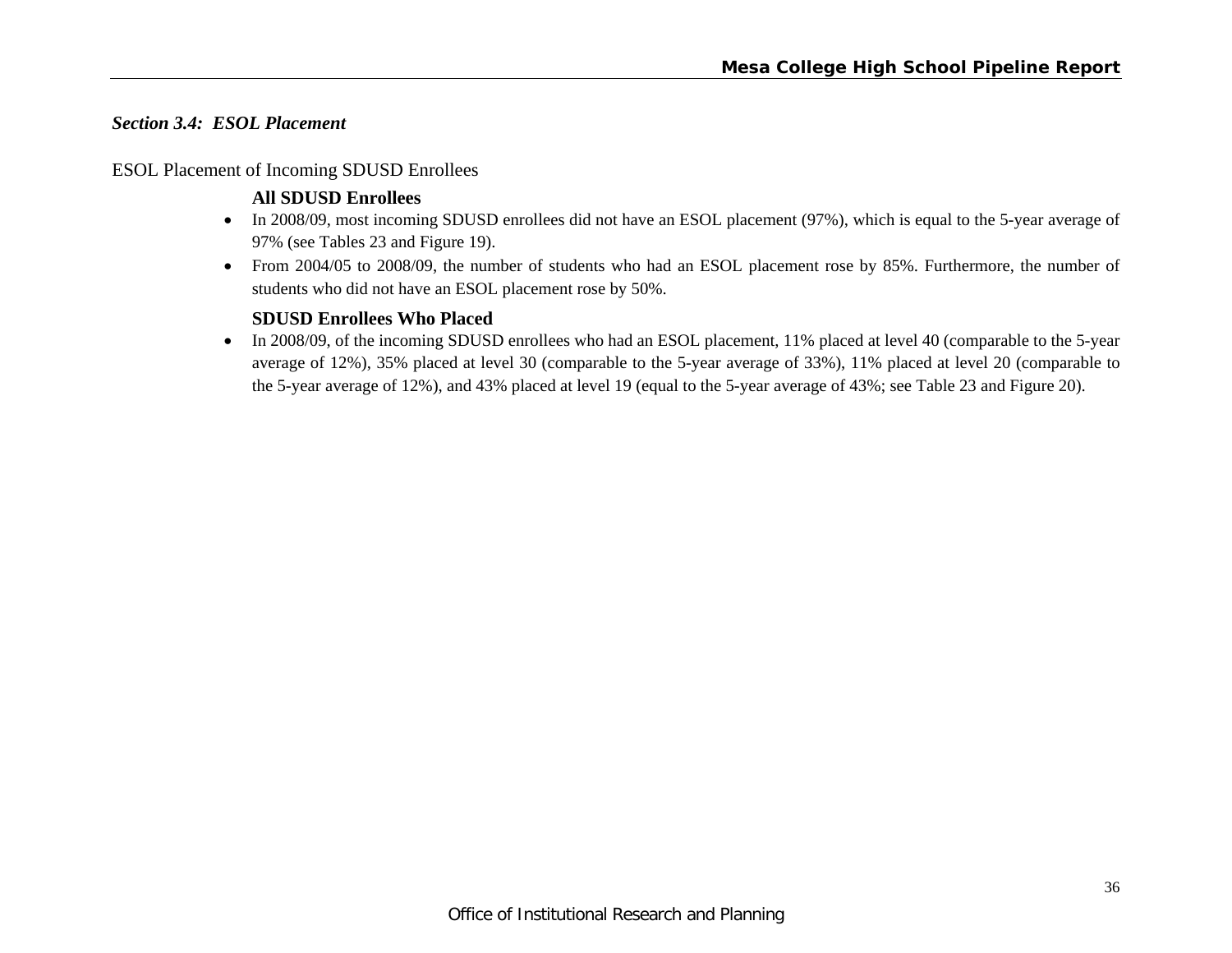#### *Section 3.4: ESOL Placement*

#### ESOL Placement of Incoming SDUSD Enrollees

# **All SDUSD Enrollees**

- In 2008/09, most incoming SDUSD enrollees did not have an ESOL placement (97%), which is equal to the 5-year average of 97% (see Tables 23 and Figure 19).
- From 2004/05 to 2008/09, the number of students who had an ESOL placement rose by 85%. Furthermore, the number of students who did not have an ESOL placement rose by 50%.

# **SDUSD Enrollees Who Placed**

In 2008/09, of the incoming SDUSD enrollees who had an ESOL placement, 11% placed at level 40 (comparable to the 5-year average of 12%), 35% placed at level 30 (comparable to the 5-year average of 33%), 11% placed at level 20 (comparable to the 5-year average of 12%), and 43% placed at level 19 (equal to the 5-year average of 43%; see Table 23 and Figure 20).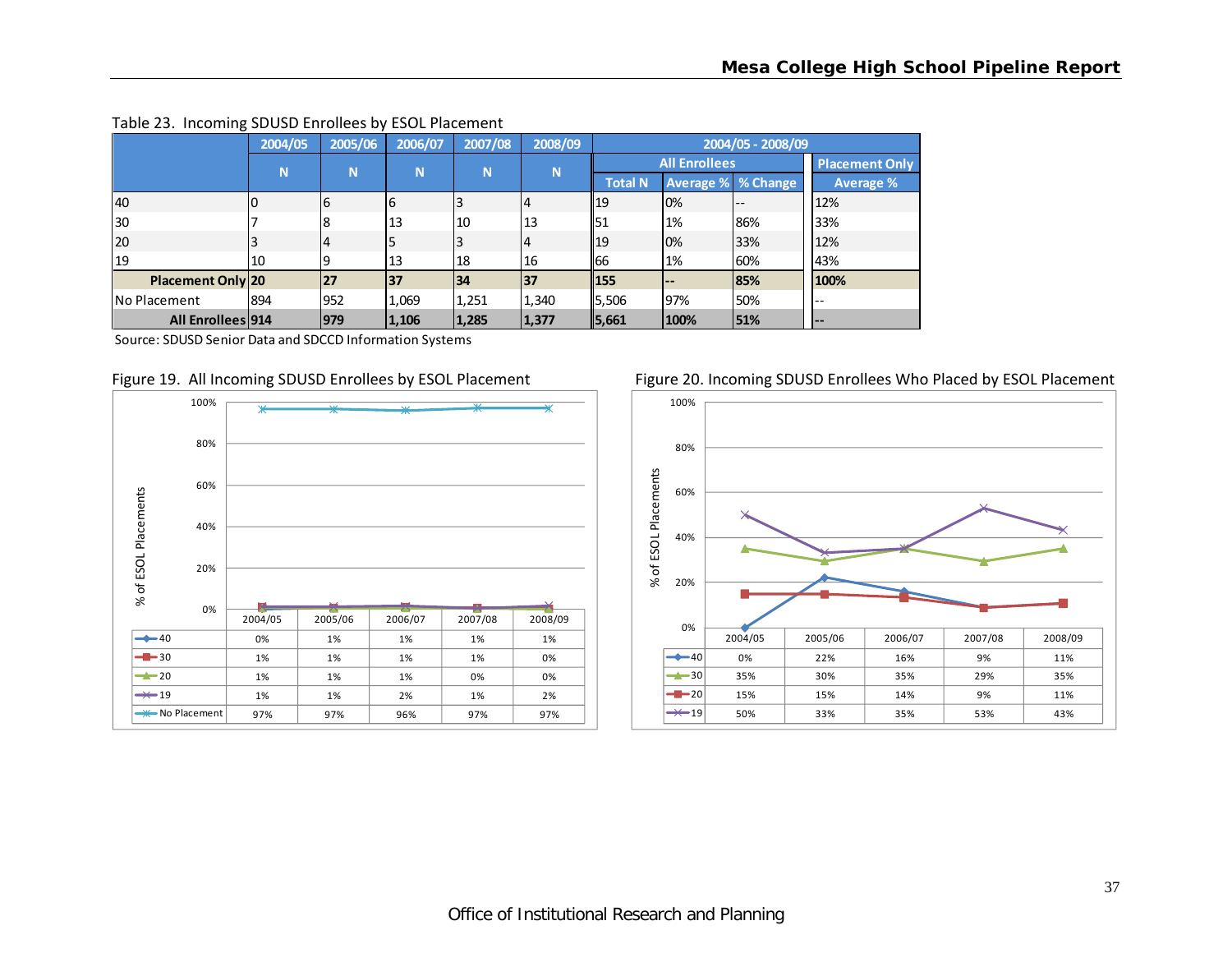|                          | 2004/05 | 2005/06     | 2006/07 | 2007/08 | 2008/09 |                |                      | 2004/05 - 2008/09 |                       |
|--------------------------|---------|-------------|---------|---------|---------|----------------|----------------------|-------------------|-----------------------|
|                          | N       | $\mathbf N$ | N       | N       | N       |                | <b>All Enrollees</b> |                   | <b>Placement Only</b> |
|                          |         |             |         |         |         | <b>Total N</b> | Average % % Change   |                   | Average %             |
| 40                       |         |             | 6       |         |         | 19             | 10%                  | $- -$             | 12%                   |
| 30                       |         |             | 13      | 10      | 13      | 51             | 1%                   | 86%               | 33%                   |
| 20                       |         | 4           |         |         | 4       | 19             | 0%                   | 33%               | 12%                   |
| 19                       | 10      |             | 13      | 18      | 16      | 166            | 1%                   | 60%               | 43%                   |
| <b>Placement Only 20</b> |         | 27          | 37      | 134     | 37      | 155            | $\qquad \qquad -$    | 85%               | 100%                  |
| <b>No Placement</b>      | 894     | 952         | 1,069   | 1,251   | 1,340   | 5,506          | 97%                  | 50%               | $-$                   |
| All Enrollees 914        |         | 979         | 1,106   | 1,285   | 1,377   | 5,661          | 100%                 | 51%               | <b>.</b>              |

#### Table 23. Incoming SDUSD Enrollees by ESOL Placement

Source: SDUSD Senior Data and SDCCD Information Systems





#### Figure 19. All Incoming SDUSD Enrollees by ESOL Placement Figure 20. Incoming SDUSD Enrollees Who Placed by ESOL Placement

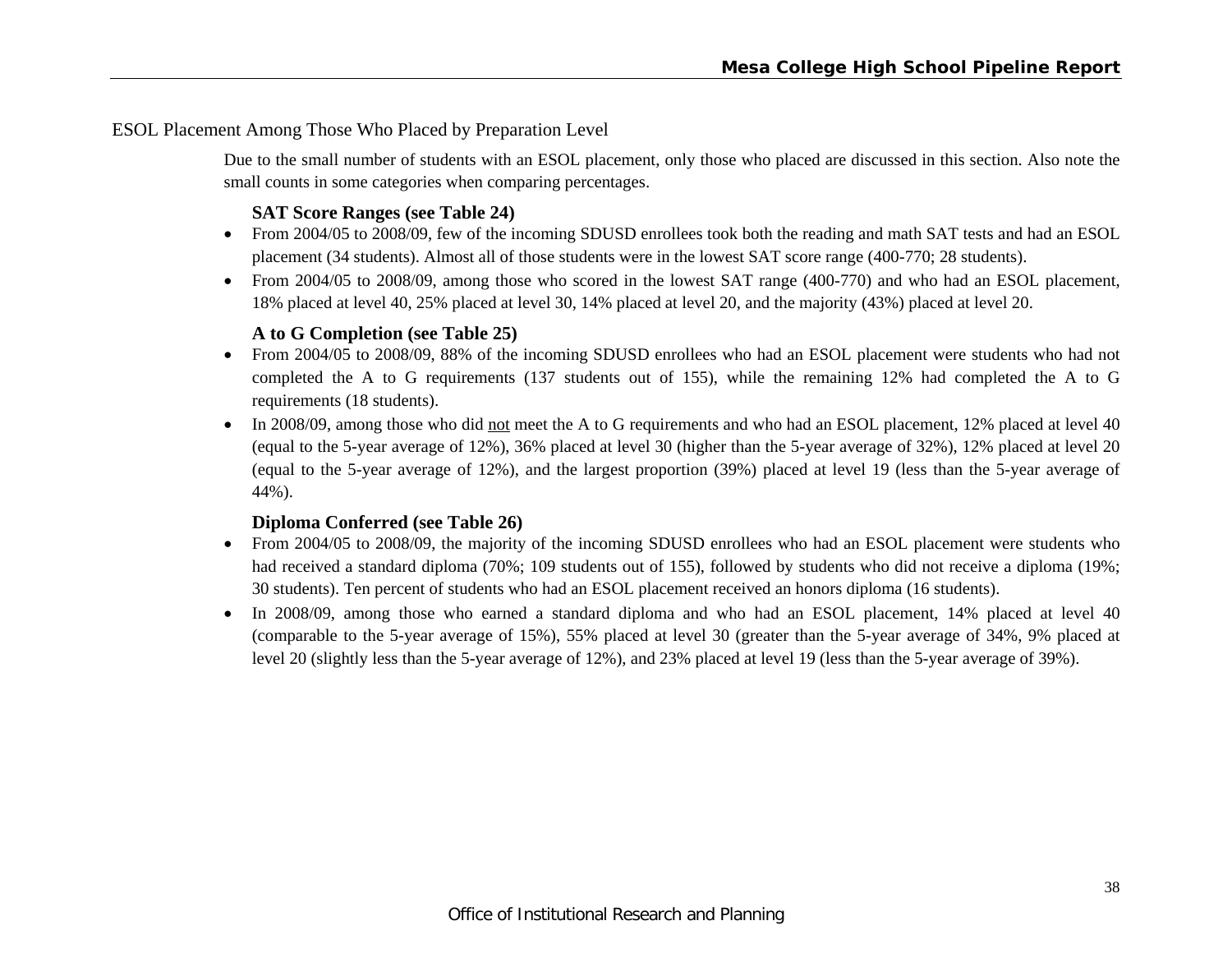# ESOL Placement Among Those Who Placed by Preparation Level

Due to the small number of students with an ESOL placement, only those who placed are discussed in this section. Also note the small counts in some categories when comparing percentages.

#### **SAT Score Ranges (see Table 24)**

- From 2004/05 to 2008/09, few of the incoming SDUSD enrollees took both the reading and math SAT tests and had an ESOL placement (34 students). Almost all of those students were in the lowest SAT score range (400-770; 28 students).
- From 2004/05 to 2008/09, among those who scored in the lowest SAT range (400-770) and who had an ESOL placement, 18% placed at level 40, 25% placed at level 30, 14% placed at level 20, and the majority (43%) placed at level 20.

# **A to G Completion (see Table 25)**

- From 2004/05 to 2008/09, 88% of the incoming SDUSD enrollees who had an ESOL placement were students who had not completed the A to G requirements (137 students out of 155), while the remaining 12% had completed the A to G requirements (18 students).
- In 2008/09, among those who did not meet the A to G requirements and who had an ESOL placement, 12% placed at level 40 (equal to the 5-year average of 12%), 36% placed at level 30 (higher than the 5-year average of 32%), 12% placed at level 20 (equal to the 5-year average of 12%), and the largest proportion (39%) placed at level 19 (less than the 5-year average of 44%).

#### **Diploma Conferred (see Table 26)**

- From 2004/05 to 2008/09, the majority of the incoming SDUSD enrollees who had an ESOL placement were students who had received a standard diploma (70%; 109 students out of 155), followed by students who did not receive a diploma (19%; 30 students). Ten percent of students who had an ESOL placement received an honors diploma (16 students).
- In 2008/09, among those who earned a standard diploma and who had an ESOL placement, 14% placed at level 40 (comparable to the 5-year average of 15%), 55% placed at level 30 (greater than the 5-year average of 34%, 9% placed at level 20 (slightly less than the 5-year average of 12%), and 23% placed at level 19 (less than the 5-year average of 39%).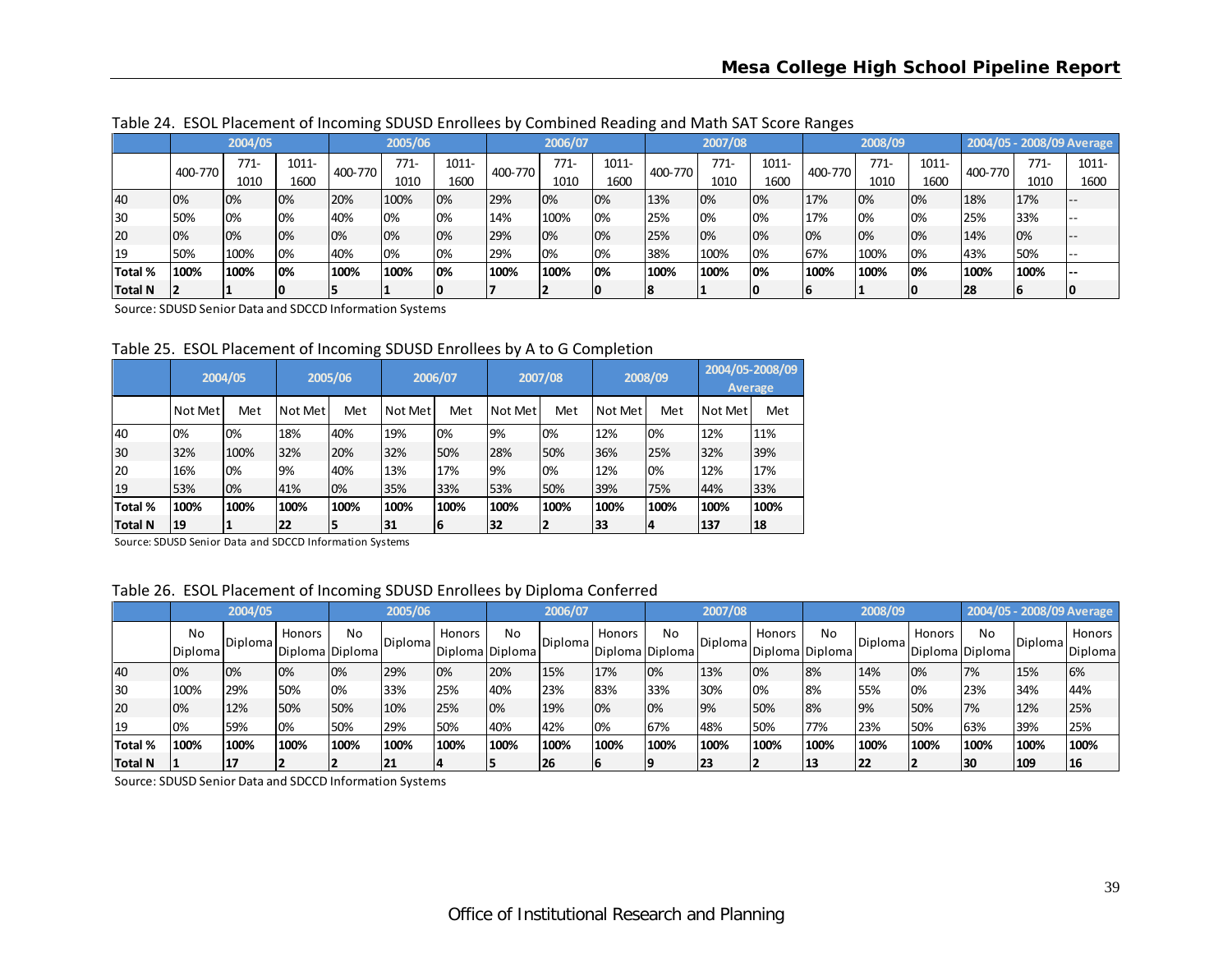|                |         | 2004/05 |       |         | 2005/06 |          |         | 2006/07 |          |         | 2007/08 |       |         | 2008/09 |       |         |        | 2004/05 - 2008/09 Average |
|----------------|---------|---------|-------|---------|---------|----------|---------|---------|----------|---------|---------|-------|---------|---------|-------|---------|--------|---------------------------|
|                | 400-770 | $771-$  | 1011- | 400-770 | $771 -$ | $1011 -$ | 400-770 | $771-$  | $1011 -$ | 400-770 | $771-$  | 1011- | 400-770 | $771 -$ | 1011- | 400-770 | $771-$ | 1011-                     |
|                |         | 1010    | 1600  |         | 1010    | 1600     |         | 1010    | 1600     |         | 1010    | 1600  |         | 1010    | 1600  |         | 1010   | 1600                      |
| 40             | 0%      | 10%     | 10%   | 20%     | 100%    | 10%      | 29%     | 10%     | 0%       | 13%     | 0%      | 0%    | 17%     | 0%      | 0%    | 18%     | 17%    |                           |
| <b>30</b>      | 50%     | 10%     | 0%    | 40%     | 0%      | 10%      | 14%     | 100%    | 0%       | 25%     | 10%     | 0%    | 17%     | 0%      | 0%    | 25%     | 33%    |                           |
| 120            | 0%      | 10%     | 10%   | 10%     | 10%     | 10%      | 29%     | 0%      | 0%       | 25%     | 10%     | 0%    | 0%      | 10%     | 0%    | 14%     | 10%    |                           |
| 19             | 50%     | 100%    | 0%    | 40%     | 10%     | 10%      | 29%     | 10%     | 0%       | 38%     | 100%    | 0%    | 67%     | 100%    | 0%    | 43%     | 50%    |                           |
| Total %        | 100%    | 100%    | 0%    | 100%    | 100%    | 10%      | 100%    | 100%    | 0%       | 100%    | 100%    | 0%    | 100%    | 100%    | 0%    | 100%    | 100%   |                           |
| <b>Total N</b> |         |         | 10    |         |         | ΙO       |         |         |          | 18      |         | 10    |         |         |       | 28      |        |                           |

Table 24. ESOL Placement of Incoming SDUSD Enrollees by Combined Reading and Math SAT Score Ranges

Source: SDUSD Senior Data and SDCCD Information Systems

Table 25. ESOL Placement of Incoming SDUSD Enrollees by A to G Completion

|                | 2004/05 |      | 2005/06 |      | 2006/07 |      | 2007/08 |      | 2008/09   |      | 2004/05-2008/09<br><b>Average</b> |      |
|----------------|---------|------|---------|------|---------|------|---------|------|-----------|------|-----------------------------------|------|
|                | Not Met | Met  | Not Met | Met  | Not Met | Met  | Not Met | Met  | Not Met l | Met  | Not Met                           | Met  |
| 40             | 0%      | 0%   | 18%     | 40%  | 19%     | 0%   | 9%      | 0%   | 12%       | 0%   | 12%                               | 11%  |
| 30             | 32%     | 100% | 32%     | 20%  | 32%     | 50%  | 28%     | 50%  | 36%       | 25%  | 32%                               | 39%  |
| 20             | 16%     | 0%   | 9%      | 40%  | 13%     | 17%  | 9%      | 0%   | 12%       | 0%   | 12%                               | 17%  |
| 19             | 53%     | 0%   | 41%     | 0%   | 35%     | 33%  | 53%     | 50%  | 39%       | 75%  | 44%                               | 33%  |
| Total %        | 100%    | 100% | 100%    | 100% | 100%    | 100% | 100%    | 100% | 100%      | 100% | 100%                              | 100% |
| <b>Total N</b> | 19      |      | 22      | 5    | 31      | 6    | 32      | 12   | 33        | 14   | 137                               | 18   |

Source: SDUSD Senior Data and SDCCD Information Systems

| Table 26. ESOL Placement of Incoming SDUSD Enrollees by Diploma Conferred |  |
|---------------------------------------------------------------------------|--|
|---------------------------------------------------------------------------|--|

|                | 2004/05       |          |        | 2005/06               |                  | 2006/07 |                       | 2007/08  |               | 2008/09               |                 |               | 2004/05 - 2008/09 Average |                |        |                       |         |                          |
|----------------|---------------|----------|--------|-----------------------|------------------|---------|-----------------------|----------|---------------|-----------------------|-----------------|---------------|---------------------------|----------------|--------|-----------------------|---------|--------------------------|
|                | No<br>Diploma | IDiploma | Honors | No<br>Diploma Diploma | <b>IDiplomal</b> | Honors  | No<br>Diploma Diploma | Diplomal | <b>Honors</b> | No<br>Diploma Diploma | <b>IDiploma</b> | <b>Honors</b> | No<br>Diploma Diploma     | <b>Diploma</b> | Honors | No<br>Diploma Diploma | Diploma | Honors<br><b>Diploma</b> |
| 40             | 0%            | 10%      | 0%     | 0%                    | 29%              | 0%      | 20%                   | 15%      | 17%           | 0%                    | 13%             | 0%            | 18%                       | 14%            | 0%     | 7%                    | 15%     | 6%                       |
| 30             | 100%          | 29%      | 50%    | 0%                    | 33%              | 25%     | 40%                   | 23%      | 83%           | 33%                   | 30%             | 0%            | <b>8%</b>                 | 55%            | 0%     | 23%                   | 34%     | 44%                      |
| <b>20</b>      | 0%            | 12%      | 50%    | 50%                   | 10%              | 25%     | 10%                   | 19%      | 0%            | 0%                    | 9%              | 50%           | 18%                       | 19%            | 50%    | 7%                    | 12%     | 25%                      |
| 19             | 0%            | 59%      | 0%     | 50%                   | 29%              | 50%     | 40%                   | 42%      | 0%            | 67%                   | 48%             | 50%           | 77%                       | 23%            | 50%    | 63%                   | 39%     | 25%                      |
| Total %        | 100%          | 100%     | 100%   | 100%                  | 100%             | 100%    | 100%                  | 100%     | 100%          | 100%                  | 100%            | 100%          | 100%                      | 100%           | 100%   | 100%                  | 100%    | 100%                     |
| <b>Total N</b> |               |          |        |                       | 21               |         |                       | 26       |               |                       | 23              |               | 13                        | 22             |        | 130                   | 109     | <b>16</b>                |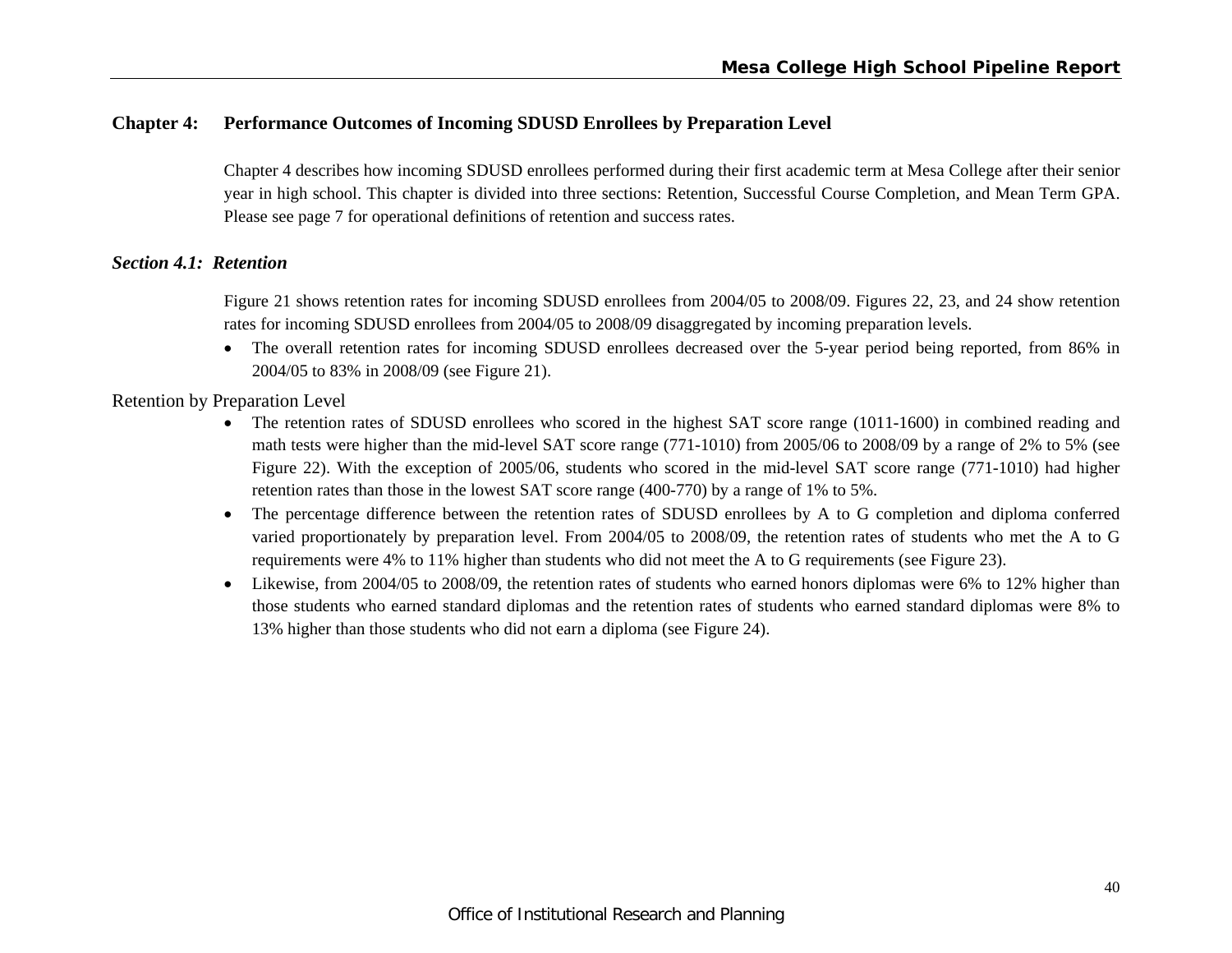# **Chapter 4: Performance Outcomes of Incoming SDUSD Enrollees by Preparation Level**

Chapter 4 describes how incoming SDUSD enrollees performed during their first academic term at Mesa College after their senior year in high school. This chapter is divided into three sections: Retention, Successful Course Completion, and Mean Term GPA. Please see page 7 for operational definitions of retention and success rates.

#### *Section 4.1: Retention*

Figure 21 shows retention rates for incoming SDUSD enrollees from 2004/05 to 2008/09. Figures 22, 23, and 24 show retention rates for incoming SDUSD enrollees from 2004/05 to 2008/09 disaggregated by incoming preparation levels.

 The overall retention rates for incoming SDUSD enrollees decreased over the 5-year period being reported, from 86% in 2004/05 to 83% in 2008/09 (see Figure 21).

#### Retention by Preparation Level

- The retention rates of SDUSD enrollees who scored in the highest SAT score range (1011-1600) in combined reading and math tests were higher than the mid-level SAT score range (771-1010) from 2005/06 to 2008/09 by a range of 2% to 5% (see Figure 22). With the exception of 2005/06, students who scored in the mid-level SAT score range (771-1010) had higher retention rates than those in the lowest SAT score range (400-770) by a range of 1% to 5%.
- The percentage difference between the retention rates of SDUSD enrollees by A to G completion and diploma conferred varied proportionately by preparation level. From 2004/05 to 2008/09, the retention rates of students who met the A to G requirements were 4% to 11% higher than students who did not meet the A to G requirements (see Figure 23).
- Likewise, from 2004/05 to 2008/09, the retention rates of students who earned honors diplomas were 6% to 12% higher than those students who earned standard diplomas and the retention rates of students who earned standard diplomas were 8% to 13% higher than those students who did not earn a diploma (see Figure 24).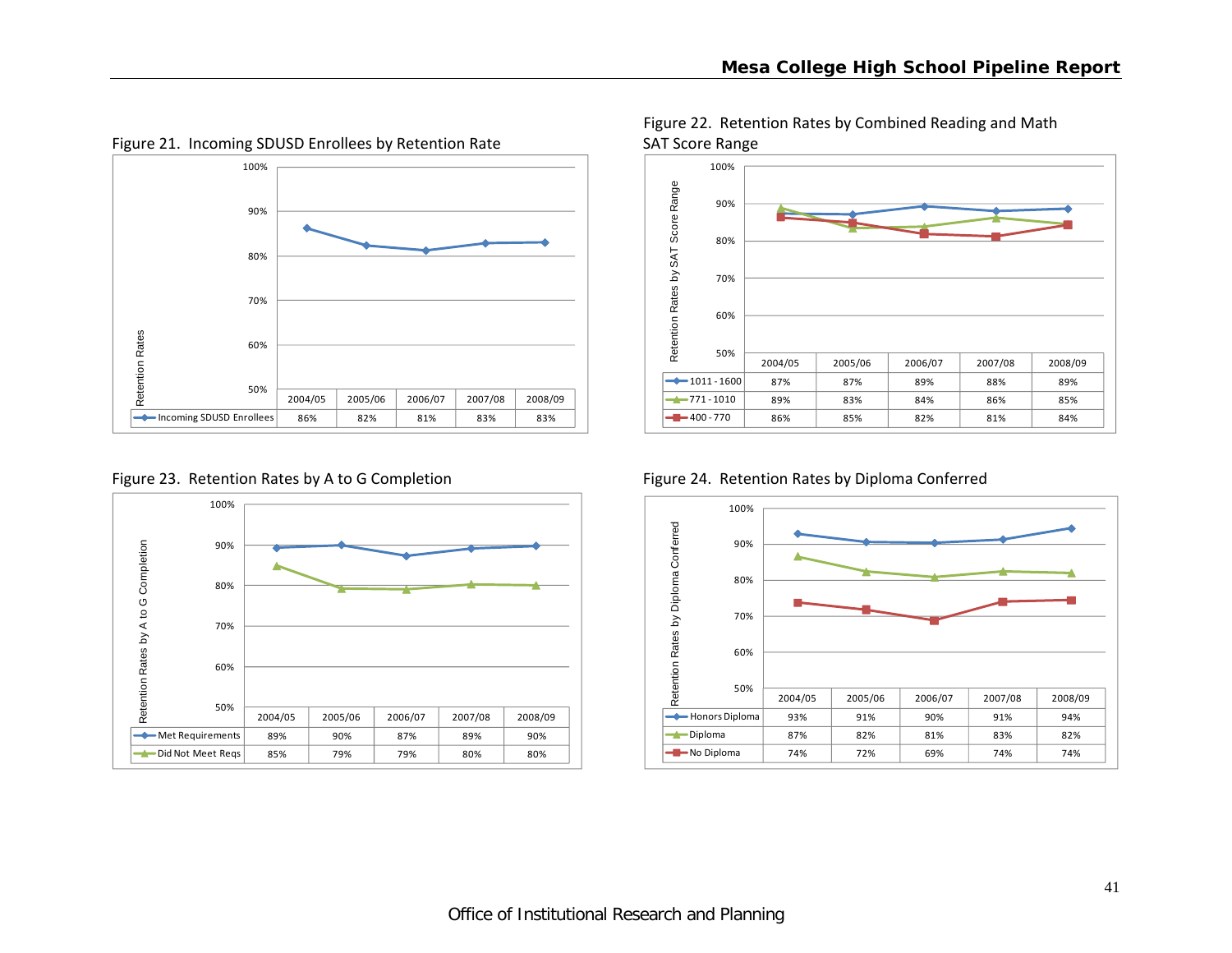

Figure 21. Incoming SDUSD Enrollees by Retention Rate SAT Score Range





400 ‐ 770 86% 85% 82% 81% 84%84% 50% 60% 70% 80%90%100% Retention Rates by SAT Score Range

Figure 22. Retention Rates by Combined Reading and Math

Figure 23. Retention Rates by A to G Completion Figure 24. Retention Rates by Diploma Conferred

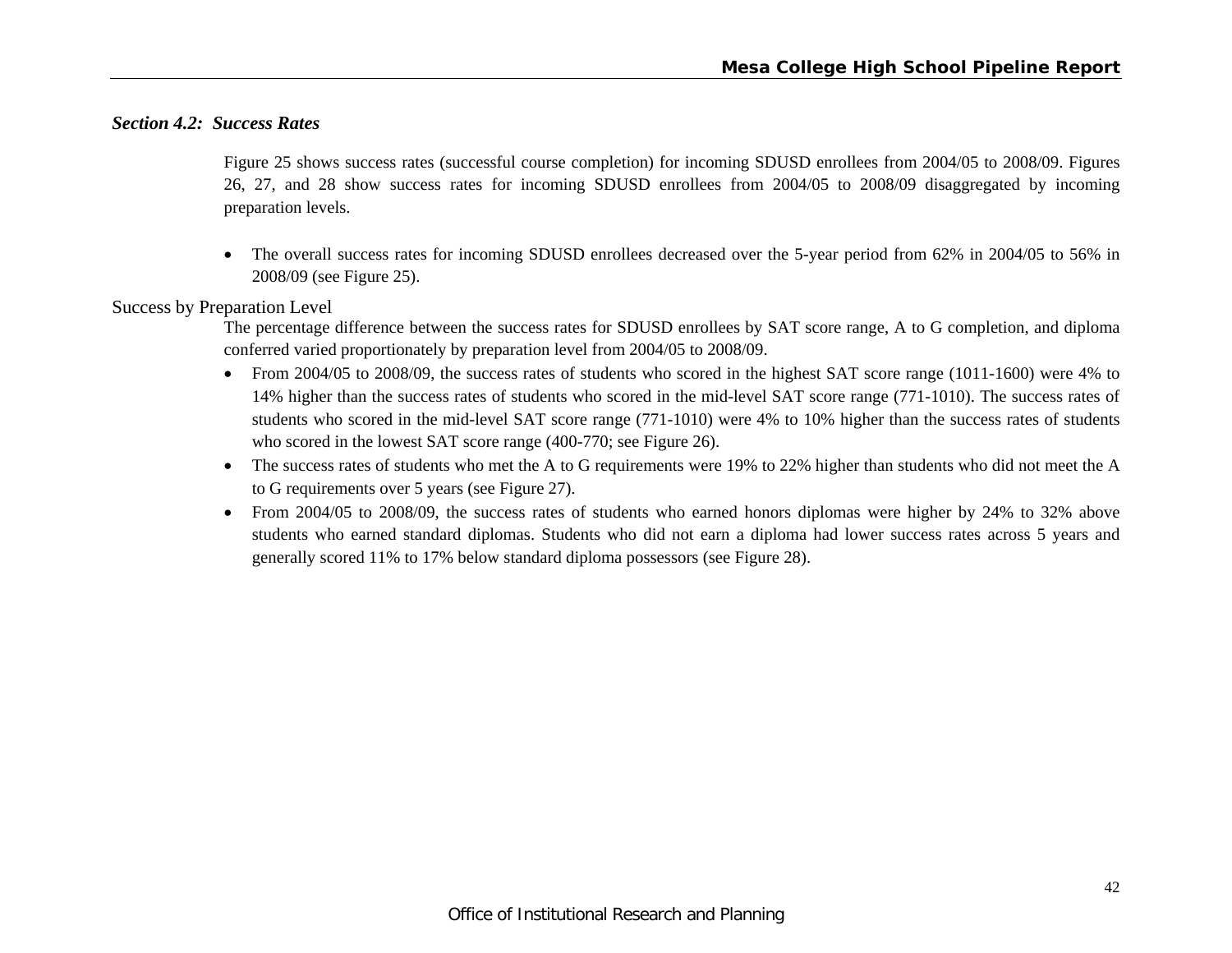# *Section 4.2: Success Rates*

Figure 25 shows success rates (successful course completion) for incoming SDUSD enrollees from 2004/05 to 2008/09. Figures 26, 27, and 28 show success rates for incoming SDUSD enrollees from 2004/05 to 2008/09 disaggregated by incoming preparation levels.

 The overall success rates for incoming SDUSD enrollees decreased over the 5-year period from 62% in 2004/05 to 56% in 2008/09 (see Figure 25).

#### Success by Preparation Level

The percentage difference between the success rates for SDUSD enrollees by SAT score range, A to G completion, and diploma conferred varied proportionately by preparation level from 2004/05 to 2008/09.

- From 2004/05 to 2008/09, the success rates of students who scored in the highest SAT score range (1011-1600) were 4% to 14% higher than the success rates of students who scored in the mid-level SAT score range (771-1010). The success rates of students who scored in the mid-level SAT score range (771-1010) were 4% to 10% higher than the success rates of students who scored in the lowest SAT score range (400-770; see Figure 26).
- The success rates of students who met the A to G requirements were 19% to 22% higher than students who did not meet the A to G requirements over 5 years (see Figure 27).
- From 2004/05 to 2008/09, the success rates of students who earned honors diplomas were higher by 24% to 32% above students who earned standard diplomas. Students who did not earn a diploma had lower success rates across 5 years and generally scored 11% to 17% below standard diploma possessors (see Figure 28).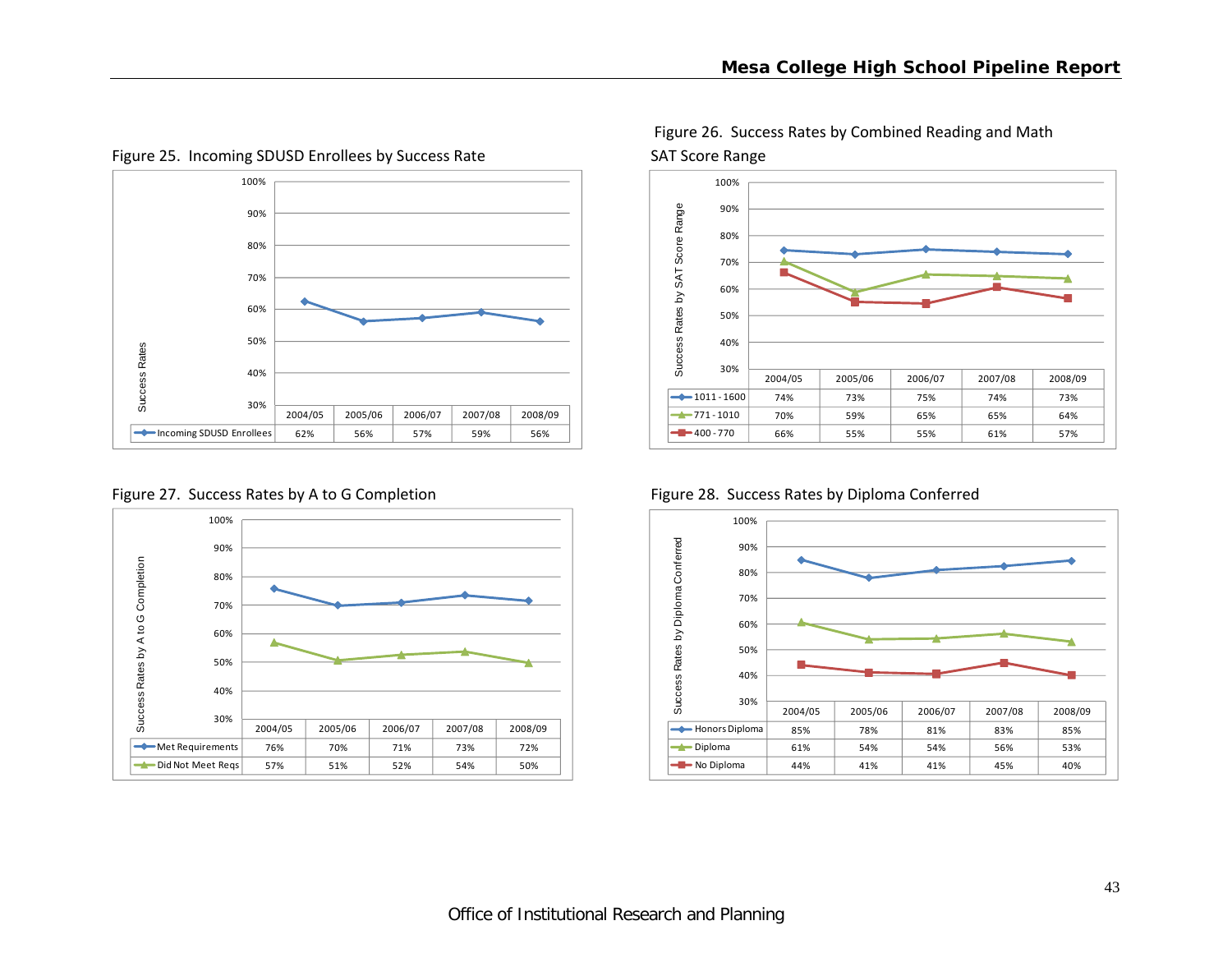

Figure 25. Incoming SDUSD Enrollees by Success Rate SAT Score Range



Figure 26. Success Rates by Combined Reading and Math

90%100%

Figure 27. Success Rates by A to G Completion Figure 28. Success Rates by Diploma Conferred





30%40%50%

100%

Met Requirements 76% 70% 71% 73% 72%

Did Not Meet Reqs | 57% | 51% | 52% | 54% | 50%

2004/05 2005/06 2006/07 2007/08 2008/09

72%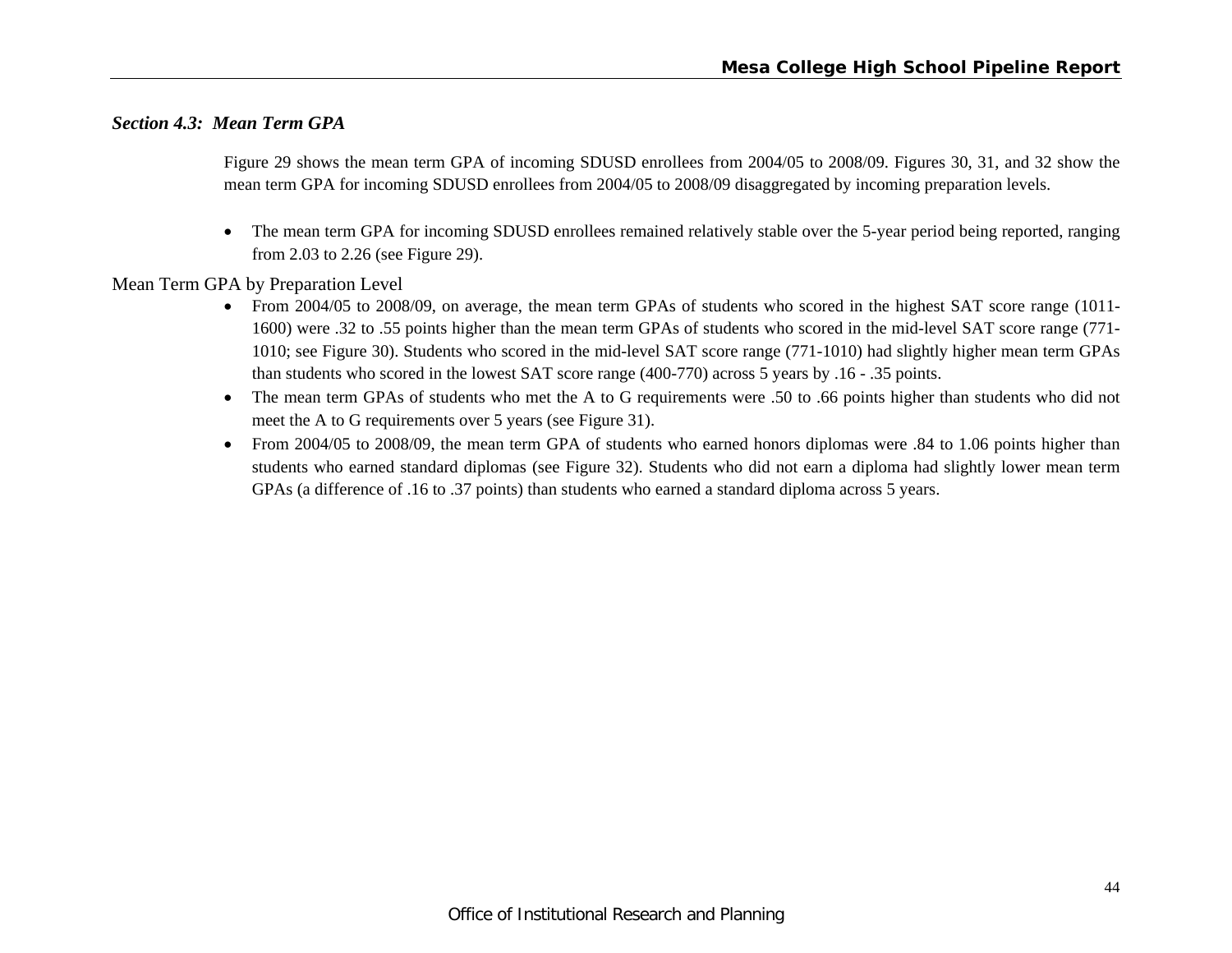### *Section 4.3: Mean Term GPA*

Figure 29 shows the mean term GPA of incoming SDUSD enrollees from 2004/05 to 2008/09. Figures 30, 31, and 32 show the mean term GPA for incoming SDUSD enrollees from 2004/05 to 2008/09 disaggregated by incoming preparation levels.

 $\bullet$  The mean term GPA for incoming SDUSD enrollees remained relatively stable over the 5-year period being reported, ranging from 2.03 to 2.26 (see Figure 29).

Mean Term GPA by Preparation Level

- From 2004/05 to 2008/09, on average, the mean term GPAs of students who scored in the highest SAT score range (1011- 1600) were .32 to .55 points higher than the mean term GPAs of students who scored in the mid-level SAT score range (771- 1010; see Figure 30). Students who scored in the mid-level SAT score range (771-1010) had slightly higher mean term GPAs than students who scored in the lowest SAT score range (400-770) across 5 years by .16 - .35 points.
- The mean term GPAs of students who met the A to G requirements were .50 to .66 points higher than students who did not meet the A to G requirements over 5 years (see Figure 31).
- From 2004/05 to 2008/09, the mean term GPA of students who earned honors diplomas were .84 to 1.06 points higher than students who earned standard diplomas (see Figure 32). Students who did not earn a diploma had slightly lower mean term GPAs (a difference of .16 to .37 points) than students who earned a standard diploma across 5 years.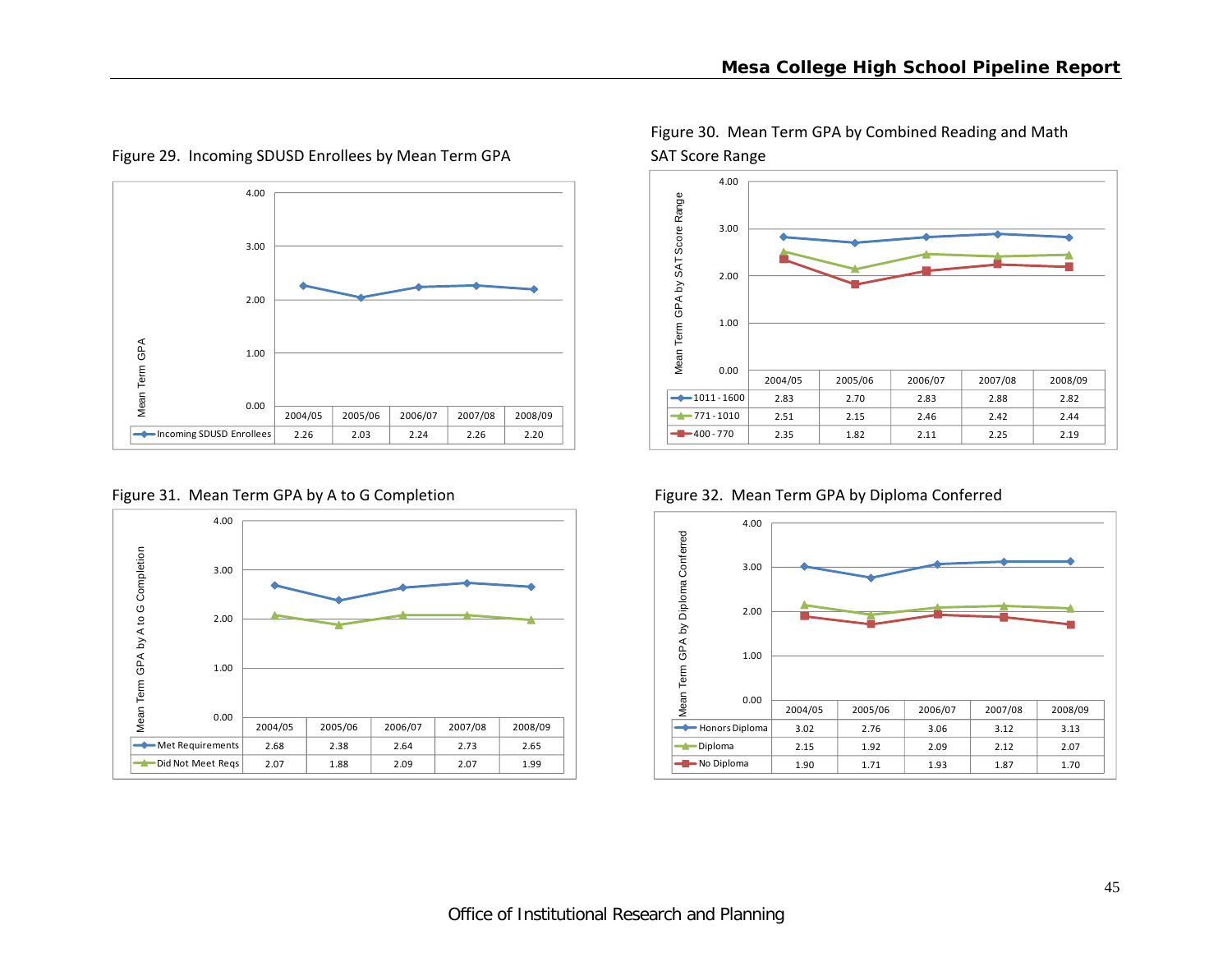

Figure 29. Incoming SDUSD Enrollees by Mean Term GPA SAT Score Range



Figure 30. Mean Term GPA by Combined Reading and Math



Figure 31. Mean Term GPA by A to G Completion Figure 32. Mean Term GPA by Diploma Conferred

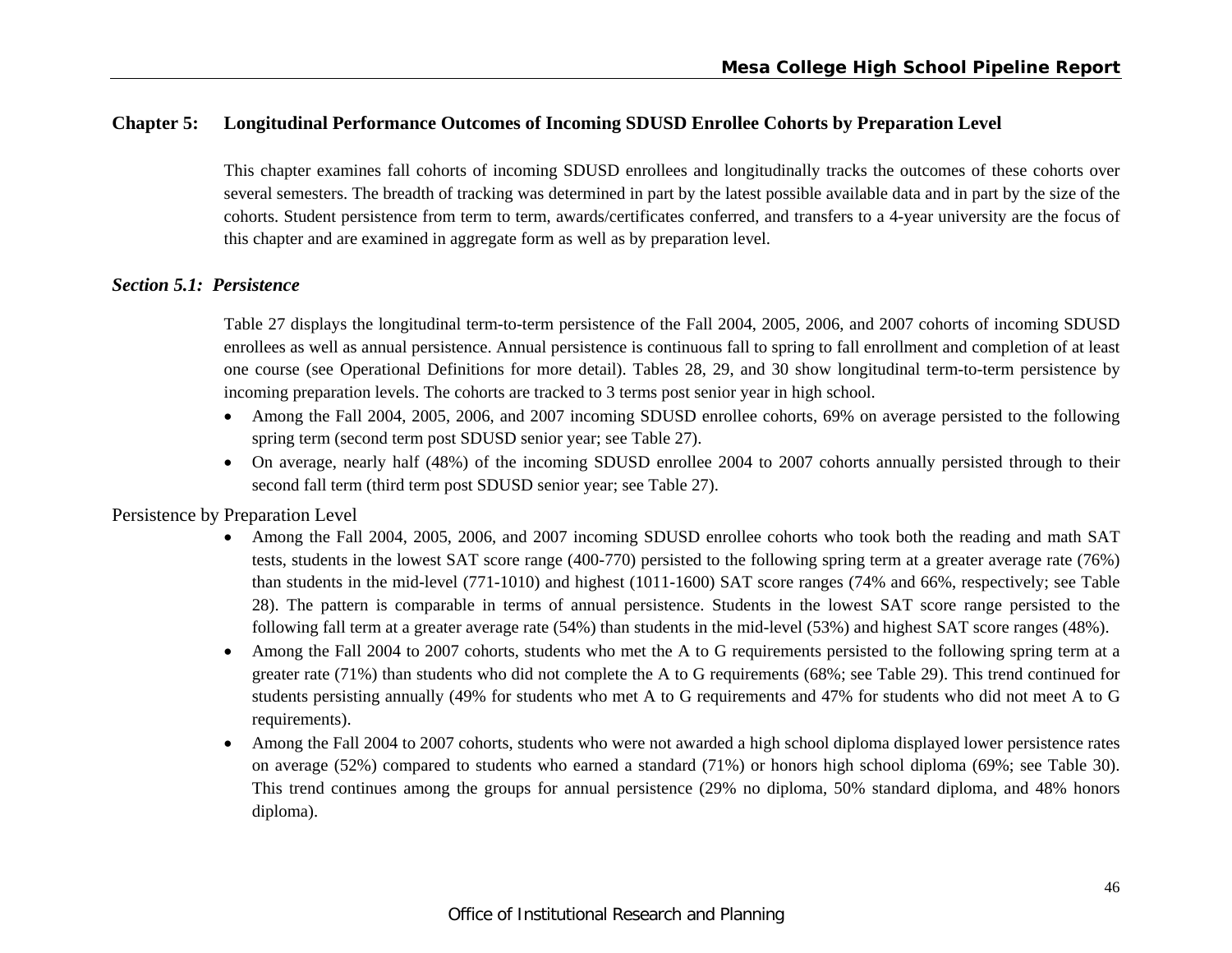# **Chapter 5: Longitudinal Performance Outcomes of Incoming SDUSD Enrollee Cohorts by Preparation Level**

This chapter examines fall cohorts of incoming SDUSD enrollees and longitudinally tracks the outcomes of these cohorts over several semesters. The breadth of tracking was determined in part by the latest possible available data and in part by the size of the cohorts. Student persistence from term to term, awards/certificates conferred, and transfers to a 4-year university are the focus of this chapter and are examined in aggregate form as well as by preparation level.

#### *Section 5.1: Persistence*

Table 27 displays the longitudinal term-to-term persistence of the Fall 2004, 2005, 2006, and 2007 cohorts of incoming SDUSD enrollees as well as annual persistence. Annual persistence is continuous fall to spring to fall enrollment and completion of at least one course (see Operational Definitions for more detail). Tables 28, 29, and 30 show longitudinal term-to-term persistence by incoming preparation levels. The cohorts are tracked to 3 terms post senior year in high school.

- Among the Fall 2004, 2005, 2006, and 2007 incoming SDUSD enrollee cohorts, 69% on average persisted to the following spring term (second term post SDUSD senior year; see Table 27).
- On average, nearly half (48%) of the incoming SDUSD enrollee 2004 to 2007 cohorts annually persisted through to their second fall term (third term post SDUSD senior year; see Table 27).

# Persistence by Preparation Level

- Among the Fall 2004, 2005, 2006, and 2007 incoming SDUSD enrollee cohorts who took both the reading and math SAT tests, students in the lowest SAT score range (400-770) persisted to the following spring term at a greater average rate (76%) than students in the mid-level (771-1010) and highest (1011-1600) SAT score ranges (74% and 66%, respectively; see Table 28). The pattern is comparable in terms of annual persistence. Students in the lowest SAT score range persisted to the following fall term at a greater average rate (54%) than students in the mid-level (53%) and highest SAT score ranges (48%).
- $\bullet$  Among the Fall 2004 to 2007 cohorts, students who met the A to G requirements persisted to the following spring term at a greater rate (71%) than students who did not complete the A to G requirements (68%; see Table 29). This trend continued for students persisting annually (49% for students who met A to G requirements and 47% for students who did not meet A to G requirements).
- $\bullet$  Among the Fall 2004 to 2007 cohorts, students who were not awarded a high school diploma displayed lower persistence rates on average (52%) compared to students who earned a standard (71%) or honors high school diploma (69%; see Table 30). This trend continues among the groups for annual persistence (29% no diploma, 50% standard diploma, and 48% honors diploma).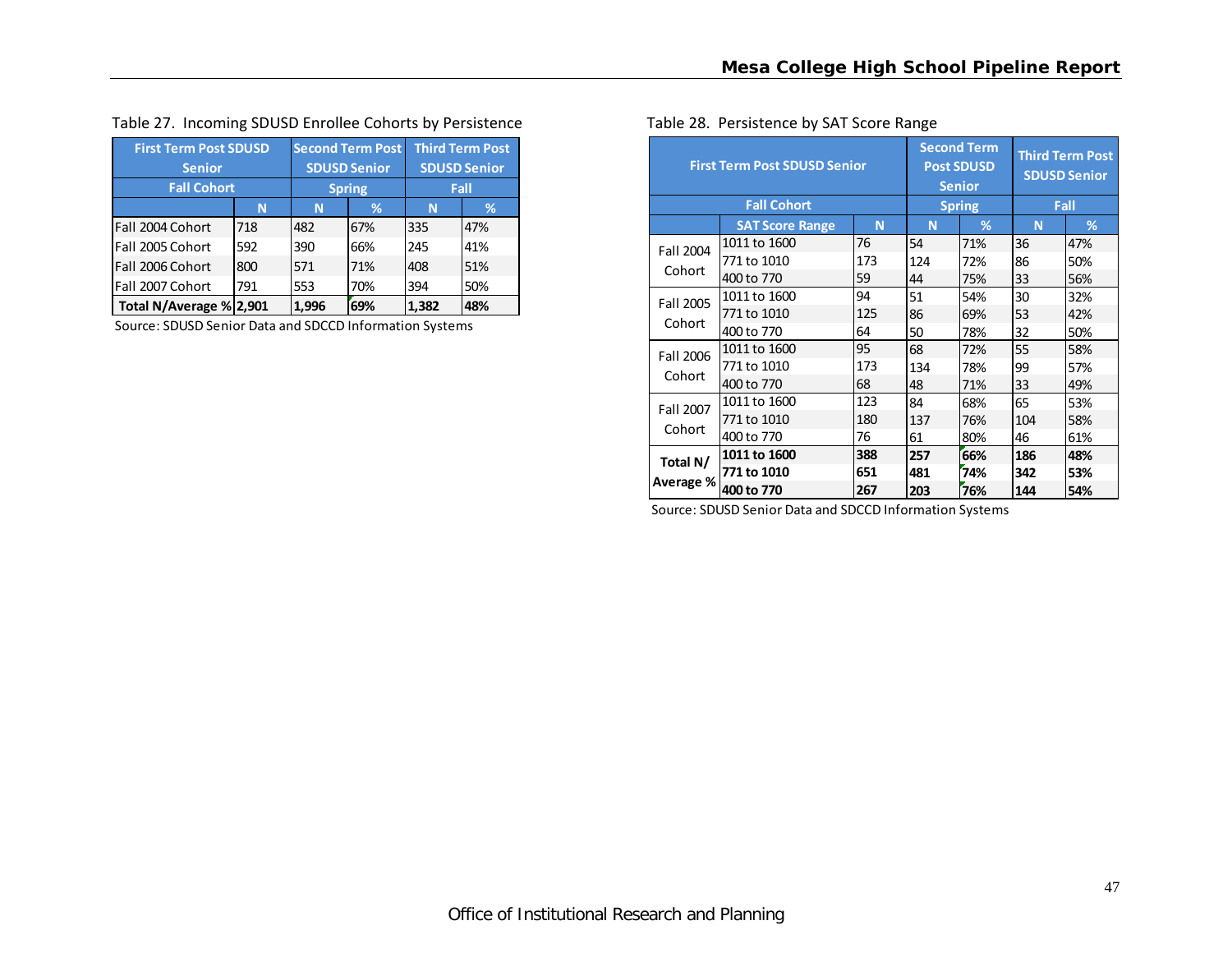|  |  | Table 27. Incoming SDUSD Enrollee Cohorts by Persistence |  |
|--|--|----------------------------------------------------------|--|
|--|--|----------------------------------------------------------|--|

| <b>First Term Post SDUSD</b> | <b>Second Term Post</b> |                     | <b>Third Term Post</b> |       |     |
|------------------------------|-------------------------|---------------------|------------------------|-------|-----|
| <b>Senior</b>                |                         | <b>SDUSD Senior</b> | <b>SDUSD Senior</b>    |       |     |
| <b>Fall Cohort</b>           |                         | <b>Spring</b>       | Fall                   |       |     |
|                              | N                       | N                   | ℅                      | N     | ℅   |
| Fall 2004 Cohort             | 718                     | 482                 | 67%                    | 335   | 47% |
| Fall 2005 Cohort             | 592                     | 390                 | 66%                    | 245   | 41% |
| Fall 2006 Cohort             | 800                     | 571                 | 71%                    | 408   | 51% |
| Fall 2007 Cohort             | 70%<br>553              |                     | 394                    | 50%   |     |
| Total N/Average % 2,901      |                         | 1,996               | 69%                    | 1.382 | 48% |

Source: SDUSD Senior Data and SDCCD Information Systems

| Table 28. Persistence by SAT Score Range |                                                          |                                               |  |  |  |  |  |  |
|------------------------------------------|----------------------------------------------------------|-----------------------------------------------|--|--|--|--|--|--|
| <b>First Term Post SDUSD Senior</b>      | <b>Second Term</b><br><b>Post SDUSD</b><br><b>Senior</b> | <b>Third Term Post</b><br><b>SDUSD Senior</b> |  |  |  |  |  |  |
| <b>Fall Cohort</b>                       |                                                          |                                               |  |  |  |  |  |  |

|           |                        |     |     |     | <b>SDUSD Senior</b> |     |  |
|-----------|------------------------|-----|-----|-----|---------------------|-----|--|
|           | <b>Fall Cohort</b>     |     |     |     | Fall                |     |  |
|           | <b>SAT Score Range</b> | N   | N   | %   | N                   | %   |  |
| Fall 2004 | 1011 to 1600           | 76  | 54  | 71% | 36                  | 47% |  |
|           | 771 to 1010            | 173 | 124 | 72% | 86                  | 50% |  |
| Cohort    | 400 to 770             | 59  | 44  | 75% | 33                  | 56% |  |
| Fall 2005 | 1011 to 1600           | 94  | 51  | 54% | 30                  | 32% |  |
|           | 771 to 1010            | 125 | 86  | 69% | 53                  | 42% |  |
| Cohort    | 400 to 770             | 64  | 50  | 78% | 32                  | 50% |  |
| Fall 2006 | 1011 to 1600           | 95  | 68  | 72% | 55                  | 58% |  |
|           | 771 to 1010            | 173 | 134 | 78% | 99                  | 57% |  |
| Cohort    | 400 to 770             | 68  | 48  | 71% | 33                  | 49% |  |
| Fall 2007 | 1011 to 1600           | 123 | 84  | 68% | 65                  | 53% |  |
|           | 771 to 1010            | 180 | 137 | 76% | 104                 | 58% |  |
| Cohort    | 400 to 770             | 76  | 61  | 80% | 46                  | 61% |  |
| Total N/  | 1011 to 1600           | 388 | 257 | 66% | 186                 | 48% |  |
|           | 771 to 1010            | 651 | 481 | 74% | 342                 | 53% |  |
| Average % | 400 to 770             | 267 | 203 | 76% | 144                 | 54% |  |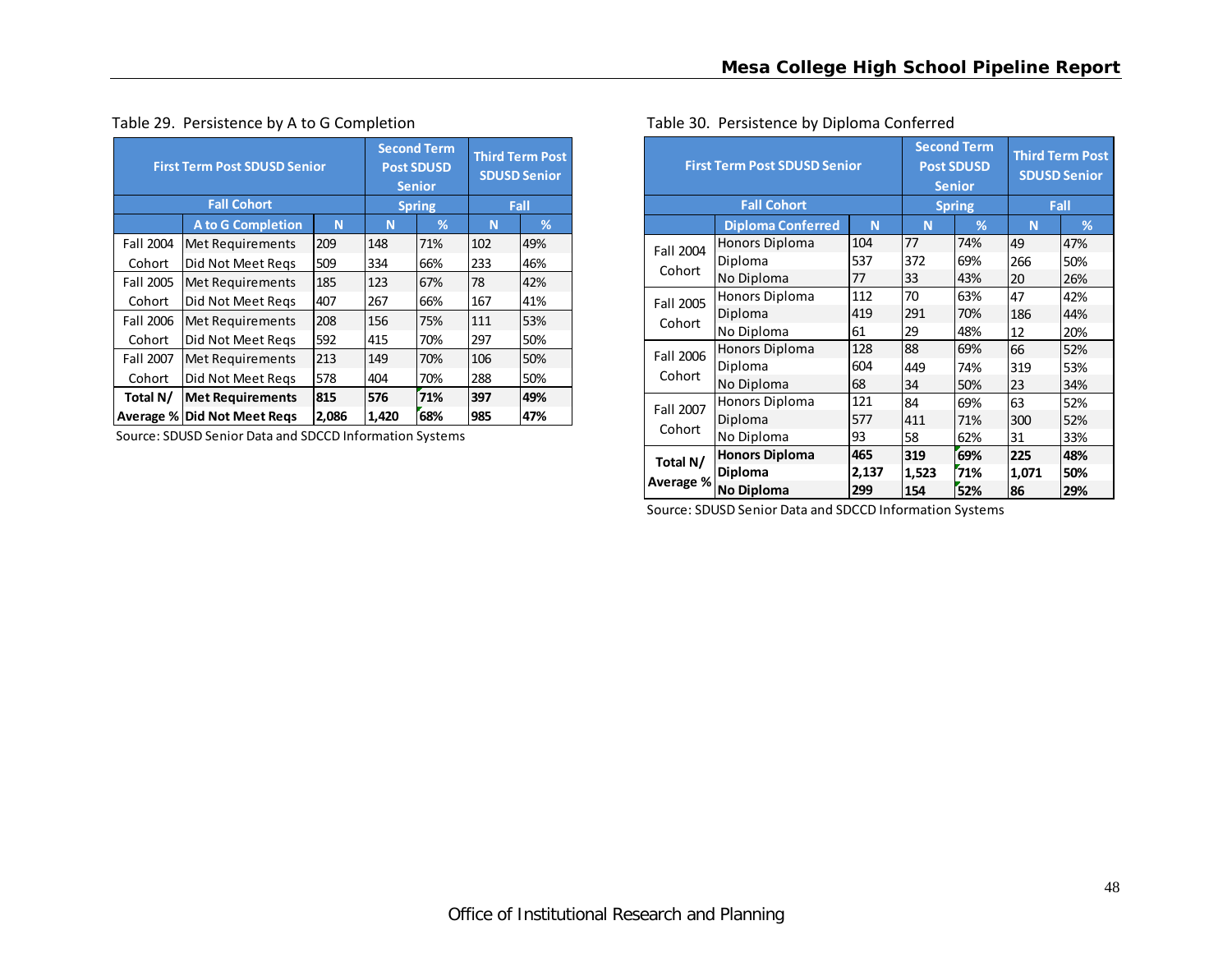| <b>First Term Post SDUSD Senior</b> |                                    | <b>Second Term</b><br><b>Post SDUSD</b><br><b>Senior</b> | <b>Third Term Post</b><br><b>SDUSD Senior</b> |               |     |      |
|-------------------------------------|------------------------------------|----------------------------------------------------------|-----------------------------------------------|---------------|-----|------|
|                                     | <b>Fall Cohort</b>                 |                                                          |                                               | <b>Spring</b> |     | Fall |
|                                     | <b>A to G Completion</b>           | N                                                        | N                                             | %             | N   | %    |
| Fall 2004                           | Met Requirements                   | 209                                                      | 148                                           | 71%           | 102 | 49%  |
| Cohort                              | Did Not Meet Regs                  | 509                                                      | 334                                           | 66%           | 233 | 46%  |
| Fall 2005                           | Met Requirements                   | 185                                                      | 123                                           | 67%           | 78  | 42%  |
| Cohort                              | Did Not Meet Regs                  | 407                                                      | 267                                           | 66%           | 167 | 41%  |
| Fall 2006                           | Met Requirements                   | 208                                                      | 156                                           | 75%           | 111 | 53%  |
| Cohort                              | Did Not Meet Regs                  | 592                                                      | 415                                           | 70%           | 297 | 50%  |
| Fall 2007                           | Met Requirements                   | 213                                                      | 149                                           | 70%           | 106 | 50%  |
| Cohort                              | Did Not Meet Regs                  | 578                                                      | 404                                           | 70%           | 288 | 50%  |
| Total N/                            | 815                                | 576                                                      | 71%                                           | 397           | 49% |      |
|                                     | <b>Average % Did Not Meet Regs</b> | 2,086                                                    | 1,420                                         | 68%           | 985 | 47%  |

#### Table 29. Persistence by A to G Completion

Source: SDUSD Senior Data and SDCCD Information Systems

| <b>First Term Post SDUSD Senior</b> |                                                     | <b>Second Term</b><br><b>Post SDUSD</b><br><b>Senior</b><br><b>Spring</b> | <b>Third Term Post</b><br><b>SDUSD Senior</b><br>Fall |     |       |     |
|-------------------------------------|-----------------------------------------------------|---------------------------------------------------------------------------|-------------------------------------------------------|-----|-------|-----|
|                                     | <b>Fall Cohort</b><br><b>Diploma Conferred</b><br>N |                                                                           |                                                       |     | N     | %   |
| Fall 2004                           | <b>Honors Diploma</b>                               | 104                                                                       | 77                                                    | 74% | 49    | 47% |
|                                     | Diploma                                             | 537                                                                       | 372                                                   | 69% | 266   | 50% |
| Cohort                              | No Diploma                                          | 77                                                                        | 33                                                    | 43% | 20    | 26% |
| Fall 2005                           | Honors Diploma                                      | 112                                                                       | 70                                                    | 63% | 47    | 42% |
|                                     | Diploma                                             | 419                                                                       | 291                                                   | 70% | 186   | 44% |
| Cohort                              | No Diploma                                          | 61                                                                        | 29                                                    | 48% | 12    | 20% |
| Fall 2006                           | <b>Honors Diploma</b>                               | 128                                                                       | 88                                                    | 69% | 66    | 52% |
|                                     | Diploma                                             | 604                                                                       | 449                                                   | 74% | 319   | 53% |
| Cohort                              | No Diploma                                          | 68                                                                        | 34                                                    | 50% | 23    | 34% |
| Fall 2007                           | Honors Diploma                                      | 121                                                                       | 84                                                    | 69% | 63    | 52% |
|                                     | Diploma                                             | 577                                                                       | 411                                                   | 71% | 300   | 52% |
| Cohort                              | No Diploma                                          | 93                                                                        | 58                                                    | 62% | 31    | 33% |
| Total N/                            | <b>Honors Diploma</b>                               | 465                                                                       | 319                                                   | 69% | 225   | 48% |
|                                     | <b>Diploma</b>                                      | 2,137                                                                     | 1,523                                                 | 71% | 1,071 | 50% |
| Average %                           | No Diploma                                          | 299                                                                       | 154                                                   | 52% | 86    | 29% |

#### Table 30. Persistence by Diploma Conferred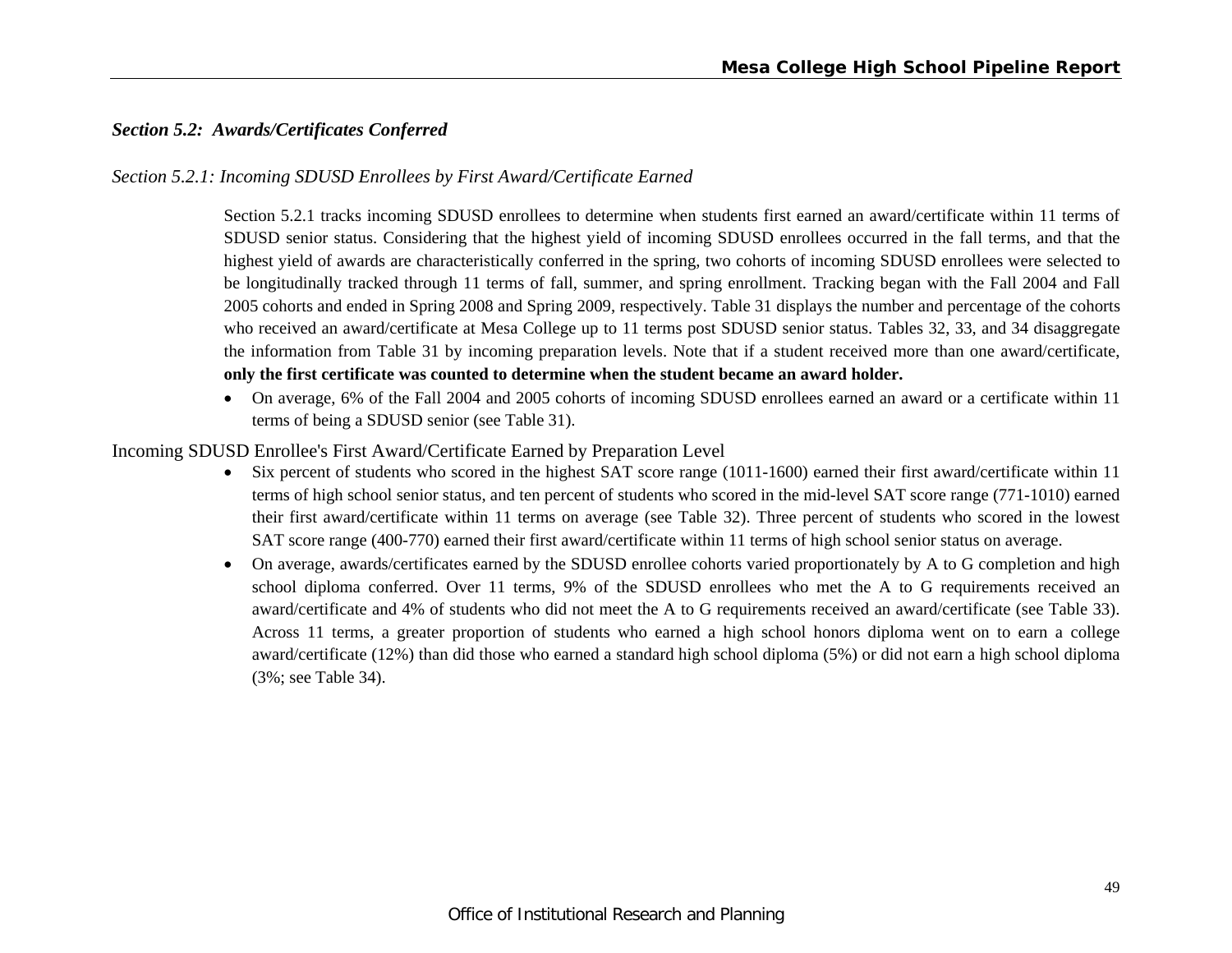# *Section 5.2: Awards/Certificates Conferred*

#### *Section 5.2.1: Incoming SDUSD Enrollees by First Award/Certificate Earned*

Section 5.2.1 tracks incoming SDUSD enrollees to determine when students first earned an award/certificate within 11 terms of SDUSD senior status. Considering that the highest yield of incoming SDUSD enrollees occurred in the fall terms, and that the highest yield of awards are characteristically conferred in the spring, two cohorts of incoming SDUSD enrollees were selected to be longitudinally tracked through 11 terms of fall, summer, and spring enrollment. Tracking began with the Fall 2004 and Fall 2005 cohorts and ended in Spring 2008 and Spring 2009, respectively. Table 31 displays the number and percentage of the cohorts who received an award/certificate at Mesa College up to 11 terms post SDUSD senior status. Tables 32, 33, and 34 disaggregate the information from Table 31 by incoming preparation levels. Note that if a student received more than one award/certificate, **only the first certificate was counted to determine when the student became an award holder.**

 On average, 6% of the Fall 2004 and 2005 cohorts of incoming SDUSD enrollees earned an award or a certificate within 11 terms of being a SDUSD senior (see Table 31).

#### Incoming SDUSD Enrollee's First Award/Certificate Earned by Preparation Level

- Six percent of students who scored in the highest SAT score range (1011-1600) earned their first award/certificate within 11 terms of high school senior status, and ten percent of students who scored in the mid-level SAT score range (771-1010) earned their first award/certificate within 11 terms on average (see Table 32). Three percent of students who scored in the lowest SAT score range (400-770) earned their first award/certificate within 11 terms of high school senior status on average.
- On average, awards/certificates earned by the SDUSD enrollee cohorts varied proportionately by A to G completion and high school diploma conferred. Over 11 terms, 9% of the SDUSD enrollees who met the A to G requirements received an award/certificate and 4% of students who did not meet the A to G requirements received an award/certificate (see Table 33). Across 11 terms, a greater proportion of students who earned a high school honors diploma went on to earn a college award/certificate (12%) than did those who earned a standard high school diploma (5%) or did not earn a high school diploma (3%; see Table 34).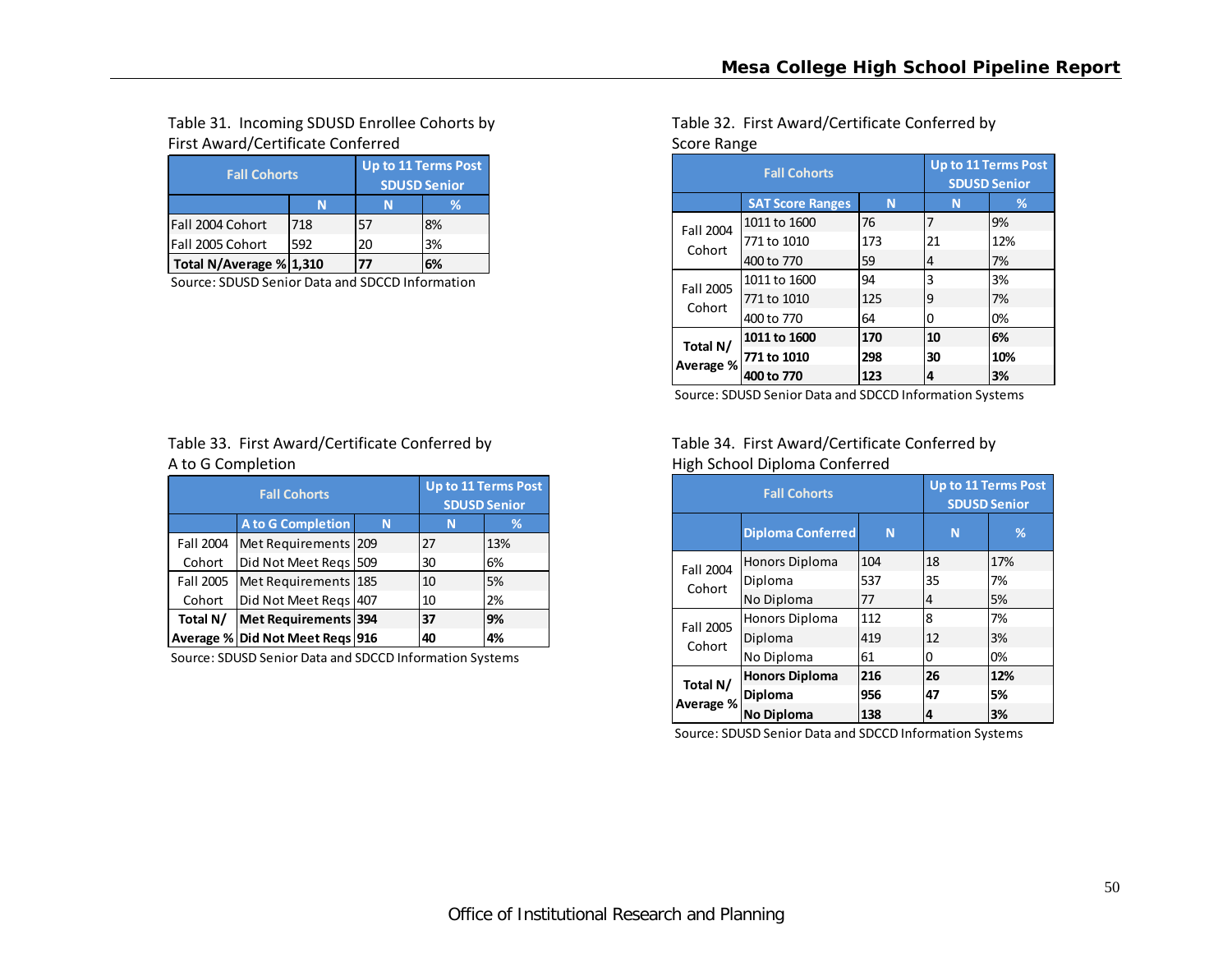# Table 31. Incoming SDUSD Enrollee Cohorts by First Award/Certificate Conferred **Score Range Score Range** Score Range

| <b>Fall Cohorts</b>     | Up to 11 Terms Post<br><b>SDUSD Senior</b> |    |    |  |
|-------------------------|--------------------------------------------|----|----|--|
|                         |                                            |    | %  |  |
| lFall 2004 Cohort       | 718                                        | 57 | 8% |  |
| Fall 2005 Cohort        | 592                                        | 20 | 3% |  |
| Total N/Average % 1,310 |                                            | 77 | ና% |  |

Source: SDUSD Senior Data and SDCCD Information

# Table 33. First Award/Certificate Conferred by A to G

|           | <b>Fall Cohorts</b>                |   | <b>Up to 11 Terms Post</b><br><b>SDUSD Senior</b> |     |  |  |
|-----------|------------------------------------|---|---------------------------------------------------|-----|--|--|
|           | <b>A to G Completion</b>           | N |                                                   | %   |  |  |
| Fall 2004 | Met Requirements 209               |   | 27                                                | 13% |  |  |
| Cohort    | Did Not Meet Regs 509              |   | 30                                                | 6%  |  |  |
|           | Fall 2005   Met Requirements   185 |   | 10                                                | 5%  |  |  |
| Cohort    | Did Not Meet Regs 407              |   | 10                                                | 2%  |  |  |
| Total N/  | Met Requirements 394               |   | 37                                                | 9%  |  |  |
|           | Average % Did Not Meet Regs 916    |   | 40                                                | 4%  |  |  |

Source: SDUSD Senior Data and SDCCD Information Systems

# Table 32. First Award/Certificate Conferred by

|           | <b>Fall Cohorts</b>     | <b>Up to 11 Terms Post</b><br><b>SDUSD Senior</b> |    |     |
|-----------|-------------------------|---------------------------------------------------|----|-----|
|           | <b>SAT Score Ranges</b> | N                                                 | N  | %   |
| Fall 2004 | 1011 to 1600            | 76                                                | 7  | 9%  |
| Cohort    | 771 to 1010             | 173                                               | 21 | 12% |
|           | 400 to 770              | 59                                                | 4  | 7%  |
| Fall 2005 | 1011 to 1600            | 94                                                | 3  | 3%  |
| Cohort    | 771 to 1010             | 125                                               | 9  | 7%  |
|           | 400 to 770              | 64                                                | 0  | 0%  |
| Total N/  | 1011 to 1600            | 170                                               | 10 | 6%  |
| Average % | 771 to 1010             | 298                                               | 30 | 10% |
|           | 400 to 770              | 123                                               | 4  | 3%  |

Source: SDUSD Senior Data and SDCCD Information Systems

### Table 34. First Award/Certificate Conferred by High School Diploma Conferred

|           | <b>Fall Cohorts</b>      | <b>Up to 11 Terms Post</b><br><b>SDUSD Senior</b> |    |     |
|-----------|--------------------------|---------------------------------------------------|----|-----|
|           | <b>Diploma Conferred</b> | N                                                 | N  | %   |
| Fall 2004 | Honors Diploma           | 104                                               | 18 | 17% |
| Cohort    | Diploma                  | 537                                               | 35 | 7%  |
|           | No Diploma               | 77                                                | 4  | 5%  |
| Fall 2005 | Honors Diploma           | 112                                               | 8  | 7%  |
| Cohort    | Diploma                  | 419                                               | 12 | 3%  |
|           | No Diploma               | 61                                                | 0  | 0%  |
| Total N/  | <b>Honors Diploma</b>    | 216                                               | 26 | 12% |
| Average % | <b>Diploma</b>           | 956                                               | 47 | 5%  |
|           | No Diploma               | 138                                               | 4  | 3%  |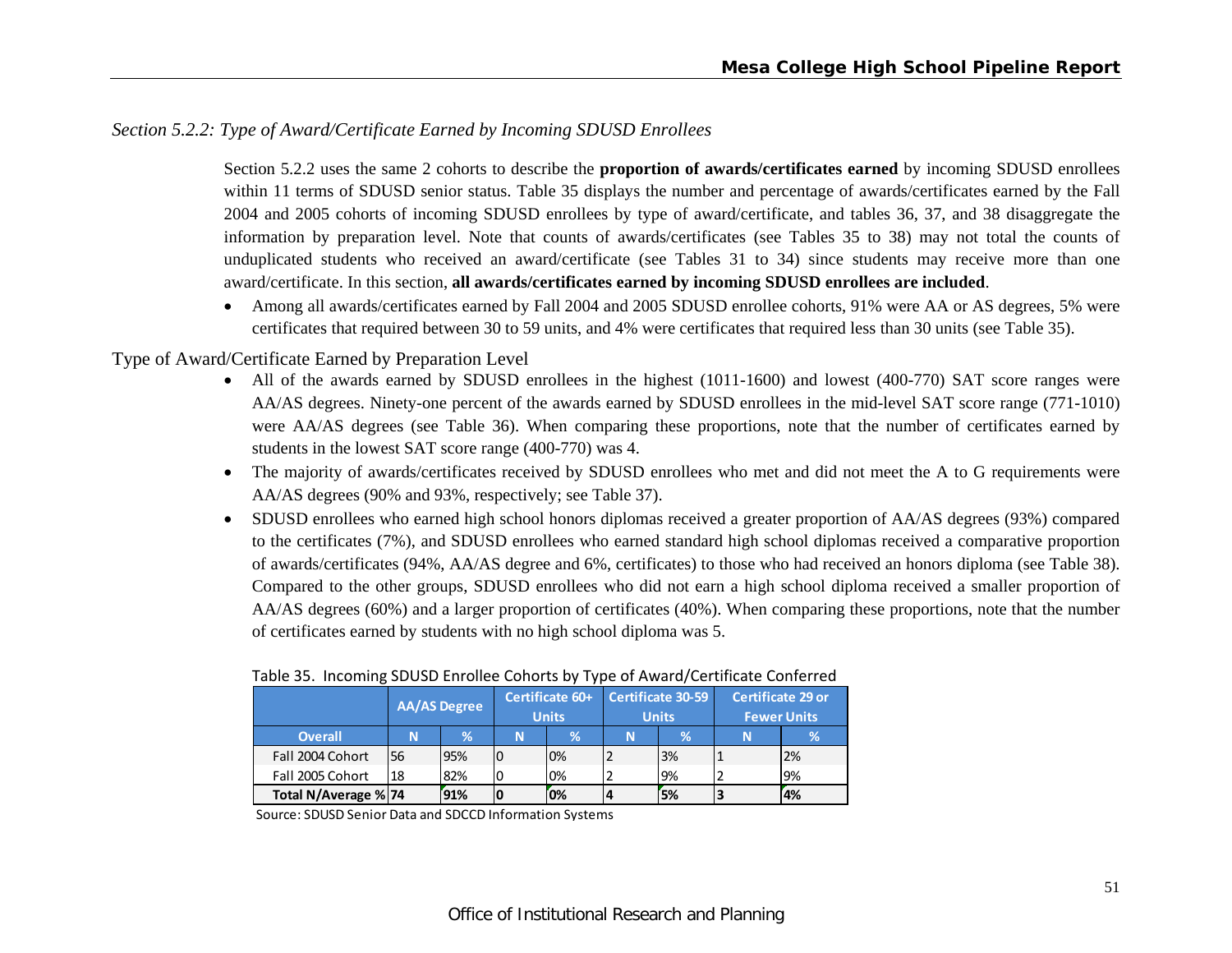### *Section 5.2.2: Type of Award/Certificate Earned by Incoming SDUSD Enrollees*

Section 5.2.2 uses the same 2 cohorts to describe the **proportion of awards/certificates earned** by incoming SDUSD enrollees within 11 terms of SDUSD senior status. Table 35 displays the number and percentage of awards/certificates earned by the Fall 2004 and 2005 cohorts of incoming SDUSD enrollees by type of award/certificate, and tables 36, 37, and 38 disaggregate the information by preparation level. Note that counts of awards/certificates (see Tables 35 to 38) may not total the counts of unduplicated students who received an award/certificate (see Tables 31 to 34) since students may receive more than one award/certificate. In this section, **all awards/certificates earned by incoming SDUSD enrollees are included**.

 Among all awards/certificates earned by Fall 2004 and 2005 SDUSD enrollee cohorts, 91% were AA or AS degrees, 5% were certificates that required between 30 to 59 units, and 4% were certificates that required less than 30 units (see Table 35).

#### Type of Award/Certificate Earned by Preparation Level

- All of the awards earned by SDUSD enrollees in the highest (1011-1600) and lowest (400-770) SAT score ranges were AA/AS degrees. Ninety-one percent of the awards earned by SDUSD enrollees in the mid-level SAT score range (771-1010) were AA/AS degrees (see Table 36). When comparing these proportions, note that the number of certificates earned by students in the lowest SAT score range (400-770) was 4.
- $\bullet$  The majority of awards/certificates received by SDUSD enrollees who met and did not meet the A to G requirements were AA/AS degrees (90% and 93%, respectively; see Table 37).
- SDUSD enrollees who earned high school honors diplomas received a greater proportion of AA/AS degrees (93%) compared to the certificates (7%), and SDUSD enrollees who earned standard high school diplomas received a comparative proportion of awards/certificates (94%, AA/AS degree and 6%, certificates) to those who had received an honors diploma (see Table 38). Compared to the other groups, SDUSD enrollees who did not earn a high school diploma received a smaller proportion of AA/AS degrees (60%) and a larger proportion of certificates (40%). When comparing these proportions, note that the number of certificates earned by students with no high school diploma was 5.

|                      |    | <b>AA/AS Degree</b> | Certificate 60+<br><b>Units</b> |    | Certificate 30-59<br><b>Units</b> |     | <b>Certificate 29 or</b><br><b>Fewer Units</b> |     |
|----------------------|----|---------------------|---------------------------------|----|-----------------------------------|-----|------------------------------------------------|-----|
| <b>Overall</b>       | N  | ℅                   | N                               | V. | N                                 | V.  | N                                              |     |
| Fall 2004 Cohort     | 56 | 95%                 |                                 | 0% |                                   | 3%  |                                                | 2%  |
| Fall 2005 Cohort     | 18 | 82%                 |                                 | 0% |                                   | '9% |                                                | 19% |
| Total N/Average % 74 |    | 91%                 |                                 | 0% |                                   | 5%  |                                                | 4%  |

#### Table 35. Incoming SDUSD Enrollee Cohorts by Type of Award/Certificate Conferred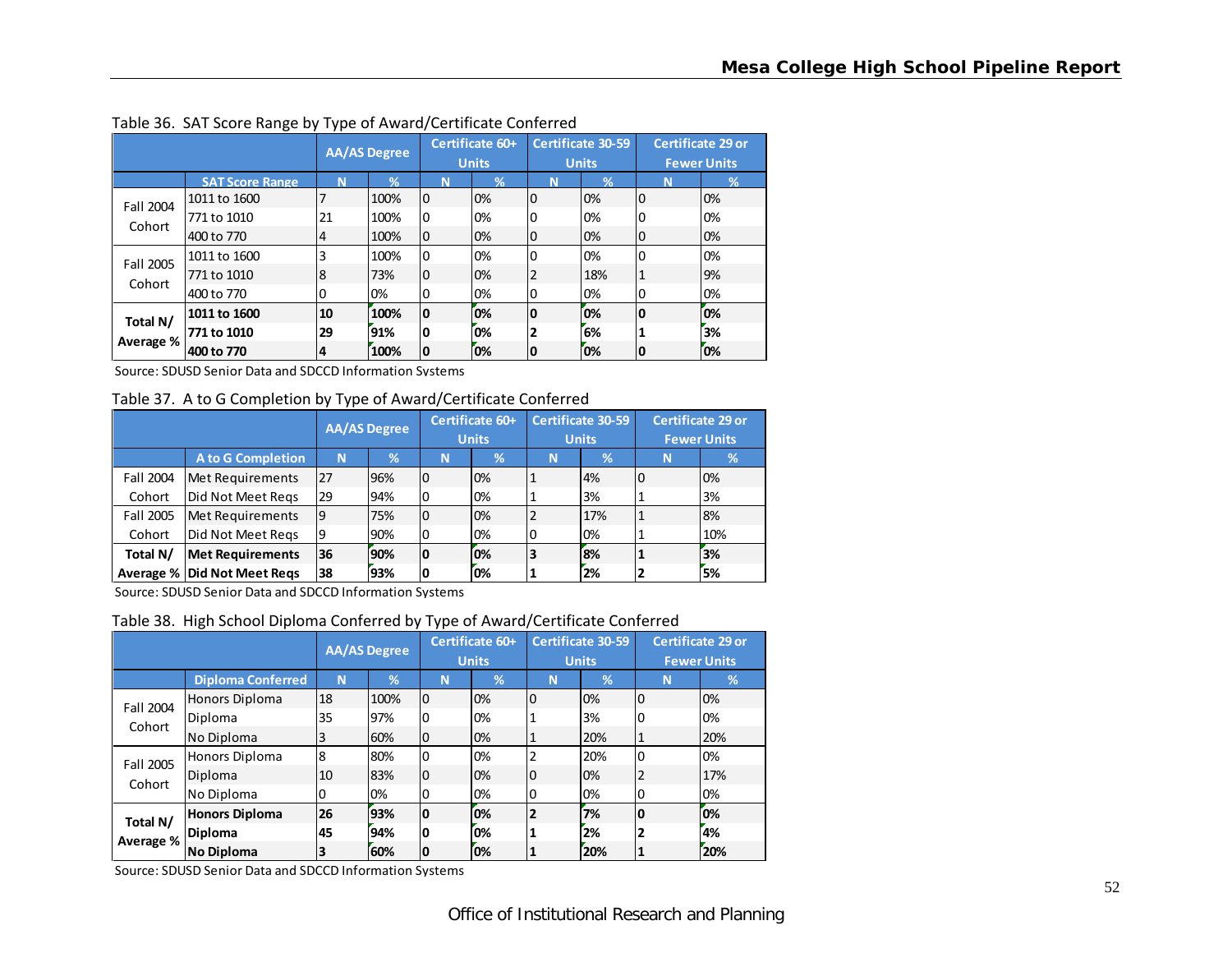|           |                        | <b>AA/AS Degree</b> |      |                | Certificate 60+<br><b>Units</b> | <b>Certificate 30-59</b><br><b>Units</b> |     | <b>Certificate 29 or</b><br><b>Fewer Units</b> |      |
|-----------|------------------------|---------------------|------|----------------|---------------------------------|------------------------------------------|-----|------------------------------------------------|------|
|           | <b>SAT Score Range</b> | N                   | 94   | N              | %                               | N                                        | ℅   | N                                              | $\%$ |
| Fall 2004 | 1011 to 1600           |                     | 100% | 0              | 0%                              | 0                                        | 0%  | $\overline{0}$                                 | 0%   |
| Cohort    | 771 to 1010            | 21                  | 100% | <b>0</b>       | 0%                              | 0                                        | 0%  | 0                                              | 0%   |
|           | 400 to 770             | 4                   | 100% | $\overline{0}$ | 0%                              | 0                                        | 0%  | 0                                              | 0%   |
| Fall 2005 | 1011 to 1600           | 3                   | 100% | 0              | 0%                              | 0                                        | 0%  | $\mathbf 0$                                    | 0%   |
| Cohort    | 771 to 1010            | 8                   | 73%  | $\overline{0}$ | 0%                              | 2                                        | 18% | 1                                              | 9%   |
|           | 400 to 770             | 0                   | 0%   | 0              | 0%                              | 0                                        | 0%  | 0                                              | 0%   |
| Total N/  | 1011 to 1600           | 10                  | 100% | 10             | 0%                              | 0                                        | ľо% | 0                                              | 0%   |
|           | 771 to 1010            | 29                  | 91%  | O              | 0%                              | 2                                        | 6%  |                                                | 3%   |
| Average % | 400 to 770             | 4                   | 100% | 10             | 0%                              | ΙO                                       | 0%  | 10                                             | 0%   |

Table 36. SAT Score Range by Type of Award/Certificate Conferred

Source: SDUSD Senior Data and SDCCD Information Systems

Table 37. A to G Completion by Type of Award/Certificate Conferred

|           |                                    | <b>AA/AS Degree</b> |     | Certificate 60+<br><b>Units</b> |    | <b>Certificate 30-59</b><br><b>Units</b> |          | <b>Certificate 29 or</b><br><b>Fewer Units</b> |     |
|-----------|------------------------------------|---------------------|-----|---------------------------------|----|------------------------------------------|----------|------------------------------------------------|-----|
|           | A to G Completion                  | N                   | %   | N                               | 1% | N                                        | <b>%</b> | N                                              | v.  |
| Fall 2004 | Met Requirements                   | 27                  | 96% | 0                               | 0% |                                          | 4%       |                                                | 0%  |
| Cohort    | Did Not Meet Reqs                  | 29                  | 94% | 0                               | 0% |                                          | 3%       |                                                | 3%  |
| Fall 2005 | Met Requirements                   | 9                   | 75% | 0                               | 0% |                                          | 17%      |                                                | 8%  |
| Cohort    | Did Not Meet Regs                  | 9                   | 90% | 0                               | 0% | 0                                        | 0%       |                                                | 10% |
| Total N/  | <b>Met Requirements</b>            | 36                  | 90% | ١O                              | 0% | 3                                        | 8%       |                                                | 3%  |
|           | <b>Average % Did Not Meet Regs</b> | 38                  | 93% | 0                               | 0% |                                          | 2%       |                                                | 5%  |

Source: SDUSD Senior Data and SDCCD Information Systems

Table 38. High School Diploma Conferred by Type of Award/Certificate Conferred

|           |                          | <b>AA/AS Degree</b> |      | Certificate 60+<br><b>Units</b> |    | <b>Certificate 30-59</b><br><b>Units</b> |     | <b>Certificate 29 or</b><br><b>Fewer Units</b> |     |
|-----------|--------------------------|---------------------|------|---------------------------------|----|------------------------------------------|-----|------------------------------------------------|-----|
|           | <b>Diploma Conferred</b> | N                   | %    | N                               | %  | N                                        | %   | N                                              | %   |
| Fall 2004 | Honors Diploma           | 18                  | 100% | $\overline{0}$                  | 0% | 0                                        | 0%  | $\overline{0}$                                 | 0%  |
| Cohort    | Diploma                  | 35                  | 97%  | 0                               | 0% |                                          | 3%  | 0                                              | 0%  |
|           | No Diploma               | 3                   | 60%  | 0                               | 0% |                                          | 20% | 1                                              | 20% |
| Fall 2005 | Honors Diploma           | 8                   | 80%  | 0                               | 0% |                                          | 20% | $\Omega$                                       | 0%  |
| Cohort    | Diploma                  | 10                  | 83%  | 0                               | 0% | 0                                        | 0%  | 2                                              | 17% |
|           | No Diploma               | 0                   | 0%   | 0                               | 0% | 0                                        | 0%  | 0                                              | 0%  |
| Total N/  | <b>Honors Diploma</b>    | 26                  | 93%  | 0                               | 0% | 2                                        | 7%  | 0                                              | 0%  |
|           | Diploma                  | 45                  | 94%  | 0                               | 0% |                                          | 2%  | 2                                              | 4%  |
| Average % | No Diploma               | 3                   | 60%  | 0                               | 0% |                                          | 20% | 1                                              | 20% |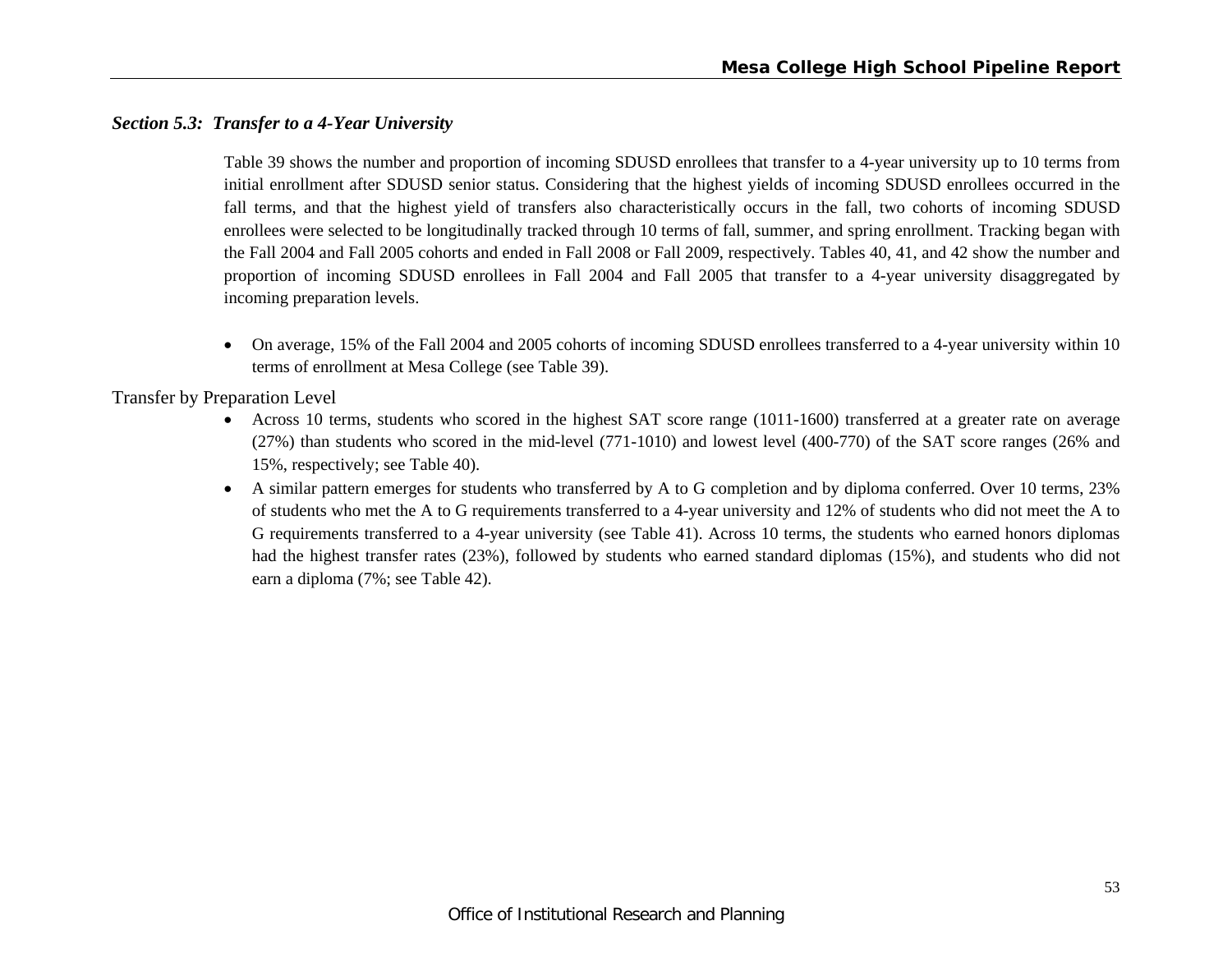### *Section 5.3: Transfer to a 4-Year University*

Table 39 shows the number and proportion of incoming SDUSD enrollees that transfer to a 4-year university up to 10 terms from initial enrollment after SDUSD senior status. Considering that the highest yields of incoming SDUSD enrollees occurred in the fall terms, and that the highest yield of transfers also characteristically occurs in the fall, two cohorts of incoming SDUSD enrollees were selected to be longitudinally tracked through 10 terms of fall, summer, and spring enrollment. Tracking began with the Fall 2004 and Fall 2005 cohorts and ended in Fall 2008 or Fall 2009, respectively. Tables 40, 41, and 42 show the number and proportion of incoming SDUSD enrollees in Fall 2004 and Fall 2005 that transfer to a 4-year university disaggregated by incoming preparation levels.

 On average, 15% of the Fall 2004 and 2005 cohorts of incoming SDUSD enrollees transferred to a 4-year university within 10 terms of enrollment at Mesa College (see Table 39).

Transfer by Preparation Level

- e Across 10 terms, students who scored in the highest SAT score range (1011-1600) transferred at a greater rate on average (27%) than students who scored in the mid-level (771-1010) and lowest level (400-770) of the SAT score ranges (26% and 15%, respectively; see Table 40).
- A similar pattern emerges for students who transferred by A to G completion and by diploma conferred. Over 10 terms, 23% of students who met the A to G requirements transferred to a 4-year university and 12% of students who did not meet the A to G requirements transferred to a 4-year university (see Table 41). Across 10 terms, the students who earned honors diplomas had the highest transfer rates (23%), followed by students who earned standard diplomas (15%), and students who did not earn a diploma (7%; see Table 42).